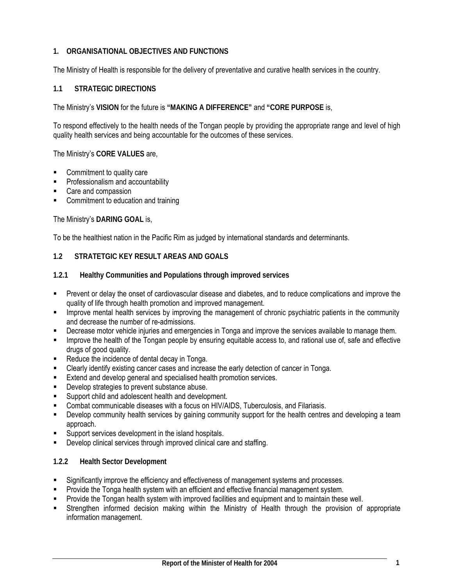### **1. ORGANISATIONAL OBJECTIVES AND FUNCTIONS**

The Ministry of Health is responsible for the delivery of preventative and curative health services in the country.

#### **1.1 STRATEGIC DIRECTIONS**

The Ministry's **VISION** for the future is **"MAKING A DIFFERENCE"** and **"CORE PURPOSE** is,

To respond effectively to the health needs of the Tongan people by providing the appropriate range and level of high quality health services and being accountable for the outcomes of these services.

The Ministry's **CORE VALUES** are,

- Commitment to quality care
- Professionalism and accountability
- Care and compassion
- Commitment to education and training

The Ministry's **DARING GOAL** is,

To be the healthiest nation in the Pacific Rim as judged by international standards and determinants.

### **1.2 STRATETGIC KEY RESULT AREAS AND GOALS**

- **1.2.1 Healthy Communities and Populations through improved services**
- Prevent or delay the onset of cardiovascular disease and diabetes, and to reduce complications and improve the quality of life through health promotion and improved management.
- Improve mental health services by improving the management of chronic psychiatric patients in the community and decrease the number of re-admissions.
- Decrease motor vehicle injuries and emergencies in Tonga and improve the services available to manage them.
- **IMPROVE THE HEALT OF THE TONG AT A LARGE A** improve the Tongan people by ensuring equitable access to, and rational use of, safe and effective drugs of good quality.
- Reduce the incidence of dental decay in Tonga.
- Clearly identify existing cancer cases and increase the early detection of cancer in Tonga.
- **Extend and develop general and specialised health promotion services.**
- **Develop strategies to prevent substance abuse.**
- Support child and adolescent health and development.
- Combat communicable diseases with a focus on HIV/AIDS, Tuberculosis, and Filariasis.
- Develop community health services by gaining community support for the health centres and developing a team approach.
- Support services development in the island hospitals.
- Develop clinical services through improved clinical care and staffing.

#### **1.2.2 Health Sector Development**

- Significantly improve the efficiency and effectiveness of management systems and processes.
- Provide the Tonga health system with an efficient and effective financial management system.
- Provide the Tongan health system with improved facilities and equipment and to maintain these well.
- Strengthen informed decision making within the Ministry of Health through the provision of appropriate information management.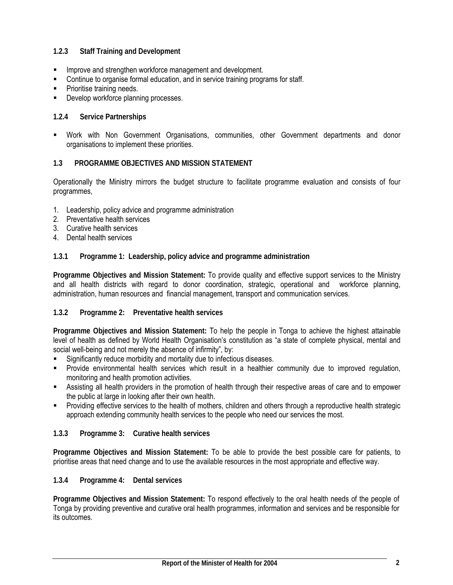### **1.2.3 Staff Training and Development**

- **IMPROVE and strengthen workforce management and development.**
- Continue to organise formal education, and in service training programs for staff.
- Prioritise training needs.
- Develop workforce planning processes.

#### **1.2.4 Service Partnerships**

 Work with Non Government Organisations, communities, other Government departments and donor organisations to implement these priorities.

#### **1.3 PROGRAMME OBJECTIVES AND MISSION STATEMENT**

Operationally the Ministry mirrors the budget structure to facilitate programme evaluation and consists of four programmes,

- 1. Leadership, policy advice and programme administration
- 2. Preventative health services
- 3. Curative health services
- 4. Dental health services

#### **1.3.1 Programme 1: Leadership, policy advice and programme administration**

**Programme Objectives and Mission Statement:** To provide quality and effective support services to the Ministry and all health districts with regard to donor coordination, strategic, operational and workforce planning, administration, human resources and financial management, transport and communication services.

#### **1.3.2 Programme 2: Preventative health services**

**Programme Objectives and Mission Statement:** To help the people in Tonga to achieve the highest attainable level of health as defined by World Health Organisation's constitution as "a state of complete physical, mental and social well-being and not merely the absence of infirmity", by:

- Significantly reduce morbidity and mortality due to infectious diseases.
- Provide environmental health services which result in a healthier community due to improved regulation, monitoring and health promotion activities.
- Assisting all health providers in the promotion of health through their respective areas of care and to empower the public at large in looking after their own health.
- Providing effective services to the health of mothers, children and others through a reproductive health strategic approach extending community health services to the people who need our services the most.

#### **1.3.3 Programme 3: Curative health services**

**Programme Objectives and Mission Statement:** To be able to provide the best possible care for patients, to prioritise areas that need change and to use the available resources in the most appropriate and effective way.

#### **1.3.4 Programme 4: Dental services**

**Programme Objectives and Mission Statement:** To respond effectively to the oral health needs of the people of Tonga by providing preventive and curative oral health programmes, information and services and be responsible for its outcomes.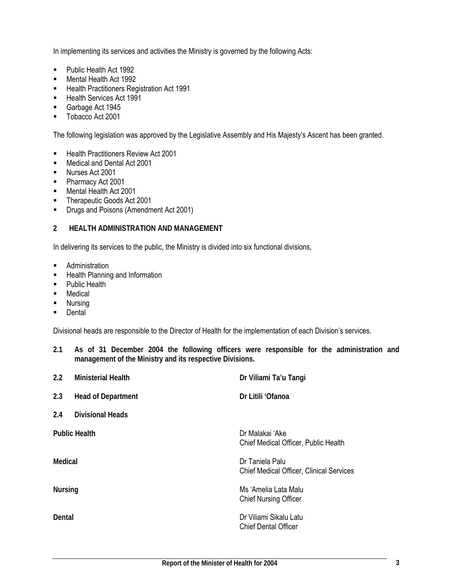In implementing its services and activities the Ministry is governed by the following Acts:

- **Public Health Act 1992**
- Mental Health Act 1992
- **Health Practitioners Registration Act 1991**
- **Health Services Act 1991**
- Garbage Act 1945
- **Tobacco Act 2001**

The following legislation was approved by the Legislative Assembly and His Majesty's Ascent has been granted.

- **Health Practitioners Review Act 2001**
- **Medical and Dental Act 2001**
- Nurses Act 2001
- Pharmacy Act 2001
- **Mental Health Act 2001**
- **Therapeutic Goods Act 2001**
- **Drugs and Poisons (Amendment Act 2001)**

### **2 HEALTH ADMINISTRATION AND MANAGEMENT**

In delivering its services to the public, the Ministry is divided into six functional divisions,

- **Administration**
- **-** Health Planning and Information
- Public Health
- **Medical**
- **Nursing**
- **Dental**

Divisional heads are responsible to the Director of Health for the implementation of each Division's services.

**2.1 As of 31 December 2004 the following officers were responsible for the administration and management of the Ministry and its respective Divisions.** 

| 2.2            | <b>Ministerial Health</b> | Dr Viliami Ta'u Tangi                                              |
|----------------|---------------------------|--------------------------------------------------------------------|
| 2.3            | <b>Head of Department</b> | Dr Litili 'Ofanoa                                                  |
| 2.4            | <b>Divisional Heads</b>   |                                                                    |
|                | <b>Public Health</b>      | Dr Malakai 'Ake<br>Chief Medical Officer, Public Health            |
| Medical        |                           | Dr Taniela Palu<br><b>Chief Medical Officer, Clinical Services</b> |
| <b>Nursing</b> |                           | Ms 'Amelia Lata Malu<br><b>Chief Nursing Officer</b>               |
| Dental         |                           | Dr Viliami Sikalu Latu<br><b>Chief Dental Officer</b>              |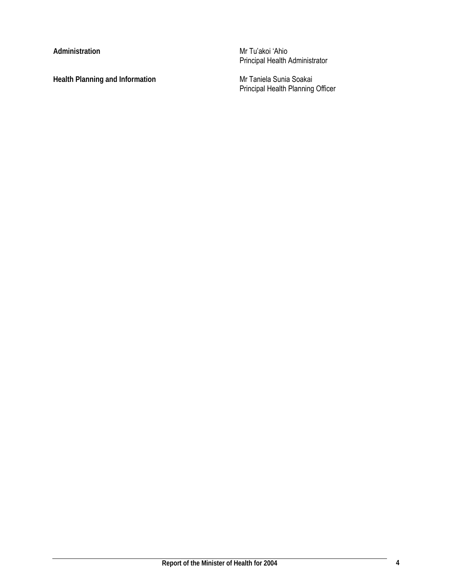Health Planning and Information **Mr Taniela Sunia Soakai** 

**Administration** Mr Tu'akoi 'Ahio Principal Health Administrator

Principal Health Planning Officer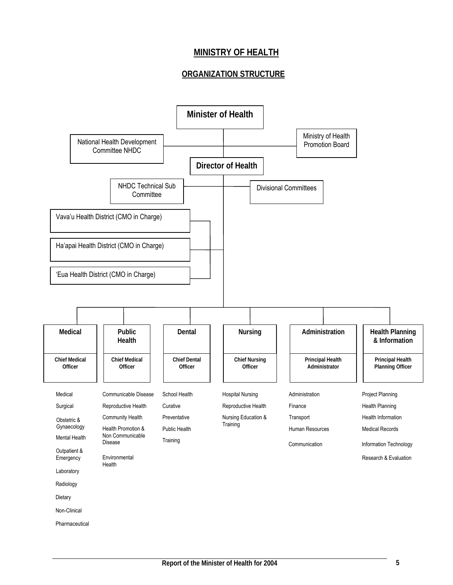# **MINISTRY OF HEALTH**

# **ORGANIZATION STRUCTURE**

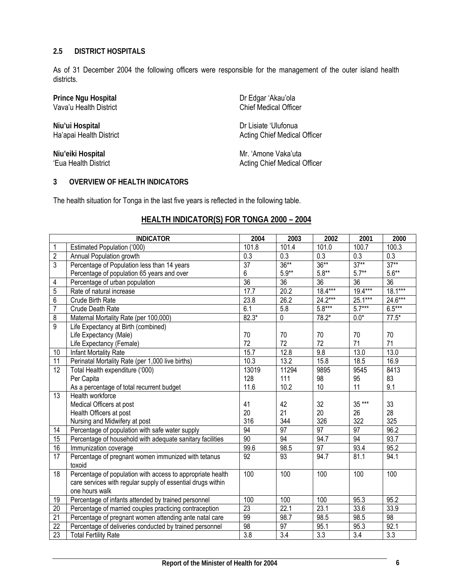### **2.5 DISTRICT HOSPITALS**

As of 31 December 2004 the following officers were responsible for the management of the outer island health districts.

Prince Ngu Hospital<br>
Vava'u Health District<br>
Vava'u Health District<br> **Dream Chief Medical Officer** Vava'u Health District

**Niu'ui Hospital** Dr Lisiate 'Ulufonua<br>
Ha'apai Health District Communication of Dr Lisiate 'Ulufonua

Acting Chief Medical Officer

**Niu'eiki Hospital** Mr. 'Amone Vaka'uta<br>
'Eua Health District Muslim Chief Medical (Buslim) Acting Chief Medical Officer

### **3 OVERVIEW OF HEALTH INDICATORS**

The health situation for Tonga in the last five years is reflected in the following table.

### **HEALTH INDICATOR(S) FOR TONGA 2000 – 2004**

|                 | <b>INDICATOR</b>                                            | 2004            | 2003            | 2002            | 2001             | 2000      |
|-----------------|-------------------------------------------------------------|-----------------|-----------------|-----------------|------------------|-----------|
| 1               | Estimated Population ('000)                                 | 101.8           | 101.4           | 101.0           | 100.7            | 100.3     |
| $\overline{2}$  | Annual Population growth                                    | 0.3             | 0.3             | 0.3             | 0.3              | 0.3       |
| $\overline{3}$  | Percentage of Population less than 14 years                 | $\overline{37}$ | $36***$         | $36***$         | $37**$           | $37**$    |
|                 | Percentage of population 65 years and over                  | 6               | $5.9**$         | $5.8**$         | $5.7***$         | $5.6**$   |
| 4               | Percentage of urban population                              | $\overline{36}$ | $\overline{36}$ | $\overline{36}$ | 36               | 36        |
| 5               | Rate of natural increase                                    | 17.7            | 20.2            | 18.4***         | $19.4***$        | $18.1***$ |
| 6               | Crude Birth Rate                                            | 23.8            | 26.2            | 24.2***         | 25.1***          | 24.6***   |
| $\overline{7}$  | Crude Death Rate                                            | 6.1             | 5.8             | $5.8***$        | $5.7***$         | $6.5***$  |
| 8               | Maternal Mortality Rate (per 100,000)                       | $82.3*$         | 0               | $78.2*$         | $0.0*$           | $77.5*$   |
| $\overline{9}$  | Life Expectancy at Birth (combined)                         |                 |                 |                 |                  |           |
|                 | Life Expectancy (Male)                                      | 70              | 70              | 70              | 70               | 70        |
|                 | Life Expectancy (Female)                                    | 72              | 72              | 72              | 71               | 71        |
| 10              | Infant Mortality Rate                                       | 15.7            | 12.8            | 9.8             | 13.0             | 13.0      |
| 11              | Perinatal Mortality Rate (per 1,000 live births)            | 10.3            | 13.2            | 15.8            | 18.5             | 16.9      |
| $\overline{12}$ | Total Health expenditure ('000)                             | 13019           | 11294           | 9895            | 9545             | 8413      |
|                 | Per Capita                                                  | 128             | 111             | 98              | 95               | 83        |
|                 | As a percentage of total recurrent budget                   | 11.6            | 10.2            | 10              | 11               | 9.1       |
| 13              | Health workforce                                            |                 |                 |                 |                  |           |
|                 | Medical Officers at post                                    | 41              | 42              | 32              | 35 ***           | 33        |
|                 | Health Officers at post                                     | 20              | 21              | 20              | 26               | 28        |
|                 | Nursing and Midwifery at post                               | 316             | 344             | 326             | 322              | 325       |
| 14              | Percentage of population with safe water supply             | 94              | 97              | $\overline{97}$ | 97               | 96.2      |
| $\overline{15}$ | Percentage of household with adequate sanitary facilities   | 90              | 94              | 94.7            | 94               | 93.7      |
| 16              | Immunization coverage                                       | 99.6            | 98.5            | 97              | 93.4             | 95.2      |
| 17              | Percentage of pregnant women immunized with tetanus         | 92              | 93              | 94.7            | 81.1             | 94.1      |
|                 | toxoid                                                      |                 |                 |                 |                  |           |
| 18              | Percentage of population with access to appropriate health  | 100             | 100             | 100             | 100              | 100       |
|                 | care services with regular supply of essential drugs within |                 |                 |                 |                  |           |
|                 | one hours walk                                              |                 |                 |                 |                  |           |
| 19              | Percentage of infants attended by trained personnel         | 100             | 100             | 100             | 95.3             | 95.2      |
| 20              | Percentage of married couples practicing contraception      | 23              | 22.1            | 23.1            | 33.6             | 33.9      |
| 21              | Percentage of pregnant women attending ante natal care      | 99              | 98.7            | 98.5            | 98.5             | 98        |
| $\overline{22}$ | Percentage of deliveries conducted by trained personnel     | $\overline{98}$ | 97              | 95.1            | 95.3             | 92.1      |
| 23              | <b>Total Fertility Rate</b>                                 | 3.8             | 3.4             | 3.3             | $\overline{3.4}$ | 3.3       |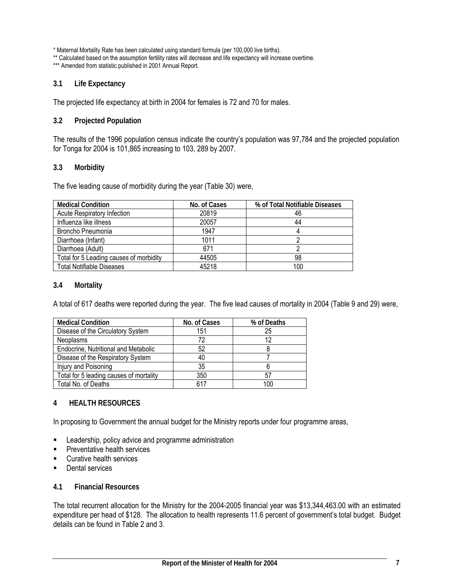\* Maternal Mortality Rate has been calculated using standard formula (per 100,000 live births).

\*\* Calculated based on the assumption fertility rates will decrease and life expectancy will increase overtime.

\*\*\* Amended from statistic published in 2001 Annual Report.

#### **3.1 Life Expectancy**

The projected life expectancy at birth in 2004 for females is 72 and 70 for males.

#### **3.2 Projected Population**

The results of the 1996 population census indicate the country's population was 97,784 and the projected population for Tonga for 2004 is 101,865 increasing to 103, 289 by 2007.

#### **3.3 Morbidity**

The five leading cause of morbidity during the year (Table 30) were,

| <b>Medical Condition</b>                | No. of Cases | % of Total Notifiable Diseases |
|-----------------------------------------|--------------|--------------------------------|
| <b>Acute Respiratory Infection</b>      | 20819        | 46                             |
| Influenza like illness                  | 20057        | 44                             |
| Broncho Pneumonia                       | 1947         |                                |
| Diarrhoea (Infant)                      | 1011         |                                |
| Diarrhoea (Adult)                       | 671          |                                |
| Total for 5 Leading causes of morbidity | 44505        | 98                             |
| <b>Total Notifiable Diseases</b>        | 45218        | 100                            |

#### **3.4 Mortality**

A total of 617 deaths were reported during the year. The five lead causes of mortality in 2004 (Table 9 and 29) were,

| <b>Medical Condition</b>                | No. of Cases | % of Deaths |
|-----------------------------------------|--------------|-------------|
| Disease of the Circulatory System       | 151          | 25          |
| <b>Neoplasms</b>                        | 72           |             |
| Endocrine, Nutritional and Metabolic    | 52           |             |
| Disease of the Respiratory System       | 40           |             |
| Injury and Poisoning                    | 35           |             |
| Total for 5 leading causes of mortality | 350          | ى با        |
| Total No. of Deaths                     | 617          |             |

### **4 HEALTH RESOURCES**

In proposing to Government the annual budget for the Ministry reports under four programme areas,

- **EXEC** Leadership, policy advice and programme administration
- **Preventative health services**
- **Curative health services**
- Dental services

#### **4.1 Financial Resources**

The total recurrent allocation for the Ministry for the 2004-2005 financial year was \$13,344,463.00 with an estimated expenditure per head of \$128. The allocation to health represents 11.6 percent of government's total budget. Budget details can be found in Table 2 and 3.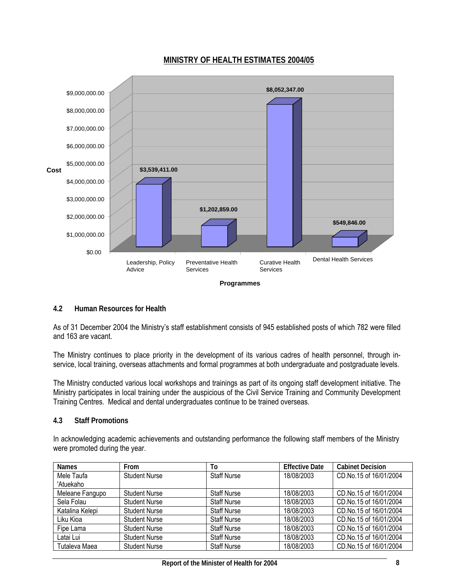



#### **Programmes**

#### **4.2 Human Resources for Health**

As of 31 December 2004 the Ministry's staff establishment consists of 945 established posts of which 782 were filled and 163 are vacant.

The Ministry continues to place priority in the development of its various cadres of health personnel, through inservice, local training, overseas attachments and formal programmes at both undergraduate and postgraduate levels.

The Ministry conducted various local workshops and trainings as part of its ongoing staff development initiative. The Ministry participates in local training under the auspicious of the Civil Service Training and Community Development Training Centres. Medical and dental undergraduates continue to be trained overseas.

#### **4.3 Staff Promotions**

In acknowledging academic achievements and outstanding performance the following staff members of the Ministry were promoted during the year.

| <b>Names</b>    | From                 | To                 | <b>Effective Date</b> | <b>Cabinet Decision</b> |
|-----------------|----------------------|--------------------|-----------------------|-------------------------|
| Mele Taufa      | <b>Student Nurse</b> | <b>Staff Nurse</b> | 18/08/2003            | CD.No.15 of 16/01/2004  |
| 'Atuekaho       |                      |                    |                       |                         |
| Meleane Fangupo | <b>Student Nurse</b> | <b>Staff Nurse</b> | 18/08/2003            | CD.No.15 of 16/01/2004  |
| Sela Folau      | <b>Student Nurse</b> | <b>Staff Nurse</b> | 18/08/2003            | CD.No.15 of 16/01/2004  |
| Katalina Kelepi | <b>Student Nurse</b> | <b>Staff Nurse</b> | 18/08/2003            | CD.No.15 of 16/01/2004  |
| Liku Kioa       | <b>Student Nurse</b> | <b>Staff Nurse</b> | 18/08/2003            | CD.No.15 of 16/01/2004  |
| Fipe Lama       | <b>Student Nurse</b> | <b>Staff Nurse</b> | 18/08/2003            | CD.No.15 of 16/01/2004  |
| Latai Lui       | <b>Student Nurse</b> | <b>Staff Nurse</b> | 18/08/2003            | CD.No.15 of 16/01/2004  |
| Tutaleva Maea   | <b>Student Nurse</b> | <b>Staff Nurse</b> | 18/08/2003            | CD.No.15 of 16/01/2004  |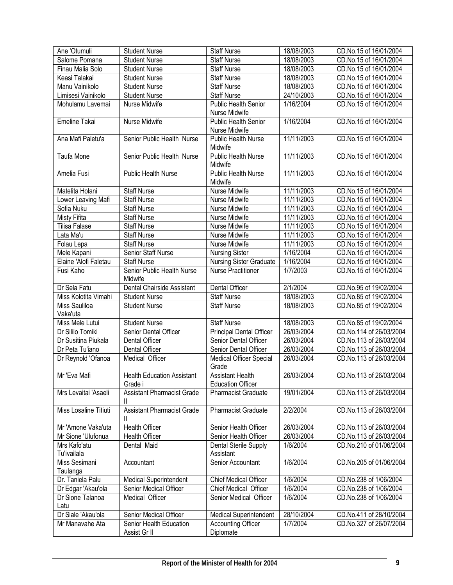| Ane 'Otumuli          | <b>Student Nurse</b>              | Staff Nurse                   | 18/08/2003 | CD.No.15 of 16/01/2004  |
|-----------------------|-----------------------------------|-------------------------------|------------|-------------------------|
| Salome Pomana         | <b>Student Nurse</b>              | <b>Staff Nurse</b>            | 18/08/2003 | CD.No.15 of 16/01/2004  |
| Finau Malia Solo      | <b>Student Nurse</b>              | <b>Staff Nurse</b>            | 18/08/2003 | CD.No.15 of 16/01/2004  |
| Keasi Talakai         | <b>Student Nurse</b>              | <b>Staff Nurse</b>            | 18/08/2003 | CD.No.15 of 16/01/2004  |
| Manu Vainikolo        | <b>Student Nurse</b>              | <b>Staff Nurse</b>            | 18/08/2003 | CD.No.15 of 16/01/2004  |
| Limisesi Vainikolo    | <b>Student Nurse</b>              | <b>Staff Nurse</b>            | 24/10/2003 | CD.No.15 of 16/01/2004  |
| Mohulamu Lavemai      | Nurse Midwife                     | <b>Public Health Senior</b>   | 1/16/2004  | CD.No.15 of 16/01/2004  |
|                       |                                   | Nurse Midwife                 |            |                         |
| Emeline Takai         | Nurse Midwife                     | Public Health Senior          | 1/16/2004  | CD.No.15 of 16/01/2004  |
|                       |                                   | Nurse Midwife                 |            |                         |
| Ana Mafi Paletu'a     | Senior Public Health Nurse        | Public Health Nurse           | 11/11/2003 | CD.No.15 of 16/01/2004  |
|                       |                                   | Midwife                       |            |                         |
| <b>Taufa Mone</b>     | Senior Public Health Nurse        | <b>Public Health Nurse</b>    | 11/11/2003 | CD.No.15 of 16/01/2004  |
|                       |                                   | Midwife                       |            |                         |
| Amelia Fusi           | Public Health Nurse               | <b>Public Health Nurse</b>    | 11/11/2003 | CD.No.15 of 16/01/2004  |
|                       |                                   | Midwife                       |            |                         |
| Matelita Holani       | <b>Staff Nurse</b>                | Nurse Midwife                 | 11/11/2003 | CD.No.15 of 16/01/2004  |
| Lower Leaving Mafi    | <b>Staff Nurse</b>                | Nurse Midwife                 | 11/11/2003 | CD.No.15 of 16/01/2004  |
| Sofia Nuku            | <b>Staff Nurse</b>                | Nurse Midwife                 | 11/11/2003 | CD.No.15 of 16/01/2004  |
| <b>Misty Fifita</b>   | <b>Staff Nurse</b>                | Nurse Midwife                 | 11/11/2003 | CD.No.15 of 16/01/2004  |
| <b>Tilisa Falase</b>  | <b>Staff Nurse</b>                | Nurse Midwife                 | 11/11/2003 | CD.No.15 of 16/01/2004  |
| Lata Ma'u             | <b>Staff Nurse</b>                | Nurse Midwife                 | 11/11/2003 | CD.No.15 of 16/01/2004  |
| Folau Lepa            | <b>Staff Nurse</b>                | Nurse Midwife                 | 11/11/2003 | CD.No.15 of 16/01/2004  |
| Mele Kapani           | Senior Staff Nurse                | <b>Nursing Sister</b>         | 1/16/2004  | CD.No.15 of 16/01/2004  |
| Elaine 'Alofi Faletau | <b>Staff Nurse</b>                | Nursing Sister Graduate       | 1/16/2004  | CD.No.15 of 16/01/2004  |
| Fusi Kaho             | Senior Public Health Nurse        | <b>Nurse Practitioner</b>     | 1/7/2003   | CD.No.15 of 16/01/2004  |
|                       | Midwife                           |                               |            |                         |
| Dr Sela Fatu          | Dental Chairside Assistant        | Dental Officer                | 2/1/2004   | CD.No.95 of 19/02/2004  |
| Miss Kolotita Vimahi  | <b>Student Nurse</b>              | <b>Staff Nurse</b>            | 18/08/2003 | CD.No.85 of 19/02/2004  |
| Miss Sauliloa         | <b>Student Nurse</b>              | <b>Staff Nurse</b>            | 18/08/2003 | CD.No.85 of 19/02/2004  |
| Vaka'uta              |                                   |                               |            |                         |
| Miss Mele Lutui       | <b>Student Nurse</b>              | <b>Staff Nurse</b>            | 18/08/2003 | CD.No.85 of 19/02/2004  |
| Dr Sililo Tomiki      | Senior Dental Officer             | Principal Dental Officer      | 26/03/2004 | CD.No.114 of 26/03/2004 |
| Dr Susitina Piukala   | Dental Officer                    | Senior Dental Officer         | 26/03/2004 | CD.No.113 of 26/03/2004 |
| Dr Peta Tu'iano       | Dental Officer                    | Senior Dental Officer         | 26/03/2004 | CD.No.113 of 26/03/2004 |
| Dr Reynold 'Ofanoa    | Medical Officer                   | Medical Officer Special       | 26/03/2004 | CD.No.113 of 26/03/2004 |
|                       |                                   | Grade                         |            |                         |
| Mr 'Eva Mafi          | <b>Health Education Assistant</b> | <b>Assistant Health</b>       | 26/03/2004 | CD.No.113 of 26/03/2004 |
|                       | Grade i                           | <b>Education Officer</b>      |            |                         |
| Mrs Levaitai 'Asaeli  | <b>Assistant Pharmacist Grade</b> | <b>Pharmacist Graduate</b>    | 19/01/2004 | CD.No.113 of 26/03/2004 |
|                       | Ш                                 |                               |            |                         |
| Miss Losaline Titiuti | <b>Assistant Pharmacist Grade</b> | Pharmacist Graduate           | 2/2/2004   | CD.No.113 of 26/03/2004 |
|                       | Ш                                 |                               |            |                         |
| Mr 'Amone Vaka'uta    | <b>Health Officer</b>             | Senior Health Officer         | 26/03/2004 | CD.No.113 of 26/03/2004 |
| Mr Sione 'Ulufonua    | Health Officer                    | Senior Health Officer         | 26/03/2004 | CD.No.113 of 26/03/2004 |
| Mrs Kafo'atu          | Dental Maid                       | Dental Sterile Supply         | 1/6/2004   | CD.No.210 of 01/06/2004 |
| <b>Tu'ivailala</b>    |                                   | Assistant                     |            |                         |
| Miss Sesimani         | Accountant                        | Senior Accountant             | 1/6/2004   | CD.No.205 of 01/06/2004 |
| Taulanga              |                                   |                               |            |                         |
| Dr. Taniela Palu      | <b>Medical Superintendent</b>     | Chief Medical Officer         | 1/6/2004   | CD.No.238 of 1/06/2004  |
| Dr Edgar 'Akau'ola    | Senior Medical Officer            | Chief Medical Officer         | 1/6/2004   | CD.No.238 of 1/06/2004  |
| Dr Sione Talanoa      | Medical Officer                   | Senior Medical Officer        | 1/6/2004   | CD.No.238 of 1/06/2004  |
| Latu                  |                                   |                               |            |                         |
| Dr Siale 'Akau'ola    | Senior Medical Officer            | <b>Medical Superintendent</b> | 28/10/2004 | CD.No.411 of 28/10/2004 |
| Mr Manavahe Ata       | Senior Health Education           | <b>Accounting Officer</b>     | 1/7/2004   | CD.No.327 of 26/07/2004 |
|                       | Assist Gr II                      | Diplomate                     |            |                         |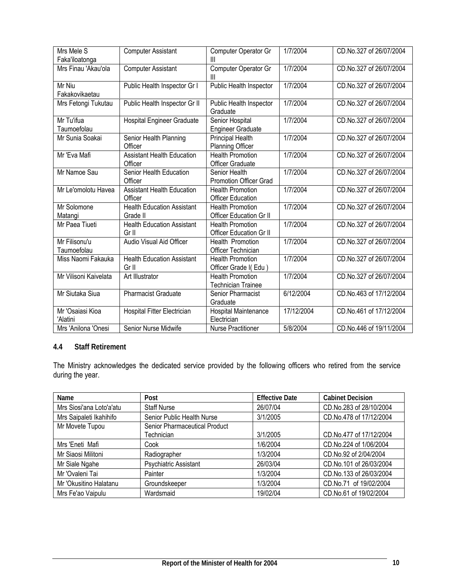| Mrs Mele S<br>Faka'iloatonga | <b>Computer Assistant</b>                     | Computer Operator Gr<br>Ш                                 | 1/7/2004   | CD.No.327 of 26/07/2004 |
|------------------------------|-----------------------------------------------|-----------------------------------------------------------|------------|-------------------------|
| Mrs Finau 'Akau'ola          | <b>Computer Assistant</b>                     | Computer Operator Gr<br>Ш                                 | 1/7/2004   | CD.No.327 of 26/07/2004 |
| Mr Niu<br>Fakakovikaetau     | Public Health Inspector Gr I                  | Public Health Inspector                                   | 1/7/2004   | CD.No.327 of 26/07/2004 |
| Mrs Fetongi Tukutau          | Public Health Inspector Gr II                 | Public Health Inspector<br>Graduate                       | 1/7/2004   | CD.No.327 of 26/07/2004 |
| Mr Tu'ifua<br>Taumoefolau    | <b>Hospital Engineer Graduate</b>             | Senior Hospital<br><b>Engineer Graduate</b>               | 1/7/2004   | CD.No.327 of 26/07/2004 |
| Mr Sunia Soakai              | Senior Health Planning<br>Officer             | <b>Principal Health</b><br><b>Planning Officer</b>        | 1/7/2004   | CD.No.327 of 26/07/2004 |
| Mr 'Eva Mafi                 | <b>Assistant Health Education</b><br>Officer  | <b>Health Promotion</b><br>Officer Graduate               | 1/7/2004   | CD.No.327 of 26/07/2004 |
| Mr Namoe Sau                 | Senior Health Education<br>Officer            | Senior Health<br>Promotion Officer Grad                   | 1/7/2004   | CD.No.327 of 26/07/2004 |
| Mr Le'omolotu Havea          | <b>Assistant Health Education</b><br>Officer  | <b>Health Promotion</b><br><b>Officer Education</b>       | 1/7/2004   | CD.No.327 of 26/07/2004 |
| Mr Solomone<br>Matangi       | <b>Health Education Assistant</b><br>Grade II | <b>Health Promotion</b><br>Officer Education Gr II        | 1/7/2004   | CD.No.327 of 26/07/2004 |
| Mr Paea Tiueti               | <b>Health Education Assistant</b><br>Gr II    | <b>Health Promotion</b><br><b>Officer Education Gr II</b> | 1/7/2004   | CD.No.327 of 26/07/2004 |
| Mr Filisonu'u<br>Taumoefolau | Audio Visual Aid Officer                      | <b>Health Promotion</b><br><b>Officer Technician</b>      | 1/7/2004   | CD.No.327 of 26/07/2004 |
| Miss Naomi Fakauka           | <b>Health Education Assistant</b><br>Gr II    | <b>Health Promotion</b><br>Officer Grade I(Edu)           | 1/7/2004   | CD.No.327 of 26/07/2004 |
| Mr Vilisoni Kaivelata        | Art Illustrator                               | <b>Health Promotion</b><br>Technician Trainee             | 1/7/2004   | CD.No.327 of 26/07/2004 |
| Mr Siutaka Siua              | <b>Pharmacist Graduate</b>                    | Senior Pharmacist<br>Graduate                             | 6/12/2004  | CD.No.463 of 17/12/2004 |
| Mr 'Osaiasi Kioa<br>'Alatini | Hospital Fitter Electrician                   | Hospital Maintenance<br>Electrician                       | 17/12/2004 | CD.No.461 of 17/12/2004 |
| Mrs 'Anilona 'Onesi          | Senior Nurse Midwife                          | <b>Nurse Practitioner</b>                                 | 5/8/2004   | CD.No.446 of 19/11/2004 |

### **4.4 Staff Retirement**

The Ministry acknowledges the dedicated service provided by the following officers who retired from the service during the year.

| Name                     | Post                          | <b>Effective Date</b> | <b>Cabinet Decision</b> |
|--------------------------|-------------------------------|-----------------------|-------------------------|
| Mrs Siosi'ana Loto'a'atu | <b>Staff Nurse</b>            | 26/07/04              | CD.No.283 of 28/10/2004 |
| Mrs Saipaleti Ikahihifo  | Senior Public Health Nurse    | 3/1/2005              | CD.No.478 of 17/12/2004 |
| Mr Movete Tupou          | Senior Pharmaceutical Product |                       |                         |
|                          | Technician                    | 3/1/2005              | CD.No.477 of 17/12/2004 |
| Mrs 'Eneti Mafi          | Cook                          | 1/6/2004              | CD.No.224 of 1/06/2004  |
| Mr Siaosi Militoni       | Radiographer                  | 1/3/2004              | CD.No.92 of 2/04/2004   |
| Mr Siale Ngahe           | Psychiatric Assistant         | 26/03/04              | CD.No.101 of 26/03/2004 |
| Mr 'Ovaleni Tai          | Painter                       | 1/3/2004              | CD.No.133 of 26/03/2004 |
| Mr 'Okusitino Halatanu   | Groundskeeper                 | 1/3/2004              | CD.No.71 of 19/02/2004  |
| Mrs Fe'ao Vaipulu        | Wardsmaid                     | 19/02/04              | CD.No.61 of 19/02/2004  |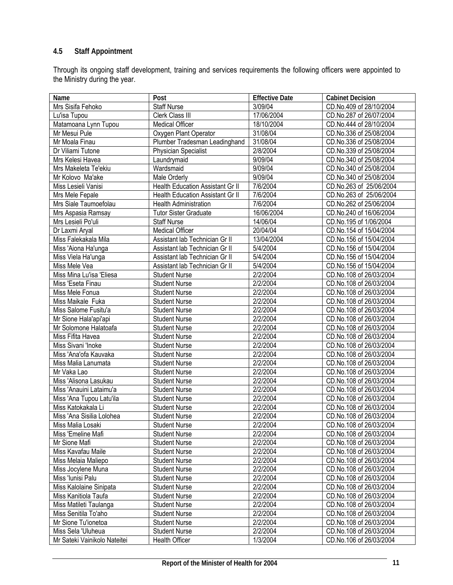# **4.5 Staff Appointment**

Through its ongoing staff development, training and services requirements the following officers were appointed to the Ministry during the year.

| Name                         | Post                             | <b>Effective Date</b> | <b>Cabinet Decision</b>                            |
|------------------------------|----------------------------------|-----------------------|----------------------------------------------------|
| Mrs Sisifa Fehoko            | <b>Staff Nurse</b>               | 3/09/04               | CD.No.409 of 28/10/2004                            |
| Lu'isa Tupou                 | Clerk Class III                  | 17/06/2004            | CD.No.287 of 26/07/2004                            |
| Matamoana Lynn Tupou         | Medical Officer                  | 18/10/2004            | CD.No.444 of 28/10/2004                            |
| Mr Mesui Pule                | Oxygen Plant Operator            | 31/08/04              | CD.No.336 of 25/08/2004                            |
| Mr Moala Finau               | Plumber Tradesman Leadinghand    | 31/08/04              | CD.No.336 of 25/08/2004                            |
| Dr Viliami Tutone            | <b>Physician Specialist</b>      | 2/8/2004              | CD.No.339 of 25/08/2004                            |
| Mrs Kelesi Havea             | Laundrymaid                      | 9/09/04               | CD.No.340 of 25/08/2004                            |
| Mrs Makeleta Te'ekiu         | Wardsmaid                        | 9/09/04               | CD.No.340 of 25/08/2004                            |
| Mr Kolovo Ma'ake             | Male Orderly                     | 9/09/04               | CD.No.340 of 25/08/2004                            |
| Miss Lesieli Vanisi          | Health Education Assistant Gr II | 7/6/2004              | CD.No.263 of 25/06/2004                            |
| Mrs Mele Fepale              | Health Education Assistant Gr II | 7/6/2004              | CD.No.263 of 25/06/2004                            |
| Mrs Siale Taumoefolau        | Health Administration            | 7/6/2004              | CD.No.262 of 25/06/2004                            |
| Mrs Aspasia Ramsay           | <b>Tutor Sister Graduate</b>     | 16/06/2004            | CD.No.240 of 16/06/2004                            |
| Mrs Lesieli Po'uli           | <b>Staff Nurse</b>               | 14/06/04              | CD.No.195 of 1/06/2004                             |
| Dr Laxmi Aryal               | Medical Officer                  | 20/04/04              | CD.No.154 of 15/04/2004                            |
| Miss Falekakala Mila         | Assistant lab Technician Gr II   | 13/04/2004            | CD.No.156 of 15/04/2004                            |
| Miss 'Aiona Ha'unga          | Assistant lab Technician Gr II   | 5/4/2004              | CD.No.156 of 15/04/2004                            |
| Miss Viela Ha'unga           | Assistant lab Technician Gr II   | 5/4/2004              | CD.No.156 of 15/04/2004                            |
| Miss Mele Vea                | Assistant lab Technician Gr II   | 5/4/2004              | CD.No.156 of 15/04/2004                            |
| Miss Mina Lu'isa 'Eliesa     | <b>Student Nurse</b>             | 2/2/2004              | CD.No.108 of 26/03/2004                            |
| Miss 'Eseta Finau            | <b>Student Nurse</b>             | 2/2/2004              | CD.No.108 of 26/03/2004                            |
| Miss Mele Fonua              | <b>Student Nurse</b>             | 2/2/2004              | CD.No.108 of 26/03/2004                            |
| Miss Maikale Fuka            | <b>Student Nurse</b>             | 2/2/2004              | CD.No.108 of 26/03/2004                            |
| Miss Salome Fusitu'a         | <b>Student Nurse</b>             | 2/2/2004              | CD.No.108 of 26/03/2004                            |
| Mr Sione Hala'api'api        | <b>Student Nurse</b>             | 2/2/2004              | CD.No.108 of 26/03/2004                            |
| Mr Solomone Halatoafa        | <b>Student Nurse</b>             | 2/2/2004              | CD.No.108 of 26/03/2004                            |
| Miss Fifita Havea            | <b>Student Nurse</b>             | 2/2/2004              | CD.No.108 of 26/03/2004                            |
| Miss Sivani 'Inoke           | <b>Student Nurse</b>             | 2/2/2004              | CD.No.108 of 26/03/2004                            |
| Miss 'Ana'ofa Kauvaka        | <b>Student Nurse</b>             | 2/2/2004              | CD.No.108 of 26/03/2004                            |
| Miss Malia Lanumata          | <b>Student Nurse</b>             | 2/2/2004              | CD.No.108 of 26/03/2004                            |
| Mr Vaka Lao                  | <b>Student Nurse</b>             | 2/2/2004              | CD.No.108 of 26/03/2004                            |
| Miss 'Alisona Lasukau        | <b>Student Nurse</b>             | 2/2/2004              | CD.No.108 of 26/03/2004                            |
| Miss 'Anauini Lataimu'a      | <b>Student Nurse</b>             | 2/2/2004              | CD.No.108 of 26/03/2004                            |
| Miss 'Ana Tupou Latu'ila     | <b>Student Nurse</b>             | 2/2/2004              | CD.No.108 of 26/03/2004                            |
| Miss Katokakala Li           | <b>Student Nurse</b>             | 2/2/2004              | CD.No.108 of 26/03/2004                            |
| Miss 'Ana Sisilia Lolohea    | <b>Student Nurse</b>             | 2/2/2004              | CD.No.108 of 26/03/2004                            |
| Miss Malia Losaki            | <b>Student Nurse</b>             | 2/2/2004              | CD.No.108 of 26/03/2004                            |
| Miss 'Emeline Mafi           | <b>Student Nurse</b>             | 2/2/2004              | CD.No.108 of 26/03/2004                            |
| Mr Sione Mafi                |                                  | 2/2/2004              | CD.No.108 of 26/03/2004                            |
| Miss Kavafau Maile           | <b>Student Nurse</b>             | 2/2/2004              | CD.No.108 of 26/03/2004                            |
|                              | <b>Student Nurse</b>             | 2/2/2004              |                                                    |
| Miss Melaia Maliepo          | <b>Student Nurse</b>             |                       | CD.No.108 of 26/03/2004<br>CD.No.108 of 26/03/2004 |
| Miss Jocylene Muna           | <b>Student Nurse</b>             | 2/2/2004              |                                                    |
| Miss 'Iunisi Palu            | <b>Student Nurse</b>             | 2/2/2004              | CD.No.108 of 26/03/2004                            |
| Miss Kalolaine Sinipata      | <b>Student Nurse</b>             | 2/2/2004              | CD.No.108 of 26/03/2004                            |
| Miss Kanitiola Taufa         | <b>Student Nurse</b>             | 2/2/2004              | CD.No.108 of 26/03/2004                            |
| Miss Matileti Taulanga       | <b>Student Nurse</b>             | 2/2/2004              | CD.No.108 of 26/03/2004                            |
| Miss Senitila To'aho         | <b>Student Nurse</b>             | 2/2/2004              | CD.No.108 of 26/03/2004                            |
| Mr Sione Tu'ionetoa          | <b>Student Nurse</b>             | 2/2/2004              | CD.No.108 of 26/03/2004                            |
| Miss Sela 'Uluheua           | <b>Student Nurse</b>             | 2/2/2004              | CD.No.108 of 26/03/2004                            |
| Mr Sateki Vainikolo Nateitei | Health Officer                   | 1/3/2004              | CD.No.106 of 26/03/2004                            |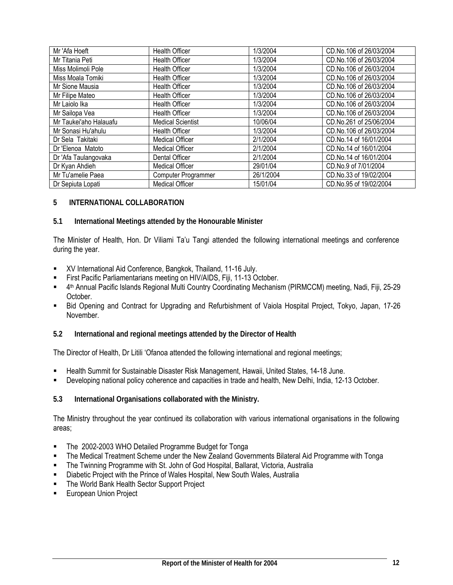| Mr 'Afa Hoeft          | <b>Health Officer</b>      | 1/3/2004  | CD.No.106 of 26/03/2004 |
|------------------------|----------------------------|-----------|-------------------------|
| Mr Titania Peti        | <b>Health Officer</b>      | 1/3/2004  | CD.No.106 of 26/03/2004 |
| Miss Molimoli Pole     | <b>Health Officer</b>      | 1/3/2004  | CD.No.106 of 26/03/2004 |
| Miss Moala Tomiki      | <b>Health Officer</b>      | 1/3/2004  | CD.No.106 of 26/03/2004 |
| Mr Sione Mausia        | <b>Health Officer</b>      | 1/3/2004  | CD.No.106 of 26/03/2004 |
| Mr Filipe Mateo        | <b>Health Officer</b>      | 1/3/2004  | CD.No.106 of 26/03/2004 |
| Mr Laiolo Ika          | <b>Health Officer</b>      | 1/3/2004  | CD.No.106 of 26/03/2004 |
| Mr Sailopa Vea         | <b>Health Officer</b>      | 1/3/2004  | CD.No.106 of 26/03/2004 |
| Mr Taukei'aho Halauafu | <b>Medical Scientist</b>   | 10/06/04  | CD.No.261 of 25/06/2004 |
| Mr Sonasi Hu'ahulu     | <b>Health Officer</b>      | 1/3/2004  | CD.No.106 of 26/03/2004 |
| Dr Sela Takitaki       | <b>Medical Officer</b>     | 2/1/2004  | CD.No.14 of 16/01/2004  |
| Dr 'Elenoa Matoto      | <b>Medical Officer</b>     | 2/1/2004  | CD.No.14 of 16/01/2004  |
| Dr 'Afa Taulangovaka   | Dental Officer             | 2/1/2004  | CD.No.14 of 16/01/2004  |
| Dr Kyan Ahdieh         | <b>Medical Officer</b>     | 29/01/04  | CD.No.9 of 7/01/2004    |
| Mr Tu'amelie Paea      | <b>Computer Programmer</b> | 26/1/2004 | CD.No.33 of 19/02/2004  |
| Dr Sepiuta Lopati      | <b>Medical Officer</b>     | 15/01/04  | CD.No.95 of 19/02/2004  |

### **5 INTERNATIONAL COLLABORATION**

#### **5.1 International Meetings attended by the Honourable Minister**

The Minister of Health, Hon. Dr Viliami Ta'u Tangi attended the following international meetings and conference during the year.

- XV International Aid Conference, Bangkok, Thailand, 11-16 July.
- **First Pacific Parliamentarians meeting on HIV/AIDS, Fiji, 11-13 October.**
- 4th Annual Pacific Islands Regional Multi Country Coordinating Mechanism (PIRMCCM) meeting, Nadi, Fiji, 25-29 October.
- Bid Opening and Contract for Upgrading and Refurbishment of Vaiola Hospital Project, Tokyo, Japan, 17-26 November.
- **5.2 International and regional meetings attended by the Director of Health**

The Director of Health, Dr Litili 'Ofanoa attended the following international and regional meetings;

- Health Summit for Sustainable Disaster Risk Management, Hawaii, United States, 14-18 June.
- Developing national policy coherence and capacities in trade and health, New Delhi, India, 12-13 October.
- **5.3 International Organisations collaborated with the Ministry.**

The Ministry throughout the year continued its collaboration with various international organisations in the following areas;

- **The 2002-2003 WHO Detailed Programme Budget for Tonga**
- The Medical Treatment Scheme under the New Zealand Governments Bilateral Aid Programme with Tonga
- The Twinning Programme with St. John of God Hospital, Ballarat, Victoria, Australia
- Diabetic Project with the Prince of Wales Hospital, New South Wales, Australia
- **The World Bank Health Sector Support Project**
- European Union Project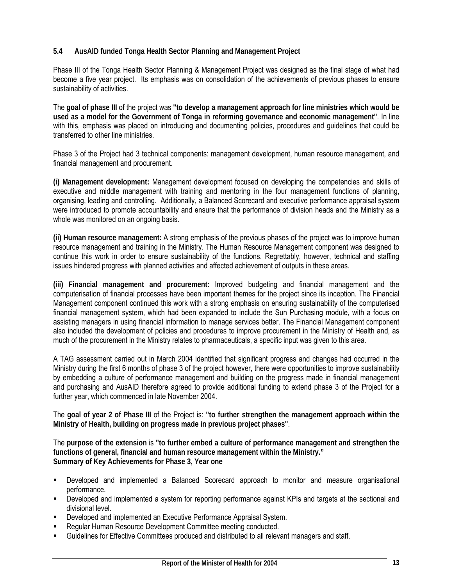### **5.4 AusAID funded Tonga Health Sector Planning and Management Project**

Phase III of the Tonga Health Sector Planning & Management Project was designed as the final stage of what had become a five year project. Its emphasis was on consolidation of the achievements of previous phases to ensure sustainability of activities.

The **goal of phase III** of the project was **"to develop a management approach for line ministries which would be used as a model for the Government of Tonga in reforming governance and economic management"**. In line with this, emphasis was placed on introducing and documenting policies, procedures and guidelines that could be transferred to other line ministries.

Phase 3 of the Project had 3 technical components: management development, human resource management, and financial management and procurement.

**(i) Management development:** Management development focused on developing the competencies and skills of executive and middle management with training and mentoring in the four management functions of planning, organising, leading and controlling. Additionally, a Balanced Scorecard and executive performance appraisal system were introduced to promote accountability and ensure that the performance of division heads and the Ministry as a whole was monitored on an ongoing basis.

**(ii) Human resource management:** A strong emphasis of the previous phases of the project was to improve human resource management and training in the Ministry. The Human Resource Management component was designed to continue this work in order to ensure sustainability of the functions. Regrettably, however, technical and staffing issues hindered progress with planned activities and affected achievement of outputs in these areas.

**(iii) Financial management and procurement:** Improved budgeting and financial management and the computerisation of financial processes have been important themes for the project since its inception. The Financial Management component continued this work with a strong emphasis on ensuring sustainability of the computerised financial management system, which had been expanded to include the Sun Purchasing module, with a focus on assisting managers in using financial information to manage services better. The Financial Management component also included the development of policies and procedures to improve procurement in the Ministry of Health and, as much of the procurement in the Ministry relates to pharmaceuticals, a specific input was given to this area.

A TAG assessment carried out in March 2004 identified that significant progress and changes had occurred in the Ministry during the first 6 months of phase 3 of the project however, there were opportunities to improve sustainability by embedding a culture of performance management and building on the progress made in financial management and purchasing and AusAID therefore agreed to provide additional funding to extend phase 3 of the Project for a further year, which commenced in late November 2004.

The **goal of year 2 of Phase III** of the Project is: **"to further strengthen the management approach within the Ministry of Health, building on progress made in previous project phases"**.

The **purpose of the extension** is **"to further embed a culture of performance management and strengthen the functions of general, financial and human resource management within the Ministry." Summary of Key Achievements for Phase 3, Year one** 

- Developed and implemented a Balanced Scorecard approach to monitor and measure organisational performance.
- Developed and implemented a system for reporting performance against KPIs and targets at the sectional and divisional level.
- Developed and implemented an Executive Performance Appraisal System.
- Regular Human Resource Development Committee meeting conducted.
- Guidelines for Effective Committees produced and distributed to all relevant managers and staff.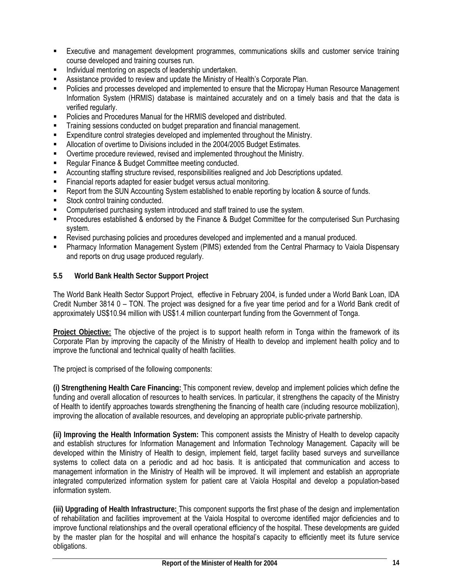- Executive and management development programmes, communications skills and customer service training course developed and training courses run.
- Individual mentoring on aspects of leadership undertaken.
- Assistance provided to review and update the Ministry of Health's Corporate Plan.
- Policies and processes developed and implemented to ensure that the Micropay Human Resource Management Information System (HRMIS) database is maintained accurately and on a timely basis and that the data is verified regularly.
- Policies and Procedures Manual for the HRMIS developed and distributed.
- Training sessions conducted on budget preparation and financial management.
- Expenditure control strategies developed and implemented throughout the Ministry.
- Allocation of overtime to Divisions included in the 2004/2005 Budget Estimates.
- Overtime procedure reviewed, revised and implemented throughout the Ministry.
- **Requiar Finance & Budget Committee meeting conducted.**
- Accounting staffing structure revised, responsibilities realigned and Job Descriptions updated.
- Financial reports adapted for easier budget versus actual monitoring.
- Report from the SUN Accounting System established to enable reporting by location & source of funds.
- Stock control training conducted.
- **EXECOMPUTER 1** Computerised purchasing system introduced and staff trained to use the system.
- Procedures established & endorsed by the Finance & Budget Committee for the computerised Sun Purchasing system.
- Revised purchasing policies and procedures developed and implemented and a manual produced.
- Pharmacy Information Management System (PIMS) extended from the Central Pharmacy to Vaiola Dispensary and reports on drug usage produced regularly.
- **5.5 World Bank Health Sector Support Project**

The World Bank Health Sector Support Project, effective in February 2004, is funded under a World Bank Loan, IDA Credit Number 3814 0 – TON. The project was designed for a five year time period and for a World Bank credit of approximately US\$10.94 million with US\$1.4 million counterpart funding from the Government of Tonga.

**Project Objective:** The objective of the project is to support health reform in Tonga within the framework of its Corporate Plan by improving the capacity of the Ministry of Health to develop and implement health policy and to improve the functional and technical quality of health facilities.

The project is comprised of the following components:

**(i) Strengthening Health Care Financing:** This component review, develop and implement policies which define the funding and overall allocation of resources to health services. In particular, it strengthens the capacity of the Ministry of Health to identify approaches towards strengthening the financing of health care (including resource mobilization), improving the allocation of available resources, and developing an appropriate public-private partnership.

**(ii) Improving the Health Information System:** This component assists the Ministry of Health to develop capacity and establish structures for Information Management and Information Technology Management. Capacity will be developed within the Ministry of Health to design, implement field, target facility based surveys and surveillance systems to collect data on a periodic and ad hoc basis. It is anticipated that communication and access to management information in the Ministry of Health will be improved. It will implement and establish an appropriate integrated computerized information system for patient care at Vaiola Hospital and develop a population-based information system.

**(iii) Upgrading of Health Infrastructure:** This component supports the first phase of the design and implementation of rehabilitation and facilities improvement at the Vaiola Hospital to overcome identified major deficiencies and to improve functional relationships and the overall operational efficiency of the hospital. These developments are guided by the master plan for the hospital and will enhance the hospital's capacity to efficiently meet its future service obligations.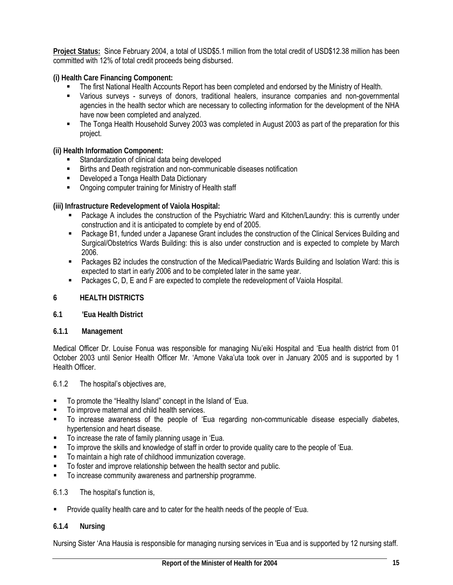**Project Status:** Since February 2004, a total of USD\$5.1 million from the total credit of USD\$12.38 million has been committed with 12% of total credit proceeds being disbursed.

**(i) Health Care Financing Component:** 

- The first National Health Accounts Report has been completed and endorsed by the Ministry of Health.
- Various surveys surveys of donors, traditional healers, insurance companies and non-governmental agencies in the health sector which are necessary to collecting information for the development of the NHA have now been completed and analyzed.
- The Tonga Health Household Survey 2003 was completed in August 2003 as part of the preparation for this project.

**(ii) Health Information Component:** 

- Standardization of clinical data being developed
- Births and Death registration and non-communicable diseases notification
- **Developed a Tonga Health Data Dictionary**
- Ongoing computer training for Ministry of Health staff

**(iii) Infrastructure Redevelopment of Vaiola Hospital:** 

- Package A includes the construction of the Psychiatric Ward and Kitchen/Laundry: this is currently under construction and it is anticipated to complete by end of 2005.
- Package B1, funded under a Japanese Grant includes the construction of the Clinical Services Building and Surgical/Obstetrics Wards Building: this is also under construction and is expected to complete by March 2006.
- Packages B2 includes the construction of the Medical/Paediatric Wards Building and Isolation Ward: this is expected to start in early 2006 and to be completed later in the same year.
- **Packages C, D, E and F are expected to complete the redevelopment of Vaiola Hospital.**

#### **6 HEALTH DISTRICTS**

**6.1 'Eua Health District** 

#### **6.1.1 Management**

Medical Officer Dr. Louise Fonua was responsible for managing Niu'eiki Hospital and 'Eua health district from 01 October 2003 until Senior Health Officer Mr. 'Amone Vaka'uta took over in January 2005 and is supported by 1 Health Officer.

#### 6.1.2 The hospital's objectives are,

- To promote the "Healthy Island" concept in the Island of 'Eua.
- To improve maternal and child health services.
- To increase awareness of the people of 'Eua regarding non-communicable disease especially diabetes, hypertension and heart disease.
- **To increase the rate of family planning usage in 'Eua.**
- To improve the skills and knowledge of staff in order to provide quality care to the people of 'Eua.
- To maintain a high rate of childhood immunization coverage.
- To foster and improve relationship between the health sector and public.
- To increase community awareness and partnership programme.

#### 6.1.3 The hospital's function is,

**Provide quality health care and to cater for the health needs of the people of 'Eua.** 

#### **6.1.4 Nursing**

Nursing Sister 'Ana Hausia is responsible for managing nursing services in 'Eua and is supported by 12 nursing staff.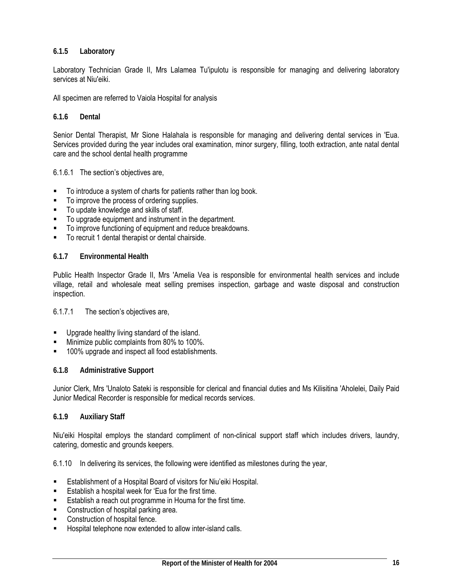### **6.1.5 Laboratory**

Laboratory Technician Grade II, Mrs Lalamea Tu'ipulotu is responsible for managing and delivering laboratory services at Niu'eiki.

All specimen are referred to Vaiola Hospital for analysis

#### **6.1.6 Dental**

Senior Dental Therapist, Mr Sione Halahala is responsible for managing and delivering dental services in 'Eua. Services provided during the year includes oral examination, minor surgery, filling, tooth extraction, ante natal dental care and the school dental health programme

6.1.6.1 The section's objectives are,

- To introduce a system of charts for patients rather than log book.
- $\blacksquare$  To improve the process of ordering supplies.
- To update knowledge and skills of staff.
- To upgrade equipment and instrument in the department.
- To improve functioning of equipment and reduce breakdowns.
- To recruit 1 dental therapist or dental chairside.

#### **6.1.7 Environmental Health**

Public Health Inspector Grade II, Mrs 'Amelia Vea is responsible for environmental health services and include village, retail and wholesale meat selling premises inspection, garbage and waste disposal and construction inspection.

#### 6.1.7.1 The section's objectives are,

- Upgrade healthy living standard of the island.
- Minimize public complaints from 80% to 100%.
- 100% upgrade and inspect all food establishments.

#### **6.1.8 Administrative Support**

Junior Clerk, Mrs 'Unaloto Sateki is responsible for clerical and financial duties and Ms Kilisitina 'Aholelei, Daily Paid Junior Medical Recorder is responsible for medical records services.

#### **6.1.9 Auxiliary Staff**

Niu'eiki Hospital employs the standard compliment of non-clinical support staff which includes drivers, laundry, catering, domestic and grounds keepers.

6.1.10 In delivering its services, the following were identified as milestones during the year,

- Establishment of a Hospital Board of visitors for Niu'eiki Hospital.
- Establish a hospital week for 'Eua for the first time.
- **Establish a reach out programme in Houma for the first time.**
- **EXECONSTRUCTION OF HOSPITAL PARTLE PARTLE CONSTRUCTS**
- Construction of hospital fence.
- Hospital telephone now extended to allow inter-island calls.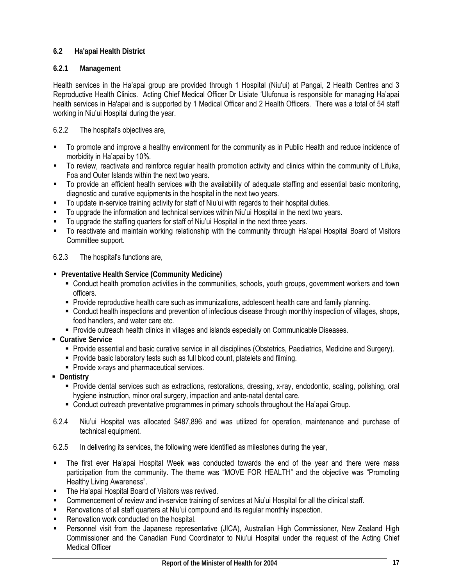# **6.2 Ha'apai Health District**

### **6.2.1 Management**

Health services in the Ha'apai group are provided through 1 Hospital (Niu'ui) at Pangai, 2 Health Centres and 3 Reproductive Health Clinics. Acting Chief Medical Officer Dr Lisiate 'Ulufonua is responsible for managing Ha'apai health services in Ha'apai and is supported by 1 Medical Officer and 2 Health Officers. There was a total of 54 staff working in Niu'ui Hospital during the year.

### 6.2.2 The hospital's objectives are,

- To promote and improve a healthy environment for the community as in Public Health and reduce incidence of morbidity in Ha'apai by 10%.
- To review, reactivate and reinforce regular health promotion activity and clinics within the community of Lifuka, Foa and Outer Islands within the next two years.
- To provide an efficient health services with the availability of adequate staffing and essential basic monitoring, diagnostic and curative equipments in the hospital in the next two years.
- To update in-service training activity for staff of Niu'ui with regards to their hospital duties.
- To upgrade the information and technical services within Niu'ui Hospital in the next two years.
- To upgrade the staffing quarters for staff of Niu'ui Hospital in the next three years.
- To reactivate and maintain working relationship with the community through Ha'apai Hospital Board of Visitors Committee support.

#### 6.2.3 The hospital's functions are,

- **Preventative Health Service (Community Medicine)** 
	- Conduct health promotion activities in the communities, schools, youth groups, government workers and town officers.
	- Provide reproductive health care such as immunizations, adolescent health care and family planning.
	- Conduct health inspections and prevention of infectious disease through monthly inspection of villages, shops, food handlers, and water care etc.
	- **Provide outreach health clinics in villages and islands especially on Communicable Diseases.**
- **Curative Service**
	- Provide essential and basic curative service in all disciplines (Obstetrics, Paediatrics, Medicine and Surgery).
	- Provide basic laboratory tests such as full blood count, platelets and filming.
	- Provide x-rays and pharmaceutical services.
- **-** Dentistry
	- Provide dental services such as extractions, restorations, dressing, x-ray, endodontic, scaling, polishing, oral hygiene instruction, minor oral surgery, impaction and ante-natal dental care.
	- Conduct outreach preventative programmes in primary schools throughout the Ha'apai Group.
- 6.2.4 Niu'ui Hospital was allocated \$487,896 and was utilized for operation, maintenance and purchase of technical equipment.
- 6.2.5 In delivering its services, the following were identified as milestones during the year,
- The first ever Ha'apai Hospital Week was conducted towards the end of the year and there were mass participation from the community. The theme was "MOVE FOR HEALTH" and the objective was "Promoting Healthy Living Awareness".
- The Ha'apai Hospital Board of Visitors was revived.
- Commencement of review and in-service training of services at Niu'ui Hospital for all the clinical staff.
- Renovations of all staff quarters at Niu'ui compound and its regular monthly inspection.
- Renovation work conducted on the hospital.
- Personnel visit from the Japanese representative (JICA), Australian High Commissioner, New Zealand High Commissioner and the Canadian Fund Coordinator to Niu'ui Hospital under the request of the Acting Chief Medical Officer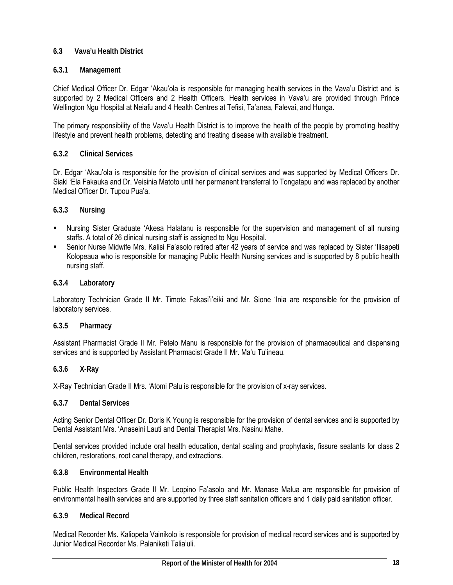### **6.3 Vava'u Health District**

### **6.3.1 Management**

Chief Medical Officer Dr. Edgar 'Akau'ola is responsible for managing health services in the Vava'u District and is supported by 2 Medical Officers and 2 Health Officers. Health services in Vava'u are provided through Prince Wellington Ngu Hospital at Neiafu and 4 Health Centres at Tefisi, Ta'anea, Falevai, and Hunga.

The primary responsibility of the Vava'u Health District is to improve the health of the people by promoting healthy lifestyle and prevent health problems, detecting and treating disease with available treatment.

### **6.3.2 Clinical Services**

Dr. Edgar 'Akau'ola is responsible for the provision of clinical services and was supported by Medical Officers Dr. Siaki 'Ela Fakauka and Dr. Veisinia Matoto until her permanent transferral to Tongatapu and was replaced by another Medical Officer Dr. Tupou Pua'a.

### **6.3.3 Nursing**

- Nursing Sister Graduate 'Akesa Halatanu is responsible for the supervision and management of all nursing staffs. A total of 26 clinical nursing staff is assigned to Ngu Hospital.
- Senior Nurse Midwife Mrs. Kalisi Fa'asolo retired after 42 years of service and was replaced by Sister 'Ilisapeti Kolopeaua who is responsible for managing Public Health Nursing services and is supported by 8 public health nursing staff.

#### **6.3.4 Laboratory**

Laboratory Technician Grade II Mr. Timote Fakasi'i'eiki and Mr. Sione 'Inia are responsible for the provision of laboratory services.

#### **6.3.5 Pharmacy**

Assistant Pharmacist Grade II Mr. Petelo Manu is responsible for the provision of pharmaceutical and dispensing services and is supported by Assistant Pharmacist Grade II Mr. Ma'u Tu'ineau.

#### **6.3.6 X-Ray**

X-Ray Technician Grade II Mrs. 'Atomi Palu is responsible for the provision of x-ray services.

#### **6.3.7 Dental Services**

Acting Senior Dental Officer Dr. Doris K Young is responsible for the provision of dental services and is supported by Dental Assistant Mrs. 'Anaseini Lauti and Dental Therapist Mrs. Nasinu Mahe.

Dental services provided include oral health education, dental scaling and prophylaxis, fissure sealants for class 2 children, restorations, root canal therapy, and extractions.

#### **6.3.8 Environmental Health**

Public Health Inspectors Grade II Mr. Leopino Fa'asolo and Mr. Manase Malua are responsible for provision of environmental health services and are supported by three staff sanitation officers and 1 daily paid sanitation officer.

#### **6.3.9 Medical Record**

Medical Recorder Ms. Kaliopeta Vainikolo is responsible for provision of medical record services and is supported by Junior Medical Recorder Ms. Palaniketi Talia'uli.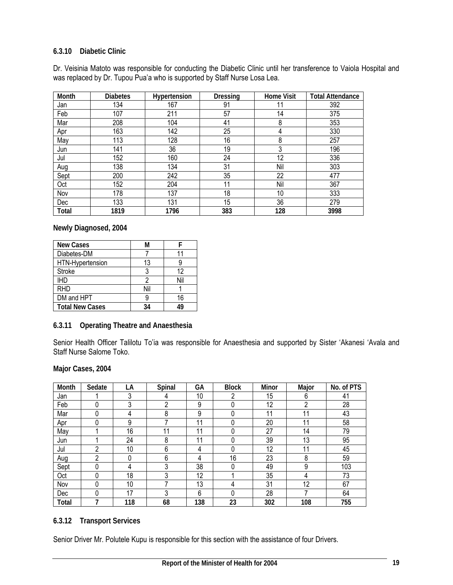### **6.3.10 Diabetic Clinic**

Dr. Veisinia Matoto was responsible for conducting the Diabetic Clinic until her transference to Vaiola Hospital and was replaced by Dr. Tupou Pua'a who is supported by Staff Nurse Losa Lea.

| Month | <b>Diabetes</b> | Hypertension | <b>Dressing</b> | <b>Home Visit</b> | <b>Total Attendance</b> |
|-------|-----------------|--------------|-----------------|-------------------|-------------------------|
| Jan   | 134             | 167          | 91              | 11                | 392                     |
| Feb   | 107             | 211          | 57              | 14                | 375                     |
| Mar   | 208             | 104          | 41              | 8                 | 353                     |
| Apr   | 163             | 142          | 25              | 4                 | 330                     |
| May   | 113             | 128          | 16              | 8                 | 257                     |
| Jun   | 141             | 36           | 19              | 3                 | 196                     |
| Jul   | 152             | 160          | 24              | 12                | 336                     |
| Aug   | 138             | 134          | 31              | Nil               | 303                     |
| Sept  | 200             | 242          | 35              | 22                | 477                     |
| Oct   | 152             | 204          | 11              | Nil               | 367                     |
| Nov   | 178             | 137          | 18              | 10                | 333                     |
| Dec   | 133             | 131          | 15              | 36                | 279                     |
| Total | 1819            | 1796         | 383             | 128               | 3998                    |

**Newly Diagnosed, 2004** 

| <b>New Cases</b>       | м   |     |
|------------------------|-----|-----|
| Diabetes-DM            |     | ۱1  |
| HTN-Hypertension       | 13  |     |
| <b>Stroke</b>          |     | 12  |
| <b>IHD</b>             |     | Nil |
| <b>RHD</b>             | Nil |     |
| DM and HPT             |     | 16  |
| <b>Total New Cases</b> | 34  |     |

**6.3.11 Operating Theatre and Anaesthesia** 

Senior Health Officer Talilotu To'ia was responsible for Anaesthesia and supported by Sister 'Akanesi 'Avala and Staff Nurse Salome Toko.

#### **Major Cases, 2004**

| Month        | Sedate | LA  | Spinal | GА  | <b>Block</b> | Minor | Major | No. of PTS |
|--------------|--------|-----|--------|-----|--------------|-------|-------|------------|
| Jan          |        | 3   | 4      | 10  | 2            | 15    | 6     | 41         |
| Feb          | 0      | 3   | ŋ      | 9   |              | 12    | 2     | 28         |
| Mar          | 0      | 4   | 8      | 9   |              | 11    | 11    | 43         |
| Apr          | 0      | 9   |        | 11  |              | 20    | 11    | 58         |
| May          |        | 16  | 11     | 11  |              | 27    | 14    | 79         |
| Jun          |        | 24  | 8      | 11  |              | 39    | 13    | 95         |
| Jul          | 2      | 10  | 6      | 4   | 0            | 12    | 11    | 45         |
| Aug          | 2      | 0   | 6      | 4   | 16           | 23    | 8     | 59         |
| Sept         | 0      | 4   | 3      | 38  | 0            | 49    | 9     | 103        |
| Oct          | 0      | 18  | 3      | 12  |              | 35    | 4     | 73         |
| Nov          | 0      | 10  |        | 13  | 4            | 31    | 12    | 67         |
| Dec          | 0      | 17  | 3      | 6   | 0            | 28    |       | 64         |
| <b>Total</b> | 7      | 118 | 68     | 138 | 23           | 302   | 108   | 755        |

### **6.3.12 Transport Services**

Senior Driver Mr. Polutele Kupu is responsible for this section with the assistance of four Drivers.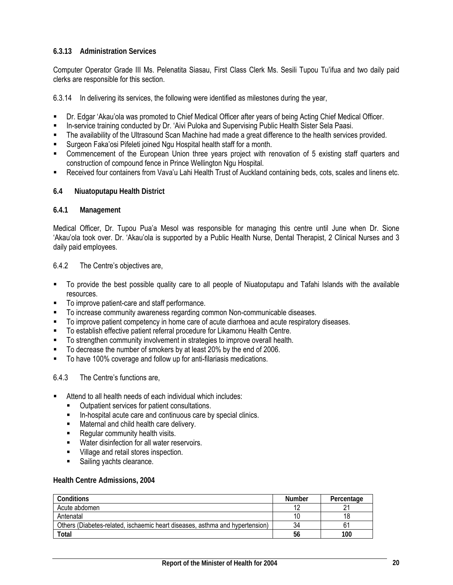### **6.3.13 Administration Services**

Computer Operator Grade III Ms. Pelenatita Siasau, First Class Clerk Ms. Sesili Tupou Tu'ifua and two daily paid clerks are responsible for this section.

6.3.14 In delivering its services, the following were identified as milestones during the year,

- Dr. Edgar 'Akau'ola was promoted to Chief Medical Officer after years of being Acting Chief Medical Officer.
- In-service training conducted by Dr. 'Aivi Puloka and Supervising Public Health Sister Sela Paasi.
- The availability of the Ultrasound Scan Machine had made a great difference to the health services provided.
- Surgeon Faka'osi Pifeleti joined Ngu Hospital health staff for a month.
- Commencement of the European Union three years project with renovation of 5 existing staff quarters and construction of compound fence in Prince Wellington Ngu Hospital.
- Received four containers from Vava'u Lahi Health Trust of Auckland containing beds, cots, scales and linens etc.

#### **6.4 Niuatoputapu Health District**

#### **6.4.1 Management**

Medical Officer, Dr. Tupou Pua'a Mesol was responsible for managing this centre until June when Dr. Sione 'Akau'ola took over. Dr. 'Akau'ola is supported by a Public Health Nurse, Dental Therapist, 2 Clinical Nurses and 3 daily paid employees.

#### 6.4.2 The Centre's objectives are,

- To provide the best possible quality care to all people of Niuatoputapu and Tafahi Islands with the available resources.
- To improve patient-care and staff performance.
- To increase community awareness regarding common Non-communicable diseases.
- To improve patient competency in home care of acute diarrhoea and acute respiratory diseases.
- To establish effective patient referral procedure for Likamonu Health Centre.
- To strengthen community involvement in strategies to improve overall health.
- To decrease the number of smokers by at least 20% by the end of 2006.
- To have 100% coverage and follow up for anti-filariasis medications.

### 6.4.3 The Centre's functions are,

- Attend to all health needs of each individual which includes:
	- Outpatient services for patient consultations.
	- **In-hospital acute care and continuous care by special clinics.**
	- **Maternal and child health care delivery.**
	- **Regular community health visits.**
	- **Water disinfection for all water reservoirs.**
	- **Village and retail stores inspection.**
	- Sailing yachts clearance.

#### **Health Centre Admissions, 2004**

| Conditions                                                                   | Number | Percentage |
|------------------------------------------------------------------------------|--------|------------|
| Acute abdomen                                                                | $\sim$ |            |
| Antenatal                                                                    |        | 18         |
| Others (Diabetes-related, ischaemic heart diseases, asthma and hypertension) | 34     | 61         |
| Total                                                                        | 56     | 100        |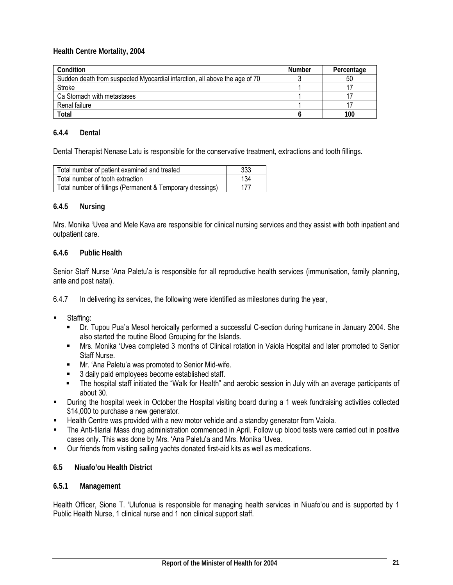**Health Centre Mortality, 2004** 

| Condition                                                                  | <b>Number</b> | Percentage |
|----------------------------------------------------------------------------|---------------|------------|
| Sudden death from suspected Myocardial infarction, all above the age of 70 |               | 50         |
| Stroke                                                                     |               |            |
| Ca Stomach with metastases                                                 |               |            |
| Renal failure                                                              |               |            |
| Total                                                                      |               | 100        |

#### **6.4.4 Dental**

Dental Therapist Nenase Latu is responsible for the conservative treatment, extractions and tooth fillings.

| Total number of patient examined and treated               | 333 |
|------------------------------------------------------------|-----|
| Total number of tooth extraction                           | 134 |
| Total number of fillings (Permanent & Temporary dressings) | 177 |

#### **6.4.5 Nursing**

Mrs. Monika 'Uvea and Mele Kava are responsible for clinical nursing services and they assist with both inpatient and outpatient care.

#### **6.4.6 Public Health**

Senior Staff Nurse 'Ana Paletu'a is responsible for all reproductive health services (immunisation, family planning, ante and post natal).

6.4.7 In delivering its services, the following were identified as milestones during the year,

- Staffing:
	- Dr. Tupou Pua'a Mesol heroically performed a successful C-section during hurricane in January 2004. She also started the routine Blood Grouping for the Islands.
	- Mrs. Monika 'Uvea completed 3 months of Clinical rotation in Vaiola Hospital and later promoted to Senior Staff Nurse.
	- Mr. 'Ana Paletu'a was promoted to Senior Mid-wife.
	- 3 daily paid employees become established staff.
	- The hospital staff initiated the "Walk for Health" and aerobic session in July with an average participants of about 30.
- During the hospital week in October the Hospital visiting board during a 1 week fundraising activities collected \$14,000 to purchase a new generator.
- Health Centre was provided with a new motor vehicle and a standby generator from Vaiola.
- The Anti-filarial Mass drug administration commenced in April. Follow up blood tests were carried out in positive cases only. This was done by Mrs. 'Ana Paletu'a and Mrs. Monika 'Uvea.
- Our friends from visiting sailing yachts donated first-aid kits as well as medications.
- **6.5 Niuafo'ou Health District**

#### **6.5.1 Management**

Health Officer, Sione T. 'Ulufonua is responsible for managing health services in Niuafo'ou and is supported by 1 Public Health Nurse, 1 clinical nurse and 1 non clinical support staff.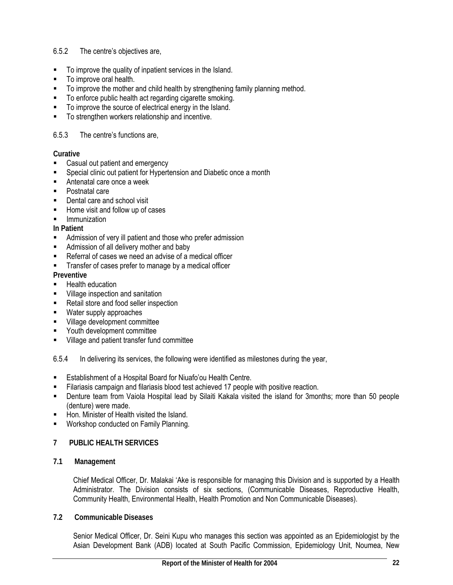### 6.5.2 The centre's objectives are,

- To improve the quality of inpatient services in the Island.
- To improve oral health.
- To improve the mother and child health by strengthening family planning method.
- To enforce public health act regarding cigarette smoking.
- To improve the source of electrical energy in the Island.
- To strengthen workers relationship and incentive.

### 6.5.3 The centre's functions are,

### **Curative**

- **EXEC** Casual out patient and emergency
- Special clinic out patient for Hypertension and Diabetic once a month
- Antenatal care once a week
- **Postnatal care**
- Dental care and school visit
- Home visit and follow up of cases
- Immunization

### **In Patient**

- **EXECUTE:** Admission of very ill patient and those who prefer admission
- Admission of all delivery mother and baby
- Referral of cases we need an advise of a medical officer
- **Transfer of cases prefer to manage by a medical officer**

# **Preventive**

- Health education
- **Village inspection and sanitation**
- Retail store and food seller inspection
- **Water supply approaches**
- **Village development committee**
- Youth development committee
- **UILAGE 8 11 Studient transfer fund committee**

6.5.4 In delivering its services, the following were identified as milestones during the year,

- Establishment of a Hospital Board for Niuafo'ou Health Centre.
- Filariasis campaign and filariasis blood test achieved 17 people with positive reaction.
- Denture team from Vaiola Hospital lead by Silaiti Kakala visited the island for 3months; more than 50 people (denture) were made.
- Hon. Minister of Health visited the Island.
- Workshop conducted on Family Planning.

### **7 PUBLIC HEALTH SERVICES**

**7.1 Management** 

Chief Medical Officer, Dr. Malakai 'Ake is responsible for managing this Division and is supported by a Health Administrator. The Division consists of six sections, (Communicable Diseases, Reproductive Health, Community Health, Environmental Health, Health Promotion and Non Communicable Diseases).

### **7.2 Communicable Diseases**

Senior Medical Officer, Dr. Seini Kupu who manages this section was appointed as an Epidemiologist by the Asian Development Bank (ADB) located at South Pacific Commission, Epidemiology Unit, Noumea, New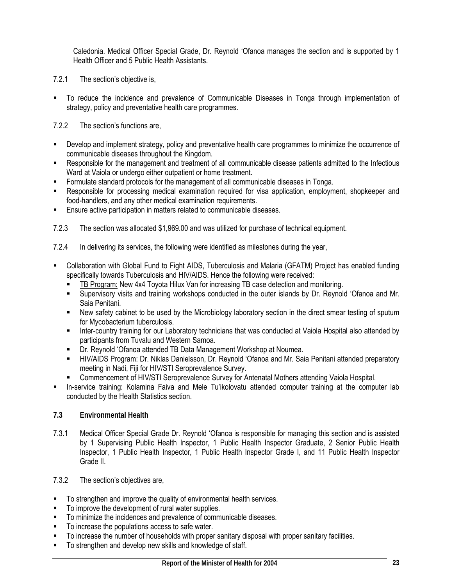Caledonia. Medical Officer Special Grade, Dr. Reynold 'Ofanoa manages the section and is supported by 1 Health Officer and 5 Public Health Assistants.

- 7.2.1 The section's objective is,
- To reduce the incidence and prevalence of Communicable Diseases in Tonga through implementation of strategy, policy and preventative health care programmes.

7.2.2 The section's functions are,

- Develop and implement strategy, policy and preventative health care programmes to minimize the occurrence of communicable diseases throughout the Kingdom.
- Responsible for the management and treatment of all communicable disease patients admitted to the Infectious Ward at Vaiola or undergo either outpatient or home treatment.
- Formulate standard protocols for the management of all communicable diseases in Tonga.
- Responsible for processing medical examination required for visa application, employment, shopkeeper and food-handlers, and any other medical examination requirements.
- **Ensure active participation in matters related to communicable diseases.**
- 7.2.3 The section was allocated \$1,969.00 and was utilized for purchase of technical equipment.
- 7.2.4 In delivering its services, the following were identified as milestones during the year,
- Collaboration with Global Fund to Fight AIDS, Tuberculosis and Malaria (GFATM) Project has enabled funding specifically towards Tuberculosis and HIV/AIDS. Hence the following were received:
	- TB Program: New 4x4 Toyota Hilux Van for increasing TB case detection and monitoring.
	- Supervisory visits and training workshops conducted in the outer islands by Dr. Reynold 'Ofanoa and Mr. Saia Penitani.
	- New safety cabinet to be used by the Microbiology laboratory section in the direct smear testing of sputum for Mycobacterium tuberculosis.
	- **Inter-country training for our Laboratory technicians that was conducted at Vaiola Hospital also attended by** participants from Tuvalu and Western Samoa.
	- **-** Dr. Reynold 'Ofanoa attended TB Data Management Workshop at Noumea.
	- HIV/AIDS Program: Dr. Niklas Danielsson, Dr. Reynold 'Ofanoa and Mr. Saia Penitani attended preparatory meeting in Nadi, Fiji for HIV/STI Seroprevalence Survey.
	- Commencement of HIV/STI Seroprevalence Survey for Antenatal Mothers attending Vaiola Hospital.
- In-service training: Kolamina Faiva and Mele Tu'ikolovatu attended computer training at the computer lab conducted by the Health Statistics section.

### **7.3 Environmental Health**

- 7.3.1 Medical Officer Special Grade Dr. Reynold 'Ofanoa is responsible for managing this section and is assisted by 1 Supervising Public Health Inspector, 1 Public Health Inspector Graduate, 2 Senior Public Health Inspector, 1 Public Health Inspector, 1 Public Health Inspector Grade I, and 11 Public Health Inspector Grade II.
- 7.3.2 The section's objectives are,
- To strengthen and improve the quality of environmental health services.
- To improve the development of rural water supplies.
- To minimize the incidences and prevalence of communicable diseases.
- To increase the populations access to safe water.
- To increase the number of households with proper sanitary disposal with proper sanitary facilities.
- To strengthen and develop new skills and knowledge of staff.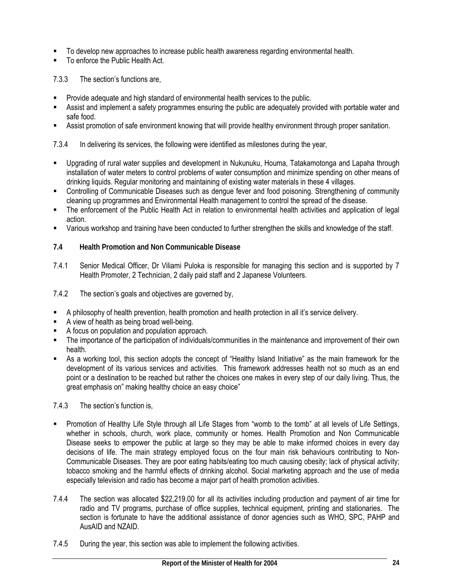- To develop new approaches to increase public health awareness regarding environmental health.
- To enforce the Public Health Act.

7.3.3 The section's functions are,

- Provide adequate and high standard of environmental health services to the public.
- Assist and implement a safety programmes ensuring the public are adequately provided with portable water and safe food.
- Assist promotion of safe environment knowing that will provide healthy environment through proper sanitation.

7.3.4 In delivering its services, the following were identified as milestones during the year,

- Upgrading of rural water supplies and development in Nukunuku, Houma, Tatakamotonga and Lapaha through installation of water meters to control problems of water consumption and minimize spending on other means of drinking liquids. Regular monitoring and maintaining of existing water materials in these 4 villages.
- Controlling of Communicable Diseases such as dengue fever and food poisoning. Strengthening of community cleaning up programmes and Environmental Health management to control the spread of the disease.
- The enforcement of the Public Health Act in relation to environmental health activities and application of legal action.
- Various workshop and training have been conducted to further strengthen the skills and knowledge of the staff.
- **7.4 Health Promotion and Non Communicable Disease**
- 7.4.1 Senior Medical Officer, Dr Viliami Puloka is responsible for managing this section and is supported by 7 Health Promoter, 2 Technician, 2 daily paid staff and 2 Japanese Volunteers.
- 7.4.2 The section's goals and objectives are governed by,
- A philosophy of health prevention, health promotion and health protection in all it's service delivery.
- A view of health as being broad well-being.
- A focus on population and population approach.
- The importance of the participation of individuals/communities in the maintenance and improvement of their own health.
- As a working tool, this section adopts the concept of "Healthy Island Initiative" as the main framework for the development of its various services and activities. This framework addresses health not so much as an end point or a destination to be reached but rather the choices one makes in every step of our daily living. Thus, the great emphasis on" making healthy choice an easy choice"

7.4.3 The section's function is,

- Promotion of Healthy Life Style through all Life Stages from "womb to the tomb" at all levels of Life Settings, whether in schools, church, work place, community or homes. Health Promotion and Non Communicable Disease seeks to empower the public at large so they may be able to make informed choices in every day decisions of life. The main strategy employed focus on the four main risk behaviours contributing to Non-Communicable Diseases. They are poor eating habits/eating too much causing obesity; lack of physical activity; tobacco smoking and the harmful effects of drinking alcohol. Social marketing approach and the use of media especially television and radio has become a major part of health promotion activities.
- 7.4.4 The section was allocated \$22,219.00 for all its activities including production and payment of air time for radio and TV programs, purchase of office supplies, technical equipment, printing and stationaries. The section is fortunate to have the additional assistance of donor agencies such as WHO, SPC, PAHP and AusAID and NZAID.
- 7.4.5 During the year, this section was able to implement the following activities.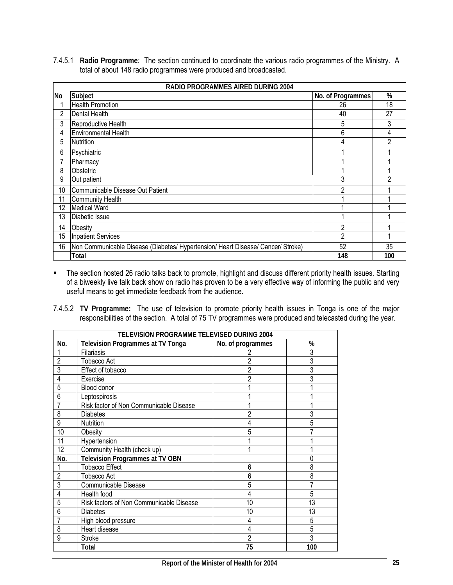7.4.5.1 **Radio Programme***:* The section continued to coordinate the various radio programmes of the Ministry. A total of about 148 radio programmes were produced and broadcasted.

|    | RADIO PROGRAMMES AIRED DURING 2004                                               |                   |     |  |  |  |  |  |
|----|----------------------------------------------------------------------------------|-------------------|-----|--|--|--|--|--|
| No | Subject                                                                          | No. of Programmes | %   |  |  |  |  |  |
|    | <b>Health Promotion</b>                                                          | 26                | 18  |  |  |  |  |  |
| 2  | Dental Health                                                                    | 40                | 27  |  |  |  |  |  |
| 3  | Reproductive Health                                                              | 5                 | 3   |  |  |  |  |  |
| 4  | <b>Environmental Health</b>                                                      | 6                 | 4   |  |  |  |  |  |
| 5  | <b>Nutrition</b>                                                                 | 4                 | 2   |  |  |  |  |  |
| 6  | Psychiatric                                                                      |                   |     |  |  |  |  |  |
|    | Pharmacy                                                                         |                   |     |  |  |  |  |  |
| 8  | Obstetric                                                                        |                   |     |  |  |  |  |  |
| 9  | Out patient                                                                      | 3                 | 2   |  |  |  |  |  |
| 10 | Communicable Disease Out Patient                                                 | 2                 |     |  |  |  |  |  |
| 11 | <b>Community Health</b>                                                          |                   |     |  |  |  |  |  |
| 12 | Medical Ward                                                                     |                   |     |  |  |  |  |  |
| 13 | Diabetic Issue                                                                   |                   |     |  |  |  |  |  |
| 14 | Obesity                                                                          | 2                 |     |  |  |  |  |  |
| 15 | Inpatient Services                                                               | $\mathfrak{p}$    |     |  |  |  |  |  |
| 16 | Non Communicable Disease (Diabetes/ Hypertension/ Heart Disease/ Cancer/ Stroke) | 52                | 35  |  |  |  |  |  |
|    | Total                                                                            | 148               | 100 |  |  |  |  |  |

- The section hosted 26 radio talks back to promote, highlight and discuss different priority health issues. Starting of a biweekly live talk back show on radio has proven to be a very effective way of informing the public and very useful means to get immediate feedback from the audience.
- 7.4.5.2 **TV Programme:** The use of television to promote priority health issues in Tonga is one of the major responsibilities of the section. A total of 75 TV programmes were produced and telecasted during the year.

|                | TELEVISION PROGRAMME TELEVISED DURING 2004 |                   |                 |  |  |  |  |  |
|----------------|--------------------------------------------|-------------------|-----------------|--|--|--|--|--|
| No.            | <b>Television Programmes at TV Tonga</b>   | No. of programmes | %               |  |  |  |  |  |
|                | Filariasis                                 |                   | 3               |  |  |  |  |  |
| $\overline{2}$ | Tobacco Act                                |                   | 3               |  |  |  |  |  |
| 3              | Effect of tobacco                          |                   | $\overline{3}$  |  |  |  |  |  |
| 4              | Exercise                                   |                   | 3               |  |  |  |  |  |
| 5              | Blood donor                                |                   |                 |  |  |  |  |  |
| 6              | Leptospirosis                              |                   |                 |  |  |  |  |  |
| 7              | Risk factor of Non Communicable Disease    |                   |                 |  |  |  |  |  |
| 8              | <b>Diabetes</b>                            | $\overline{2}$    | 3               |  |  |  |  |  |
| 9              | Nutrition                                  |                   | 5               |  |  |  |  |  |
| 10             | Obesity                                    | 5                 |                 |  |  |  |  |  |
| 11             | Hypertension                               |                   |                 |  |  |  |  |  |
| 12             | Community Health (check up)                |                   |                 |  |  |  |  |  |
| No.            | <b>Television Programmes at TV OBN</b>     |                   | 0               |  |  |  |  |  |
|                | <b>Tobacco Effect</b>                      | 6                 | 8               |  |  |  |  |  |
| $\overline{2}$ | Tobacco Act                                | 6                 | 8               |  |  |  |  |  |
| 3              | Communicable Disease                       | 5                 | 7               |  |  |  |  |  |
| 4              | Health food                                | 4                 | 5               |  |  |  |  |  |
| 5              | Risk factors of Non Communicable Disease   | 10                | $\overline{13}$ |  |  |  |  |  |
| 6              | <b>Diabetes</b>                            | 10                | $\overline{13}$ |  |  |  |  |  |
| 7              | High blood pressure                        | 4                 | 5               |  |  |  |  |  |
| 8              | Heart disease                              | 4                 | 5               |  |  |  |  |  |
| 9              | Stroke                                     | 2                 | 3               |  |  |  |  |  |
|                | Total                                      | 75                | 100             |  |  |  |  |  |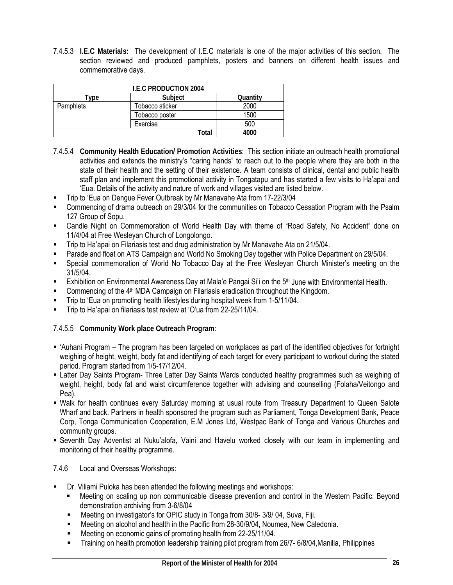7.4.5.3 **I.E.C Materials:** The development of I.E.C materials is one of the major activities of this section. The section reviewed and produced pamphlets, posters and banners on different health issues and commemorative days.

| <b>I.E.C PRODUCTION 2004</b> |                 |          |  |  |  |  |  |
|------------------------------|-----------------|----------|--|--|--|--|--|
| vpe                          | Subject         | Quantity |  |  |  |  |  |
| Pamphlets                    | Tobacco sticker | 2000     |  |  |  |  |  |
|                              | Tobacco poster  | 1500     |  |  |  |  |  |
|                              | Exercise        | 500      |  |  |  |  |  |
|                              | Total           | 4000     |  |  |  |  |  |

- 7.4.5.4 **Community Health Education/ Promotion Activities**: This section initiate an outreach health promotional activities and extends the ministry's "caring hands" to reach out to the people where they are both in the state of their health and the setting of their existence. A team consists of clinical, dental and public health staff plan and implement this promotional activity in Tongatapu and has started a few visits to Ha'apai and 'Eua. Details of the activity and nature of work and villages visited are listed below.
- Trip to 'Eua on Dengue Fever Outbreak by Mr Manavahe Ata from 17-22/3/04
- Commencing of drama outreach on 29/3/04 for the communities on Tobacco Cessation Program with the Psalm 127 Group of Sopu.
- Candle Night on Commemoration of World Health Day with theme of "Road Safety, No Accident" done on 11/4/04 at Free Wesleyan Church of Longolongo.
- Trip to Ha'apai on Filariasis test and drug administration by Mr Manavahe Ata on 21/5/04.
- Parade and float on ATS Campaign and World No Smoking Day together with Police Department on 29/5/04.
- Special commemoration of World No Tobacco Day at the Free Wesleyan Church Minister's meeting on the 31/5/04.
- **Exhibition on Environmental Awareness Day at Mala'e Pangai Si'i on the 5<sup>th</sup> June with Environmental Health.**
- Commencing of the 4<sup>th</sup> MDA Campaign on Filariasis eradication throughout the Kingdom.
- Trip to 'Eua on promoting health lifestyles during hospital week from 1-5/11/04.
- Trip to Ha'apai on filariasis test review at 'O'ua from 22-25/11/04.

7.4.5.5 **Community Work place Outreach Program**:

- 'Auhani Program The program has been targeted on workplaces as part of the identified objectives for fortnight weighing of height, weight, body fat and identifying of each target for every participant to workout during the stated period. Program started from 1/5-17/12/04.
- Latter Day Saints Program- Three Latter Day Saints Wards conducted healthy programmes such as weighing of weight, height, body fat and waist circumference together with advising and counselling (Folaha/Veitongo and Pea).
- Walk for health continues every Saturday morning at usual route from Treasury Department to Queen Salote Wharf and back. Partners in health sponsored the program such as Parliament, Tonga Development Bank, Peace Corp, Tonga Communication Cooperation, E.M Jones Ltd, Westpac Bank of Tonga and Various Churches and community groups.
- Seventh Day Adventist at Nuku'alofa, Vaini and Havelu worked closely with our team in implementing and monitoring of their healthy programme.
- 7.4.6 Local and Overseas Workshops:
- Dr. Viliami Puloka has been attended the following meetings and workshops:
	- Meeting on scaling up non communicable disease prevention and control in the Western Pacific: Beyond demonstration archiving from 3-6/8/04
	- Meeting on investigator's for OPIC study in Tonga from 30/8- 3/9/ 04, Suva, Fiji.
	- Meeting on alcohol and health in the Pacific from 28-30/9/04, Noumea, New Caledonia.
	- Meeting on economic gains of promoting health from 22-25/11/04.
	- Training on health promotion leadership training pilot program from 26/7- 6/8/04,Manilla, Philippines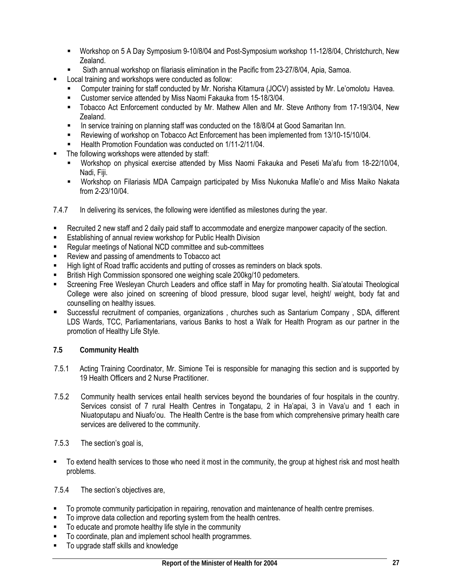- Workshop on 5 A Day Symposium 9-10/8/04 and Post-Symposium workshop 11-12/8/04, Christchurch, New Zealand.
- Sixth annual workshop on filariasis elimination in the Pacific from 23-27/8/04, Apia, Samoa.
- Local training and workshops were conducted as follow:
	- Computer training for staff conducted by Mr. Norisha Kitamura (JOCV) assisted by Mr. Le'omolotu Havea.
	- Customer service attended by Miss Naomi Fakauka from 15-18/3/04.
	- Tobacco Act Enforcement conducted by Mr. Mathew Allen and Mr. Steve Anthony from 17-19/3/04, New Zealand.
	- In service training on planning staff was conducted on the 18/8/04 at Good Samaritan Inn.
	- Reviewing of workshop on Tobacco Act Enforcement has been implemented from 13/10-15/10/04.
	- Health Promotion Foundation was conducted on 1/11-2/11/04.
- The following workshops were attended by staff:
	- Workshop on physical exercise attended by Miss Naomi Fakauka and Peseti Ma'afu from 18-22/10/04, Nadi, Fiji.
	- Workshop on Filariasis MDA Campaign participated by Miss Nukonuka Mafile'o and Miss Maiko Nakata from 2-23/10/04.
- 7.4.7 In delivering its services, the following were identified as milestones during the year.
- Recruited 2 new staff and 2 daily paid staff to accommodate and energize manpower capacity of the section.
- **E** Establishing of annual review workshop for Public Health Division
- Regular meetings of National NCD committee and sub-committees
- Review and passing of amendments to Tobacco act
- High light of Road traffic accidents and putting of crosses as reminders on black spots.
- British High Commission sponsored one weighing scale 200kg/10 pedometers.
- Screening Free Wesleyan Church Leaders and office staff in May for promoting health. Sia'atoutai Theological College were also joined on screening of blood pressure, blood sugar level, height/ weight, body fat and counselling on healthy issues.
- Successful recruitment of companies, organizations , churches such as Santarium Company , SDA, different LDS Wards, TCC, Parliamentarians, various Banks to host a Walk for Health Program as our partner in the promotion of Healthy Life Style.
- **7.5 Community Health**
- 7.5.1 Acting Training Coordinator, Mr. Simione Tei is responsible for managing this section and is supported by 19 Health Officers and 2 Nurse Practitioner.
- 7.5.2 Community health services entail health services beyond the boundaries of four hospitals in the country. Services consist of 7 rural Health Centres in Tongatapu, 2 in Ha'apai, 3 in Vava'u and 1 each in Niuatoputapu and Niuafo'ou. The Health Centre is the base from which comprehensive primary health care services are delivered to the community.
- 7.5.3 The section's goal is,
- To extend health services to those who need it most in the community, the group at highest risk and most health problems.

7.5.4 The section's objectives are,

- To promote community participation in repairing, renovation and maintenance of health centre premises.
- To improve data collection and reporting system from the health centres.
- To educate and promote healthy life style in the community
- To coordinate, plan and implement school health programmes.
- To upgrade staff skills and knowledge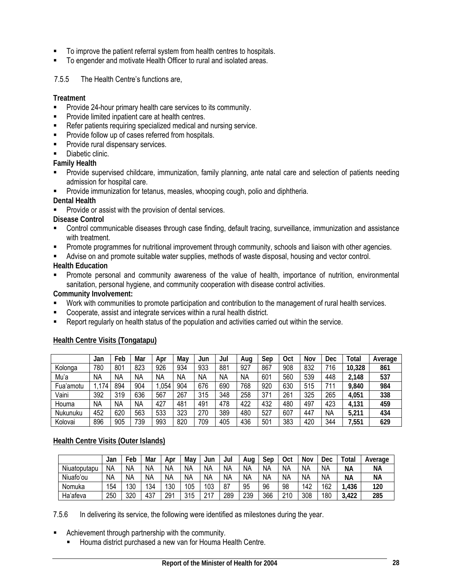- To improve the patient referral system from health centres to hospitals.
- To engender and motivate Health Officer to rural and isolated areas.

7.5.5 The Health Centre's functions are,

**Treatment** 

- **Provide 24-hour primary health care services to its community.**
- Provide limited inpatient care at health centres.
- Refer patients requiring specialized medical and nursing service.
- Provide follow up of cases referred from hospitals.
- Provide rural dispensary services.
- **Diabetic clinic.**
- **Family Health**
- Provide supervised childcare, immunization, family planning, ante natal care and selection of patients needing admission for hospital care.
- Provide immunization for tetanus, measles, whooping cough, polio and diphtheria.

**Dental Health** 

Provide or assist with the provision of dental services.

**Disease Control** 

- Control communicable diseases through case finding, default tracing, surveillance, immunization and assistance with treatment.
- **Promote programmes for nutritional improvement through community, schools and liaison with other agencies.**
- Advise on and promote suitable water supplies, methods of waste disposal, housing and vector control.

**Health Education** 

 Promote personal and community awareness of the value of health, importance of nutrition, environmental sanitation, personal hygiene, and community cooperation with disease control activities.

**Community Involvement:** 

- Work with communities to promote participation and contribution to the management of rural health services.
- Cooperate, assist and integrate services within a rural health district.
- Report regularly on health status of the population and activities carried out within the service.

### **Health Centre Visits (Tongatapu)**

|           | Jan       | ™eb       | Mar       | Apr       | Mav       | Jun       | Jul       | Aug       | Sep | <b>Oct</b> | Nov | Dec | Total  | Average |
|-----------|-----------|-----------|-----------|-----------|-----------|-----------|-----------|-----------|-----|------------|-----|-----|--------|---------|
| Kolonga   | 780       | 801       | 823       | 926       | 934       | 933       | 881       | 927       | 867 | 908        | 832 | 716 | 10,328 | 861     |
| Mu'a      | <b>NA</b> | <b>NA</b> | <b>NA</b> | <b>NA</b> | <b>NA</b> | <b>NA</b> | <b>NA</b> | <b>NA</b> | 601 | 560        | 539 | 448 | 2,148  | 537     |
| Fua'amotu | .174      | 894       | 904       | .054      | 904       | 676       | 690       | 768       | 920 | 630        | 515 | 711 | 9,840  | 984     |
| Vaini     | 392       | 319       | 636       | 567       | 267       | 315       | 348       | 258       | 371 | 261        | 325 | 265 | 4,051  | 338     |
| Houma     | <b>NA</b> | <b>NA</b> | <b>NA</b> | 427       | 481       | 491       | 478       | 422       | 432 | 480        | 497 | 423 | 4,131  | 459     |
| Nukunuku  | 452       | 620       | 563       | 533       | 323       | 270       | 389       | 480       | 527 | 607        | 447 | NA  | 5.211  | 434     |
| Kolovai   | 896       | 905       | 739       | 993       | 820       | 709       | 405       | 436       | 501 | 383        | 420 | 344 | 7,551  | 629     |

### **Health Centre Visits (Outer Islands)**

|              | Jan | Feb | Mar       | Apr       | May | Jun | Jul       | Aug       | Sep | Oct | Nov       | Dec       | Total | Average   |
|--------------|-----|-----|-----------|-----------|-----|-----|-----------|-----------|-----|-----|-----------|-----------|-------|-----------|
| Niuatoputapu | NA  | NА  | <b>NA</b> | <b>NA</b> | NА  | NА  | <b>NA</b> | ΝA        | ΝA  | NΑ  | <b>NA</b> | <b>NA</b> | NА    | NА        |
| Niuafo'ou    | NA  | NА  | N٨        | <b>NA</b> | NА  | NА  | <b>NA</b> | <b>NA</b> | ΝA  | NΑ  | NА        | <b>NA</b> | ΝA    | <b>NA</b> |
| Nomuka       | 154 | 130 | 134       | 130       | 105 | 103 | 87        | 95        | 96  | 98  | 142       | 162       | ,436  | 120       |
| Ha'afeva     | 250 | 320 | 437       | 291       | 315 | 217 | 289       | 239       | 366 | 210 | 308       | 180       | ,422  | 285       |

7.5.6 In delivering its service, the following were identified as milestones during the year.

- Achievement through partnership with the community.
	- **Houma district purchased a new van for Houma Health Centre.**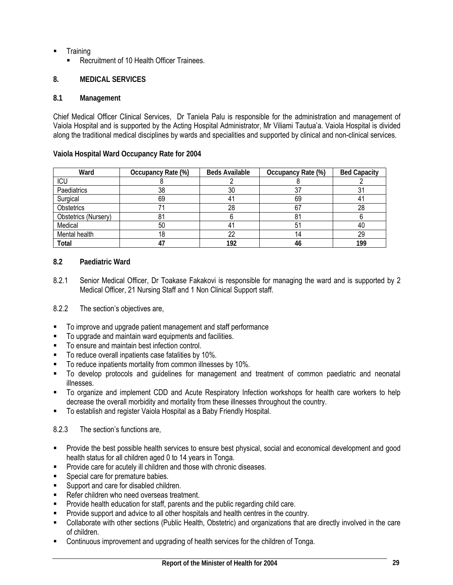- **Training** 
	- Recruitment of 10 Health Officer Trainees.

# **8. MEDICAL SERVICES**

# **8.1 Management**

Chief Medical Officer Clinical Services, Dr Taniela Palu is responsible for the administration and management of Vaiola Hospital and is supported by the Acting Hospital Administrator, Mr Viliami Tautua'a. Vaiola Hospital is divided along the traditional medical disciplines by wards and specialities and supported by clinical and non-clinical services.

### Ward **Occupancy Rate (%)** Beds Available Occupancy Rate (%) Bed Capacity ICU | 8 | 2 | 8 | 2 Paediatrics | 38 | 30 | 37 | 31 Surgical 69 41 69 41 Obstetrics 71 | 28 | 67 | 28 Obstetrics (Nursery) 1 81 6 81 6 81 6 Medical 50 41 51 40 Mental health 18 18 22 14 14 29

**Total 47 192 46 199** 

# **Vaiola Hospital Ward Occupancy Rate for 2004**

# **8.2 Paediatric Ward**

8.2.1 Senior Medical Officer, Dr Toakase Fakakovi is responsible for managing the ward and is supported by 2 Medical Officer, 21 Nursing Staff and 1 Non Clinical Support staff.

### 8.2.2 The section's objectives are,

- To improve and upgrade patient management and staff performance
- To upgrade and maintain ward equipments and facilities.
- To ensure and maintain best infection control.
- To reduce overall inpatients case fatalities by 10%.
- To reduce inpatients mortality from common illnesses by 10%.
- To develop protocols and guidelines for management and treatment of common paediatric and neonatal illnesses.
- To organize and implement CDD and Acute Respiratory Infection workshops for health care workers to help decrease the overall morbidity and mortality from these illnesses throughout the country.
- To establish and register Vaiola Hospital as a Baby Friendly Hospital.

### 8.2.3 The section's functions are,

- Provide the best possible health services to ensure best physical, social and economical development and good health status for all children aged 0 to 14 years in Tonga.
- Provide care for acutely ill children and those with chronic diseases.
- Special care for premature babies.
- Support and care for disabled children.
- Refer children who need overseas treatment.
- Provide health education for staff, parents and the public regarding child care.
- Provide support and advice to all other hospitals and health centres in the country.
- Collaborate with other sections (Public Health, Obstetric) and organizations that are directly involved in the care of children.
- Continuous improvement and upgrading of health services for the children of Tonga.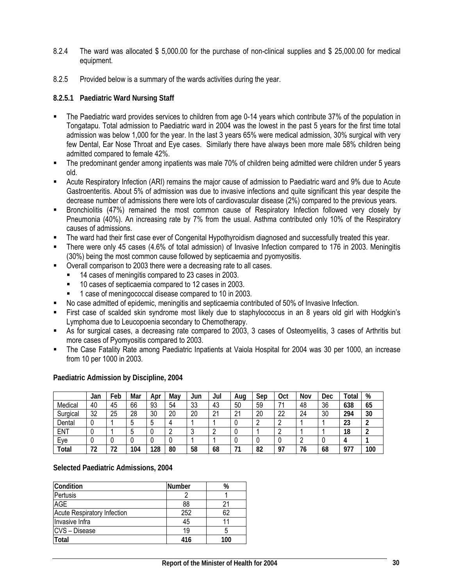- 8.2.4 The ward was allocated \$ 5,000.00 for the purchase of non-clinical supplies and \$ 25,000.00 for medical equipment.
- 8.2.5 Provided below is a summary of the wards activities during the year.

### **8.2.5.1 Paediatric Ward Nursing Staff**

- The Paediatric ward provides services to children from age 0-14 years which contribute 37% of the population in Tongatapu. Total admission to Paediatric ward in 2004 was the lowest in the past 5 years for the first time total admission was below 1,000 for the year. In the last 3 years 65% were medical admission, 30% surgical with very few Dental, Ear Nose Throat and Eye cases. Similarly there have always been more male 58% children being admitted compared to female 42%.
- The predominant gender among inpatients was male 70% of children being admitted were children under 5 years old.
- Acute Respiratory Infection (ARI) remains the major cause of admission to Paediatric ward and 9% due to Acute Gastroenteritis. About 5% of admission was due to invasive infections and quite significant this year despite the decrease number of admissions there were lots of cardiovascular disease (2%) compared to the previous years.
- Bronchiolitis (47%) remained the most common cause of Respiratory Infection followed very closely by Pneumonia (40%). An increasing rate by 7% from the usual. Asthma contributed only 10% of the Respiratory causes of admissions.
- The ward had their first case ever of Congenital Hypothyroidism diagnosed and successfully treated this year.
- There were only 45 cases (4.6% of total admission) of Invasive Infection compared to 176 in 2003. Meningitis (30%) being the most common cause followed by septicaemia and pyomyositis.
- Overall comparison to 2003 there were a decreasing rate to all cases.
	- 14 cases of meningitis compared to 23 cases in 2003.
	- <sup>1</sup> 10 cases of septicaemia compared to 12 cases in 2003.
	- 1 case of meningococcal disease compared to 10 in 2003.
- No case admitted of epidemic, meningitis and septicaemia contributed of 50% of Invasive Infection.
- First case of scalded skin syndrome most likely due to staphylococcus in an 8 years old girl with Hodgkin's Lymphoma due to Leucopoenia secondary to Chemotherapy.
- As for surgical cases, a decreasing rate compared to 2003, 3 cases of Osteomyelitis, 3 cases of Arthritis but more cases of Pyomyositis compared to 2003.
- The Case Fatality Rate among Paediatric Inpatients at Vaiola Hospital for 2004 was 30 per 1000, an increase from 10 per 1000 in 2003.

|          | Jan | Feb | Mar | Apr | Mav | Jun | Jul | Aug         | Sep | <b>Oct</b> | Nov | Dec | Total      | %   |
|----------|-----|-----|-----|-----|-----|-----|-----|-------------|-----|------------|-----|-----|------------|-----|
| Medical  | 40  | 45  | 66  | 93  | 54  | 33  | 43  | 50          | 59  | 7,         | 48  | 36  | 638        | 65  |
| Surgical | 32  | 25  | 28  | 30  | 20  | 20  | 21  | $\sim$<br>∠ | 20  | 22         | 24  | 30  | 294        | 30  |
| Dental   |     |     | J   | 5   |     |     |     |             |     |            |     |     | 23         |     |
| ENT      |     |     | ບ   | U   | C   | u   |     |             |     |            |     |     | 18         |     |
| Eye      |     |     |     |     |     |     |     |             | U   |            |     |     |            |     |
| Total    | 72  | 72  | 104 | 128 | 80  | 58  | 68  | ٠.          | 82  | <b>Q7</b>  | 76  | 68  | 077<br>711 | 100 |

**Paediatric Admission by Discipline, 2004** 

#### **Selected Paediatric Admissions, 2004**

| Condition                   | <b>Number</b> | %   |
|-----------------------------|---------------|-----|
| Pertusis                    |               |     |
| <b>AGE</b>                  | 88            |     |
| Acute Respiratory Infection | 252           | 62  |
| Invasive Infra              | 45            |     |
| <b>CVS</b> – Disease        | 19            |     |
| Total                       | 416           | 100 |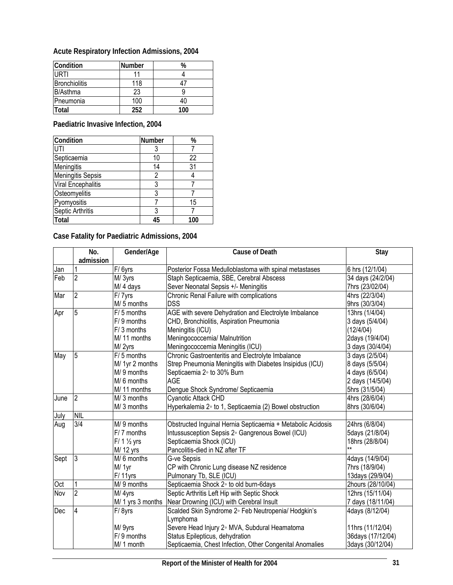| Acute Respiratory Infection Admissions, 2004 |  |  |  |
|----------------------------------------------|--|--|--|
|----------------------------------------------|--|--|--|

| Condition            | <b>Number</b> | %   |
|----------------------|---------------|-----|
| URTI                 |               |     |
| <b>Bronchiolitis</b> | 118           |     |
| <b>B</b> /Asthma     | 23            |     |
| Pneumonia            | 100           |     |
| <b>Total</b>         | 252           | 100 |

**Paediatric Invasive Infection, 2004** 

| Condition                | <b>Number</b> | $\%$ |
|--------------------------|---------------|------|
| UTI                      | 3             |      |
| Septicaemia              | 10            | 22   |
| Meningitis               | 14            | 31   |
| <b>Meningitis Sepsis</b> | 2             |      |
| Viral Encephalitis       | 3             |      |
| Osteomyelitis            | 3             |      |
| Pyomyositis              |               | 15   |
| Septic Arthritis         | 3             |      |
| <b>Total</b>             | 45            | 100  |

**Case Fatality for Paediatric Admissions, 2004** 

|      | No.<br>admission | Gender/Age              | <b>Cause of Death</b>                                       | Stay              |
|------|------------------|-------------------------|-------------------------------------------------------------|-------------------|
| Jan  |                  | $\overline{F}$ / 6yrs   | Posterior Fossa Medulloblastoma with spinal metastases      | 6 hrs (12/1/04)   |
| Feb  | $\overline{2}$   | M/3yrs                  | Staph Septicaemia, SBE, Cerebral Abscess                    | 34 days (24/2/04) |
|      |                  | M/4 days                | Sever Neonatal Sepsis +/- Meningitis                        | 7hrs (23/02/04)   |
| Mar  | 2                |                         | Chronic Renal Failure with complications                    |                   |
|      |                  | F/7yrs<br>M/5 months    | <b>DSS</b>                                                  | 4hrs (22/3/04)    |
|      |                  | $F/5$ months            |                                                             | 9hrs (30/3/04)    |
| Apr  | 5                |                         | AGE with severe Dehydration and Electrolyte Imbalance       | 13hrs (1/4/04)    |
|      |                  | F/9 months              | CHD, Bronchiolitis, Aspiration Pneumonia                    | 3 days (5/4/04)   |
|      |                  | F/3 months              | Meningitis (ICU)                                            | (12/4/04)         |
|      |                  | M/11 months             | Meningococcemia/ Malnutrition                               | 2days (19/4/04)   |
|      |                  | M/2yrs                  | Meningococcemia Meningitis (ICU)                            | 3 days (30/4/04)  |
| May  | 5                | $F/5$ months            | Chronic Gastroenteritis and Electrolyte Imbalance           | 3 days (2/5/04)   |
|      |                  | M/ 1yr 2 months         | Strep Pneumonia Meningitis with Diabetes Insipidus (ICU)    | 8 days (5/5/04)   |
|      |                  | M/9 months              | Septicaemia 2° to 30% Burn                                  | 4 days (6/5/04)   |
|      |                  | M/6 months              | <b>AGE</b>                                                  | 2 days (14/5/04)  |
|      |                  | M/11 months             | Dengue Shock Syndrome/ Septicaemia                          | 5hrs (31/5/04)    |
| June | $\overline{2}$   | M/3 months              | Cyanotic Attack CHD                                         | 4hrs (28/6/04)    |
|      |                  | M/3 months              | Hyperkalemia 2° to 1, Septicaemia (2) Bowel obstruction     | 8hrs (30/6/04)    |
| July | <b>NIL</b>       |                         |                                                             |                   |
| Aug  | 3/4              | M/9 months              | Obstructed Inguinal Hernia Septicaemia + Metabolic Acidosis | 24hrs (6/8/04)    |
|      |                  | $F/7$ months            | Intussusception Sepsis 2° Gangrenous Bowel (ICU)            | 5days (21/8/04)   |
|      |                  | $F/1$ $\frac{1}{2}$ yrs | Septicaemia Shock (ICU)                                     | 18hrs (28/8/04)   |
|      |                  | M/ 12 yrs               | Pancolitis-died in NZ after TF                              |                   |
| Sept | 3                | M/6 months              | G-ve Sepsis                                                 | 4days (14/9/04)   |
|      |                  | M/ 1yr                  | CP with Chronic Lung disease NZ residence                   | 7hrs (18/9/04)    |
|      |                  | F/11yrs                 | Pulmonary Tb, SLE (ICU)                                     | 13days (29/9/04)  |
| Oct  |                  | M/9 months              | Septicaemia Shock 2° to old burn-6days                      | 2hours (28/10/04) |
| Nov  | $\overline{2}$   | M/4yrs                  | Septic Arthritis Left Hip with Septic Shock                 | 12hrs (15/11/04)  |
|      |                  | M/ 1 yrs 3 months       | Near Drowning (ICU) with Cerebral Insult                    | 7 days (18/11/04) |
| Dec  | 4                | F/8yrs                  | Scalded Skin Syndrome 2° Feb Neutropenia/ Hodgkin's         | 4days (8/12/04)   |
|      |                  |                         | Lymphoma                                                    |                   |
|      |                  | M/ 9yrs                 | Severe Head Injury 2° MVA, Subdural Heamatoma               | 11hrs (11/12/04)  |
|      |                  | $F/9$ months            | Status Epilepticus, dehydration                             | 36days (17/12/04) |
|      |                  | M/ 1 month              | Septicaemia, Chest Infection, Other Congenital Anomalies    | 3days (30/12/04)  |
|      |                  |                         |                                                             |                   |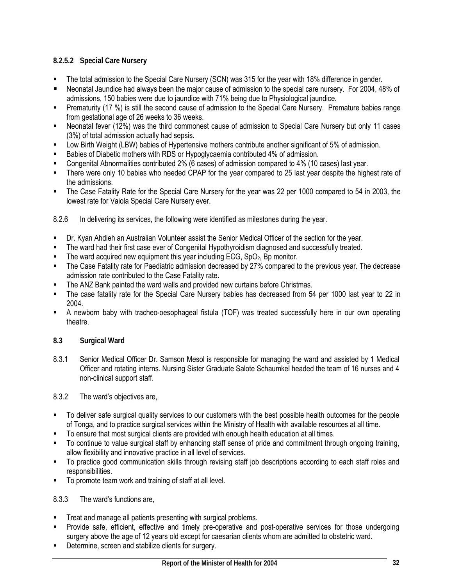# **8.2.5.2 Special Care Nursery**

- The total admission to the Special Care Nursery (SCN) was 315 for the year with 18% difference in gender.
- Neonatal Jaundice had always been the major cause of admission to the special care nursery. For 2004, 48% of admissions, 150 babies were due to jaundice with 71% being due to Physiological jaundice.
- Prematurity (17 %) is still the second cause of admission to the Special Care Nursery. Premature babies range from gestational age of 26 weeks to 36 weeks.
- Neonatal fever (12%) was the third commonest cause of admission to Special Care Nursery but only 11 cases (3%) of total admission actually had sepsis.
- Low Birth Weight (LBW) babies of Hypertensive mothers contribute another significant of 5% of admission.
- Babies of Diabetic mothers with RDS or Hypoglycaemia contributed 4% of admission.
- Congenital Abnormalities contributed 2% (6 cases) of admission compared to 4% (10 cases) last year.
- There were only 10 babies who needed CPAP for the year compared to 25 last year despite the highest rate of the admissions.
- The Case Fatality Rate for the Special Care Nursery for the year was 22 per 1000 compared to 54 in 2003, the lowest rate for Vaiola Special Care Nursery ever.

8.2.6 In delivering its services, the following were identified as milestones during the year.

- Dr. Kyan Ahdieh an Australian Volunteer assist the Senior Medical Officer of the section for the year.
- The ward had their first case ever of Congenital Hypothyroidism diagnosed and successfully treated.
- The ward acquired new equipment this year including ECG,  $SpO<sub>2</sub>$ , Bp monitor.
- The Case Fatality rate for Paediatric admission decreased by 27% compared to the previous year. The decrease admission rate contributed to the Case Fatality rate.
- The ANZ Bank painted the ward walls and provided new curtains before Christmas.
- The case fatality rate for the Special Care Nursery babies has decreased from 54 per 1000 last year to 22 in 2004.
- A newborn baby with tracheo-oesophageal fistula (TOF) was treated successfully here in our own operating theatre.

### **8.3 Surgical Ward**

8.3.1 Senior Medical Officer Dr. Samson Mesol is responsible for managing the ward and assisted by 1 Medical Officer and rotating interns. Nursing Sister Graduate Salote Schaumkel headed the team of 16 nurses and 4 non-clinical support staff.

#### 8.3.2 The ward's objectives are,

- To deliver safe surgical quality services to our customers with the best possible health outcomes for the people of Tonga, and to practice surgical services within the Ministry of Health with available resources at all time.
- To ensure that most surgical clients are provided with enough health education at all times.
- To continue to value surgical staff by enhancing staff sense of pride and commitment through ongoing training, allow flexibility and innovative practice in all level of services.
- To practice good communication skills through revising staff job descriptions according to each staff roles and responsibilities.
- To promote team work and training of staff at all level.

### 8.3.3 The ward's functions are,

- Treat and manage all patients presenting with surgical problems.
- Provide safe, efficient, effective and timely pre-operative and post-operative services for those undergoing surgery above the age of 12 years old except for caesarian clients whom are admitted to obstetric ward.
- Determine, screen and stabilize clients for surgery.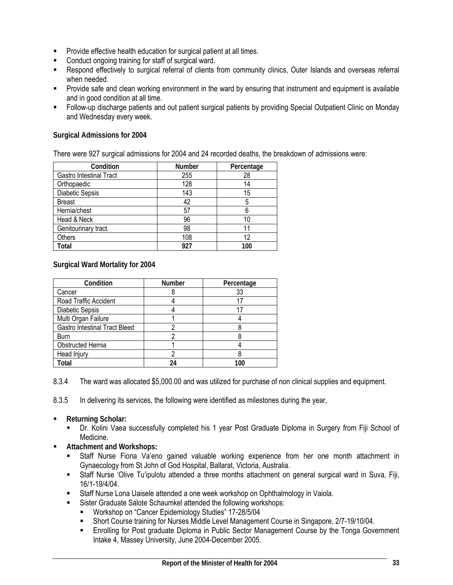- Provide effective health education for surgical patient at all times.
- Conduct ongoing training for staff of surgical ward.
- Respond effectively to surgical referral of clients from community clinics, Outer Islands and overseas referral when needed.
- **Provide safe and clean working environment in the ward by ensuring that instrument and equipment is available** and in good condition at all time.
- Follow-up discharge patients and out patient surgical patients by providing Special Outpatient Clinic on Monday and Wednesday every week.

### **Surgical Admissions for 2004**

There were 927 surgical admissions for 2004 and 24 recorded deaths, the breakdown of admissions were:

| Condition                      | Number | Percentage |
|--------------------------------|--------|------------|
| <b>Gastro Intestinal Tract</b> | 255    | 28         |
| Orthopaedic                    | 128    | 14         |
| Diabetic Sepsis                | 143    | 15         |
| <b>Breast</b>                  | 42     | 5          |
| Hernia/chest                   | 57     | 6          |
| Head & Neck                    | 96     | 10         |
| Genitourinary tract.           | 98     |            |
| Others                         | 108    | 12         |
| Total                          | 927    | 100        |

### **Surgical Ward Mortality for 2004**

| Condition                            | <b>Number</b> | Percentage |
|--------------------------------------|---------------|------------|
| Cancer                               |               | 33         |
| Road Traffic Accident                |               |            |
| Diabetic Sepsis                      |               |            |
| Multi Organ Failure                  |               |            |
| <b>Gastro Intestinal Tract Bleed</b> |               |            |
| <b>Burn</b>                          |               |            |
| Obstructed Hernia                    |               |            |
| Head Injury                          |               |            |
| 'otal                                | 24            | 100        |

8.3.4 The ward was allocated \$5,000.00 and was utilized for purchase of non clinical supplies and equipment.

8.3.5 In delivering its services, the following were identified as milestones during the year,

- **Returning Scholar:** 
	- Dr. Kolini Vaea successfully completed his 1 year Post Graduate Diploma in Surgery from Fiji School of Medicine.
- **Attachment and Workshops:** 
	- Staff Nurse Fiona Va'eno gained valuable working experience from her one month attachment in Gynaecology from St John of God Hospital, Ballarat, Victoria, Australia.
	- Staff Nurse 'Olive Tu'ipulotu attended a three months attachment on general surgical ward in Suva, Fiji, 16/1-19/4/04.
	- Staff Nurse Lona Uaisele attended a one week workshop on Ophthalmology in Vaiola.
	- Sister Graduate Salote Schaumkel attended the following workshops:
		- **Workshop on "Cancer Epidemiology Studies" 17-28/5/04**
		- Short Course training for Nurses Middle Level Management Course in Singapore, 2/7-19/10/04.
		- Enrolling for Post graduate Diploma in Public Sector Management Course by the Tonga Government Intake 4, Massey University, June 2004-December 2005.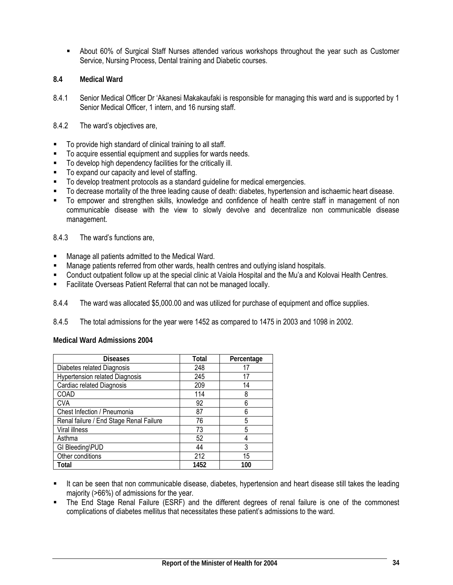- About 60% of Surgical Staff Nurses attended various workshops throughout the year such as Customer Service, Nursing Process, Dental training and Diabetic courses.
- **8.4 Medical Ward**
- 8.4.1 Senior Medical Officer Dr 'Akanesi Makakaufaki is responsible for managing this ward and is supported by 1 Senior Medical Officer, 1 intern, and 16 nursing staff.
- 8.4.2 The ward's objectives are,
- To provide high standard of clinical training to all staff.
- To acquire essential equipment and supplies for wards needs.
- To develop high dependency facilities for the critically ill.
- To expand our capacity and level of staffing.
- To develop treatment protocols as a standard guideline for medical emergencies.
- To decrease mortality of the three leading cause of death: diabetes, hypertension and ischaemic heart disease.
- To empower and strengthen skills, knowledge and confidence of health centre staff in management of non communicable disease with the view to slowly devolve and decentralize non communicable disease management.
- 8.4.3 The ward's functions are,
- Manage all patients admitted to the Medical Ward.
- Manage patients referred from other wards, health centres and outlying island hospitals.
- Conduct outpatient follow up at the special clinic at Vaiola Hospital and the Mu'a and Kolovai Health Centres.
- **Facilitate Overseas Patient Referral that can not be managed locally.**
- 8.4.4 The ward was allocated \$5,000.00 and was utilized for purchase of equipment and office supplies.
- 8.4.5 The total admissions for the year were 1452 as compared to 1475 in 2003 and 1098 in 2002.

#### **Medical Ward Admissions 2004**

| <b>Diseases</b>                         | Total | Percentage |
|-----------------------------------------|-------|------------|
| Diabetes related Diagnosis              | 248   | 17         |
| <b>Hypertension related Diagnosis</b>   | 245   | 17         |
| Cardiac related Diagnosis               | 209   | 14         |
| COAD                                    | 114   | 8          |
| <b>CVA</b>                              | 92    | 6          |
| Chest Infection / Pneumonia             | 87    | 6          |
| Renal failure / End Stage Renal Failure | 76    | 5          |
| Viral illness                           | 73    | 5          |
| Asthma                                  | 52    |            |
| GI Bleeding\PUD                         | 44    | 3          |
| Other conditions                        | 212   | 15         |
| Total                                   | 1452  | 100        |

- It can be seen that non communicable disease, diabetes, hypertension and heart disease still takes the leading majority (>66%) of admissions for the year.
- The End Stage Renal Failure (ESRF) and the different degrees of renal failure is one of the commonest complications of diabetes mellitus that necessitates these patient's admissions to the ward.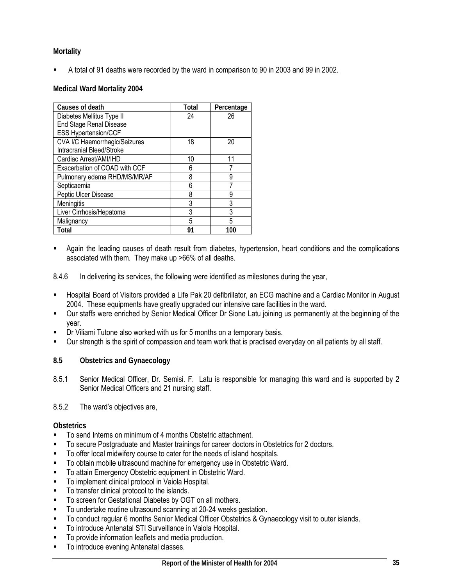# **Mortality**

A total of 91 deaths were recorded by the ward in comparison to 90 in 2003 and 99 in 2002.

### **Medical Ward Mortality 2004**

| Causes of death               | Total | Percentage |
|-------------------------------|-------|------------|
| Diabetes Mellitus Type II     | 24    | 26         |
| End Stage Renal Disease       |       |            |
| <b>ESS Hypertension/CCF</b>   |       |            |
| CVA I/C Haemorrhagic/Seizures | 18    | 20         |
| Intracranial Bleed/Stroke     |       |            |
| Cardiac Arrest/AMI/IHD        | 10    | 11         |
| Exacerbation of COAD with CCF | ჩ     |            |
| Pulmonary edema RHD/MS/MR/AF  | 8     | 9          |
| Septicaemia                   | հ     | 7          |
| Peptic Ulcer Disease          | 8     | 9          |
| Meningitis                    | 3     | 3          |
| Liver Cirrhosis/Hepatoma      | 3     | 3          |
| Malignancy                    | 5     | 5          |
| Total                         | 91    | 100        |

 Again the leading causes of death result from diabetes, hypertension, heart conditions and the complications associated with them. They make up >66% of all deaths.

8.4.6 In delivering its services, the following were identified as milestones during the year,

- Hospital Board of Visitors provided a Life Pak 20 defibrillator, an ECG machine and a Cardiac Monitor in August 2004. These equipments have greatly upgraded our intensive care facilities in the ward.
- Our staffs were enriched by Senior Medical Officer Dr Sione Latu joining us permanently at the beginning of the year.
- Dr Viliami Tutone also worked with us for 5 months on a temporary basis.
- Our strength is the spirit of compassion and team work that is practised everyday on all patients by all staff.

### **8.5 Obstetrics and Gynaecology**

8.5.1 Senior Medical Officer, Dr. Semisi. F. Latu is responsible for managing this ward and is supported by 2 Senior Medical Officers and 21 nursing staff.

### 8.5.2 The ward's objectives are,

#### **Obstetrics**

- To send Interns on minimum of 4 months Obstetric attachment.
- To secure Postgraduate and Master trainings for career doctors in Obstetrics for 2 doctors.
- To offer local midwifery course to cater for the needs of island hospitals.
- To obtain mobile ultrasound machine for emergency use in Obstetric Ward.
- To attain Emergency Obstetric equipment in Obstetric Ward.
- **To implement clinical protocol in Vaiola Hospital.**
- To transfer clinical protocol to the islands.
- **To screen for Gestational Diabetes by OGT on all mothers.**
- To undertake routine ultrasound scanning at 20-24 weeks gestation.
- To conduct regular 6 months Senior Medical Officer Obstetrics & Gynaecology visit to outer islands.
- To introduce Antenatal STI Surveillance in Vaiola Hospital.
- To provide information leaflets and media production.
- **To introduce evening Antenatal classes.**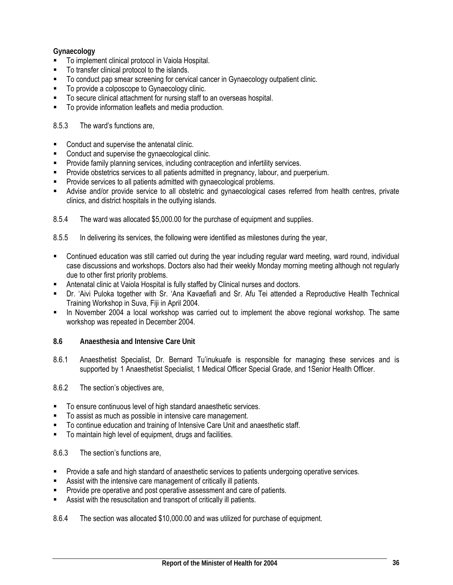# **Gynaecology**

- To implement clinical protocol in Vaiola Hospital.
- $\blacksquare$  To transfer clinical protocol to the islands.
- To conduct pap smear screening for cervical cancer in Gynaecology outpatient clinic.
- To provide a colposcope to Gynaecology clinic.
- To secure clinical attachment for nursing staff to an overseas hospital.
- To provide information leaflets and media production.

### 8.5.3 The ward's functions are,

- Conduct and supervise the antenatal clinic.
- Conduct and supervise the gynaecological clinic.
- **Provide family planning services, including contraception and infertility services.**
- Provide obstetrics services to all patients admitted in pregnancy, labour, and puerperium.
- Provide services to all patients admitted with gynaecological problems.
- Advise and/or provide service to all obstetric and gynaecological cases referred from health centres, private clinics, and district hospitals in the outlying islands.
- 8.5.4 The ward was allocated \$5,000.00 for the purchase of equipment and supplies.
- 8.5.5 In delivering its services, the following were identified as milestones during the year,
- Continued education was still carried out during the year including regular ward meeting, ward round, individual case discussions and workshops. Doctors also had their weekly Monday morning meeting although not regularly due to other first priority problems.
- Antenatal clinic at Vaiola Hospital is fully staffed by Clinical nurses and doctors.
- Dr. 'Aivi Puloka together with Sr. 'Ana Kavaefiafi and Sr. Afu Tei attended a Reproductive Health Technical Training Workshop in Suva, Fiji in April 2004.
- In November 2004 a local workshop was carried out to implement the above regional workshop. The same workshop was repeated in December 2004.
- **8.6 Anaesthesia and Intensive Care Unit**
- 8.6.1 Anaesthetist Specialist, Dr. Bernard Tu'inukuafe is responsible for managing these services and is supported by 1 Anaesthetist Specialist, 1 Medical Officer Special Grade, and 1Senior Health Officer.
- 8.6.2 The section's objectives are,
- To ensure continuous level of high standard anaesthetic services.
- To assist as much as possible in intensive care management.
- To continue education and training of Intensive Care Unit and anaesthetic staff.
- To maintain high level of equipment, drugs and facilities.

### 8.6.3 The section's functions are,

- Provide a safe and high standard of anaesthetic services to patients undergoing operative services.
- Assist with the intensive care management of critically ill patients.
- Provide pre operative and post operative assessment and care of patients.
- Assist with the resuscitation and transport of critically ill patients.
- 8.6.4 The section was allocated \$10,000.00 and was utilized for purchase of equipment.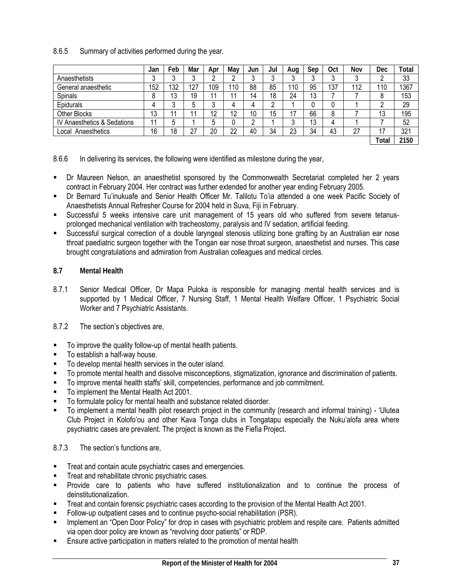### 8.6.5 Summary of activities performed during the year.

|                             | Jan | Feb          | Mar     | Apr | Mav | Jun | Jul | Aug | Sep | 0ct | Nov | Dec   | <b>Total</b> |
|-----------------------------|-----|--------------|---------|-----|-----|-----|-----|-----|-----|-----|-----|-------|--------------|
| Anaesthetists               | u   | $\mathbf{r}$ |         |     |     |     |     |     |     | u   |     |       | 33           |
| General anaesthetic         | 152 | 132          | 127     | 109 | '10 | 88  | 85  | 110 | 95  | 137 | 112 | 110   | 1367         |
| Spinals                     | 8   | 13           | 19      | -44 | 11  | 14  | 18  | 24  | 13  |     |     | 8     | 153          |
| Epidurals                   | 4   | ົ            | ᡵ       |     |     |     | ົ   |     |     |     |     |       | 29           |
| Other Blocks                | 13  | 11           |         | 12  | 12  | 10  | 15  | 17  | 66  | 8   |     | 13    | 195          |
| IV Anaesthetics & Sedations | 11  | b            |         |     |     | C   |     |     | 13  |     |     |       | 52           |
| Local Anaesthetics          | 16  | 18           | 27<br>ے | 20  | 22  | 40  | 34  | 23  | 34  | 43  | 27  | 17    | 321          |
|                             |     |              |         |     |     |     |     |     |     |     |     | Total | 2150         |

8.6.6 In delivering its services, the following were identified as milestone during the year,

- Dr Maureen Nelson, an anaesthetist sponsored by the Commonwealth Secretariat completed her 2 years contract in February 2004. Her contract was further extended for another year ending February 2005.
- Dr Bernard Tu'inukuafe and Senior Health Officer Mr. Talilotu To'ia attended a one week Pacific Society of Anaesthetists Annual Refresher Course for 2004 held in Suva, Fiji in February.
- Successful 5 weeks intensive care unit management of 15 years old who suffered from severe tetanusprolonged mechanical ventilation with tracheostomy, paralysis and IV sedation, artificial feeding.
- Successful surgical correction of a double laryngeal stenosis utilizing bone grafting by an Australian ear nose throat paediatric surgeon together with the Tongan ear nose throat surgeon, anaesthetist and nurses. This case brought congratulations and admiration from Australian colleagues and medical circles.

#### **8.7 Mental Health**

8.7.1 Senior Medical Officer, Dr Mapa Puloka is responsible for managing mental health services and is supported by 1 Medical Officer, 7 Nursing Staff, 1 Mental Health Welfare Officer, 1 Psychiatric Social Worker and 7 Psychiatric Assistants.

#### 8.7.2 The section's objectives are,

- To improve the quality follow-up of mental health patients.
- To establish a half-way house.
- $\blacksquare$  To develop mental health services in the outer island.
- To promote mental health and dissolve misconceptions, stigmatization, ignorance and discrimination of patients.
- To improve mental health staffs' skill, competencies, performance and job commitment.
- To implement the Mental Health Act 2001.
- To formulate policy for mental health and substance related disorder.
- To implement a mental health pilot research project in the community (research and informal training) 'Ulutea Club Project in Kolofo'ou and other Kava Tonga clubs in Tongatapu especially the Nuku'alofa area where psychiatric cases are prevalent. The project is known as the Fiefia Project.

### 8.7.3 The section's functions are,

- Treat and contain acute psychiatric cases and emergencies.
- Treat and rehabilitate chronic psychiatric cases.
- Provide care to patients who have suffered institutionalization and to continue the process of deinstitutionalization.
- Treat and contain forensic psychiatric cases according to the provision of the Mental Health Act 2001.
- Follow-up outpatient cases and to continue psycho-social rehabilitation (PSR).
- Implement an "Open Door Policy" for drop in cases with psychiatric problem and respite care. Patients admitted via open door policy are known as "revolving door patients" or RDP.
- Ensure active participation in matters related to the promotion of mental health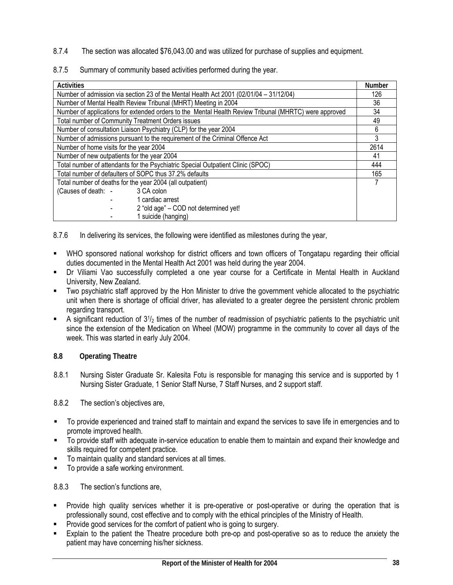- 8.7.4 The section was allocated \$76,043.00 and was utilized for purchase of supplies and equipment.
- 8.7.5 Summary of community based activities performed during the year.

| <b>Activities</b>                                                                                     |    |  |  |  |  |
|-------------------------------------------------------------------------------------------------------|----|--|--|--|--|
| Number of admission via section 23 of the Mental Health Act 2001 (02/01/04 - 31/12/04)                |    |  |  |  |  |
| Number of Mental Health Review Tribunal (MHRT) Meeting in 2004                                        | 36 |  |  |  |  |
| Number of applications for extended orders to the Mental Health Review Tribunal (MHRTC) were approved | 34 |  |  |  |  |
| <b>Total number of Community Treatment Orders issues</b>                                              | 49 |  |  |  |  |
| Number of consultation Liaison Psychiatry (CLP) for the year 2004                                     | 6  |  |  |  |  |
| Number of admissions pursuant to the requirement of the Criminal Offence Act                          |    |  |  |  |  |
| Number of home visits for the year 2004                                                               |    |  |  |  |  |
| Number of new outpatients for the year 2004                                                           |    |  |  |  |  |
| Total number of attendants for the Psychiatric Special Outpatient Clinic (SPOC)                       |    |  |  |  |  |
| Total number of defaulters of SOPC thus 37.2% defaults                                                |    |  |  |  |  |
| Total number of deaths for the year 2004 (all outpatient)                                             |    |  |  |  |  |
| 3 CA colon<br>(Causes of death: -                                                                     |    |  |  |  |  |
| 1 cardiac arrest                                                                                      |    |  |  |  |  |
| 2 "old age" - COD not determined yet!                                                                 |    |  |  |  |  |
| 1 suicide (hanging)                                                                                   |    |  |  |  |  |

8.7.6 In delivering its services, the following were identified as milestones during the year,

- WHO sponsored national workshop for district officers and town officers of Tongatapu regarding their official duties documented in the Mental Health Act 2001 was held during the year 2004.
- Dr Viliami Vao successfully completed a one year course for a Certificate in Mental Health in Auckland University, New Zealand.
- Two psychiatric staff approved by the Hon Minister to drive the government vehicle allocated to the psychiatric unit when there is shortage of official driver, has alleviated to a greater degree the persistent chronic problem regarding transport.
- A significant reduction of  $3<sup>1</sup>/<sub>2</sub>$  times of the number of readmission of psychiatric patients to the psychiatric unit since the extension of the Medication on Wheel (MOW) programme in the community to cover all days of the week. This was started in early July 2004.
- **8.8 Operating Theatre**
- 8.8.1 Nursing Sister Graduate Sr. Kalesita Fotu is responsible for managing this service and is supported by 1 Nursing Sister Graduate, 1 Senior Staff Nurse, 7 Staff Nurses, and 2 support staff.

8.8.2 The section's objectives are,

- To provide experienced and trained staff to maintain and expand the services to save life in emergencies and to promote improved health.
- To provide staff with adequate in-service education to enable them to maintain and expand their knowledge and skills required for competent practice.
- To maintain quality and standard services at all times.
- To provide a safe working environment.

8.8.3 The section's functions are,

- Provide high quality services whether it is pre-operative or post-operative or during the operation that is professionally sound, cost effective and to comply with the ethical principles of the Ministry of Health.
- Provide good services for the comfort of patient who is going to surgery.
- Explain to the patient the Theatre procedure both pre-op and post-operative so as to reduce the anxiety the patient may have concerning his/her sickness.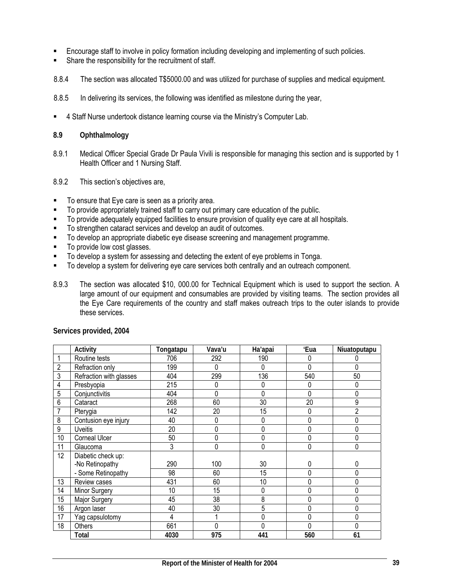- Encourage staff to involve in policy formation including developing and implementing of such policies.
- Share the responsibility for the recruitment of staff.
- 8.8.4 The section was allocated T\$5000.00 and was utilized for purchase of supplies and medical equipment.
- 8.8.5 In delivering its services, the following was identified as milestone during the year,
- 4 Staff Nurse undertook distance learning course via the Ministry's Computer Lab.

#### **8.9 Ophthalmology**

- 8.9.1 Medical Officer Special Grade Dr Paula Vivili is responsible for managing this section and is supported by 1 Health Officer and 1 Nursing Staff.
- 8.9.2 This section's objectives are,
- To ensure that Eye care is seen as a priority area.
- To provide appropriately trained staff to carry out primary care education of the public.
- To provide adequately equipped facilities to ensure provision of quality eye care at all hospitals.
- To strengthen cataract services and develop an audit of outcomes.
- $\blacksquare$  To develop an appropriate diabetic eye disease screening and management programme.
- To provide low cost glasses.
- To develop a system for assessing and detecting the extent of eye problems in Tonga.
- To develop a system for delivering eye care services both centrally and an outreach component.
- 8.9.3 The section was allocated \$10, 000.00 for Technical Equipment which is used to support the section. A large amount of our equipment and consumables are provided by visiting teams. The section provides all the Eye Care requirements of the country and staff makes outreach trips to the outer islands to provide these services.

|                | Activity                | Tongatapu | Vava'u | Ha'apai | 'Eua | Niuatoputapu |
|----------------|-------------------------|-----------|--------|---------|------|--------------|
|                | Routine tests           | 706       | 292    | 190     | 0    |              |
| $\overline{2}$ | Refraction only         | 199       | 0      | 0       | 0    |              |
| 3              | Refraction with glasses | 404       | 299    | 136     | 540  | 50           |
| 4              | Presbyopia              | 215       | 0      | 0       | 0    | 0            |
| 5              | Conjunctivitis          | 404       | 0      | 0       | 0    |              |
| 6              | Cataract                | 268       | 60     | 30      | 20   | 9            |
| 7              | Pterygia                | 142       | 20     | 15      | 0    | 2            |
| 8              | Contusion eye injury    | 40        | 0      | 0       | 0    |              |
| 9              | <b>Uveitis</b>          | 20        | 0      | 0       | 0    |              |
| 10             | <b>Corneal Ulcer</b>    | 50        | 0      | 0       | 0    |              |
| 11             | Glaucoma                | 3         | 0      | 0       | 0    | 0            |
| 12             | Diabetic check up:      |           |        |         |      |              |
|                | -No Retinopathy         | 290       | 100    | 30      | 0    | 0            |
|                | - Some Retinopathy      | 98        | 60     | 15      | 0    | 0            |
| 13             | Review cases            | 431       | 60     | 10      | 0    |              |
| 14             | Minor Surgery           | 10        | 15     | 0       | 0    | 0            |
| 15             | Major Surgery           | 45        | 38     | 8       | 0    |              |
| 16             | Argon laser             | 40        | 30     | 5       | 0    |              |
| 17             | Yag capsulotomy         | 4         |        | 0       | 0    | 0            |
| 18             | Others                  | 661       | 0      | 0       | 0    |              |
|                | Total                   | 4030      | 975    | 441     | 560  | 61           |

**Services provided, 2004**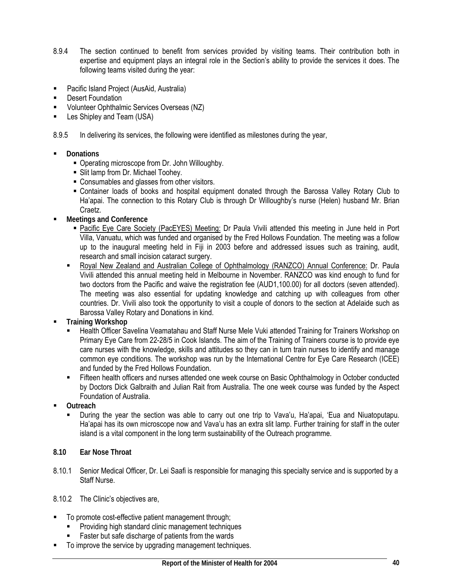- 8.9.4 The section continued to benefit from services provided by visiting teams. Their contribution both in expertise and equipment plays an integral role in the Section's ability to provide the services it does. The following teams visited during the year:
- Pacific Island Project (AusAid, Australia)
- Desert Foundation
- Volunteer Ophthalmic Services Overseas (NZ)
- **E** Les Shipley and Team (USA)
- 8.9.5 In delivering its services, the following were identified as milestones during the year,
- **Donations** 
	- Operating microscope from Dr. John Willoughby.
	- **Slit lamp from Dr. Michael Toohey.**
	- Consumables and glasses from other visitors.
	- Container loads of books and hospital equipment donated through the Barossa Valley Rotary Club to Ha'apai. The connection to this Rotary Club is through Dr Willoughby's nurse (Helen) husband Mr. Brian Craetz.
- **Meetings and Conference** 
	- Pacific Eye Care Society (PacEYES) Meeting: Dr Paula Vivili attended this meeting in June held in Port Villa, Vanuatu, which was funded and organised by the Fred Hollows Foundation. The meeting was a follow up to the inaugural meeting held in Fiji in 2003 before and addressed issues such as training, audit, research and small incision cataract surgery.
	- Royal New Zealand and Australian College of Ophthalmology (RANZCO) Annual Conference: Dr. Paula Vivili attended this annual meeting held in Melbourne in November. RANZCO was kind enough to fund for two doctors from the Pacific and waive the registration fee (AUD1,100.00) for all doctors (seven attended). The meeting was also essential for updating knowledge and catching up with colleagues from other countries. Dr. Vivili also took the opportunity to visit a couple of donors to the section at Adelaide such as Barossa Valley Rotary and Donations in kind.
- **Training Workshop** 
	- Health Officer Savelina Veamatahau and Staff Nurse Mele Vuki attended Training for Trainers Workshop on Primary Eye Care from 22-28/5 in Cook Islands. The aim of the Training of Trainers course is to provide eye care nurses with the knowledge, skills and attitudes so they can in turn train nurses to identify and manage common eye conditions. The workshop was run by the International Centre for Eye Care Research (ICEE) and funded by the Fred Hollows Foundation.
	- **Fifteen health officers and nurses attended one week course on Basic Ophthalmology in October conducted** by Doctors Dick Galbraith and Julian Rait from Australia. The one week course was funded by the Aspect Foundation of Australia.
- **Outreach** 
	- During the year the section was able to carry out one trip to Vava'u, Ha'apai, 'Eua and Niuatoputapu. Ha'apai has its own microscope now and Vava'u has an extra slit lamp. Further training for staff in the outer island is a vital component in the long term sustainability of the Outreach programme.
- **8.10 Ear Nose Throat**
- 8.10.1 Senior Medical Officer, Dr. Lei Saafi is responsible for managing this specialty service and is supported by a Staff Nurse.
- 8.10.2 The Clinic's objectives are,
- To promote cost-effective patient management through;
	- **Providing high standard clinic management techniques**
	- Faster but safe discharge of patients from the wards
- To improve the service by upgrading management techniques.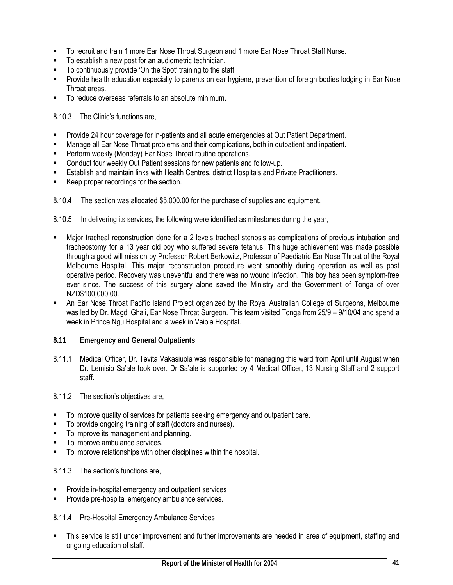- To recruit and train 1 more Ear Nose Throat Surgeon and 1 more Ear Nose Throat Staff Nurse.
- To establish a new post for an audiometric technician.
- To continuously provide 'On the Spot' training to the staff.
- **Provide health education especially to parents on ear hygiene, prevention of foreign bodies lodging in Ear Nose** Throat areas.
- To reduce overseas referrals to an absolute minimum.

8.10.3 The Clinic's functions are,

- Provide 24 hour coverage for in-patients and all acute emergencies at Out Patient Department.
- Manage all Ear Nose Throat problems and their complications, both in outpatient and inpatient.
- **Perform weekly (Monday) Ear Nose Throat routine operations.**
- Conduct four weekly Out Patient sessions for new patients and follow-up.
- Establish and maintain links with Health Centres, district Hospitals and Private Practitioners.
- Keep proper recordings for the section.
- 8.10.4 The section was allocated \$5,000.00 for the purchase of supplies and equipment.

8.10.5 In delivering its services, the following were identified as milestones during the year,

- Major tracheal reconstruction done for a 2 levels tracheal stenosis as complications of previous intubation and tracheostomy for a 13 year old boy who suffered severe tetanus. This huge achievement was made possible through a good will mission by Professor Robert Berkowitz, Professor of Paediatric Ear Nose Throat of the Royal Melbourne Hospital. This major reconstruction procedure went smoothly during operation as well as post operative period. Recovery was uneventful and there was no wound infection. This boy has been symptom-free ever since. The success of this surgery alone saved the Ministry and the Government of Tonga of over NZD\$100.000.00.
- An Ear Nose Throat Pacific Island Project organized by the Royal Australian College of Surgeons, Melbourne was led by Dr. Magdi Ghali, Ear Nose Throat Surgeon. This team visited Tonga from 25/9 – 9/10/04 and spend a week in Prince Ngu Hospital and a week in Vaiola Hospital.
- **8.11 Emergency and General Outpatients**
- 8.11.1 Medical Officer, Dr. Tevita Vakasiuola was responsible for managing this ward from April until August when Dr. Lemisio Sa'ale took over. Dr Sa'ale is supported by 4 Medical Officer, 13 Nursing Staff and 2 support staff.
- 8.11.2 The section's objectives are,
- To improve quality of services for patients seeking emergency and outpatient care.
- To provide ongoing training of staff (doctors and nurses).
- **To improve its management and planning.**
- To improve ambulance services.
- To improve relationships with other disciplines within the hospital.
- 8.11.3 The section's functions are,
- Provide in-hospital emergency and outpatient services
- Provide pre-hospital emergency ambulance services.

8.11.4 Pre-Hospital Emergency Ambulance Services

 This service is still under improvement and further improvements are needed in area of equipment, staffing and ongoing education of staff.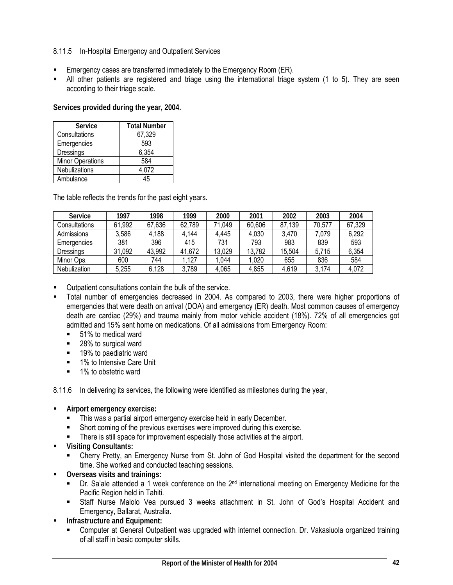### 8.11.5 In-Hospital Emergency and Outpatient Services

- **Emergency cases are transferred immediately to the Emergency Room (ER).**
- All other patients are registered and triage using the international triage system (1 to 5). They are seen according to their triage scale.

**Services provided during the year, 2004.** 

| <b>Service</b>          | <b>Total Number</b> |
|-------------------------|---------------------|
| Consultations           | 67,329              |
| Emergencies             | 593                 |
| Dressings               | 6,354               |
| <b>Minor Operations</b> | 584                 |
| <b>Nebulizations</b>    | 4,072               |
| Ambulance               | 45                  |

The table reflects the trends for the past eight years.

| <b>Service</b> | 1997   | 1998   | 1999   | 2000   | 2001   | 2002   | 2003   | 2004   |
|----------------|--------|--------|--------|--------|--------|--------|--------|--------|
| Consultations  | 61,992 | 67,636 | 62,789 | 71.049 | 60,606 | 87,139 | 70.577 | 67,329 |
| Admissions     | 3,586  | 4,188  | 4,144  | 4,445  | 4,030  | 3.470  | 7,079  | 6,292  |
| Emergencies    | 381    | 396    | 415    | 731    | 793    | 983    | 839    | 593    |
| Dressings      | 31,092 | 43,992 | 41,672 | 13,029 | 13,782 | 15,504 | 5.715  | 6,354  |
| Minor Ops.     | 600    | 744    | 127    | .044   | 1,020  | 655    | 836    | 584    |
| Nebulization   | 5,255  | 6,128  | 3,789  | 4,065  | 4.855  | 4,619  | 3.174  | 4,072  |

Outpatient consultations contain the bulk of the service.

- Total number of emergencies decreased in 2004. As compared to 2003, there were higher proportions of emergencies that were death on arrival (DOA) and emergency (ER) death. Most common causes of emergency death are cardiac (29%) and trauma mainly from motor vehicle accident (18%). 72% of all emergencies got admitted and 15% sent home on medications. Of all admissions from Emergency Room:
	- 51% to medical ward
	- 28% to surgical ward
	- 19% to paediatric ward
	- **1% to Intensive Care Unit**
	- 1% to obstetric ward

8.11.6 In delivering its services, the following were identified as milestones during the year,

- **Airport emergency exercise:** 
	- **This was a partial airport emergency exercise held in early December.**
	- Short coming of the previous exercises were improved during this exercise.
	- **There is still space for improvement especially those activities at the airport.**
- **Visiting Consultants:** 
	- Cherry Pretty, an Emergency Nurse from St. John of God Hospital visited the department for the second time. She worked and conducted teaching sessions.
- **Overseas visits and trainings:** 
	- Dr. Sa'ale attended a 1 week conference on the 2<sup>nd</sup> international meeting on Emergency Medicine for the Pacific Region held in Tahiti.
	- Staff Nurse Malolo Vea pursued 3 weeks attachment in St. John of God's Hospital Accident and Emergency, Ballarat, Australia.
- **Infrastructure and Equipment:** 
	- Computer at General Outpatient was upgraded with internet connection. Dr. Vakasiuola organized training of all staff in basic computer skills.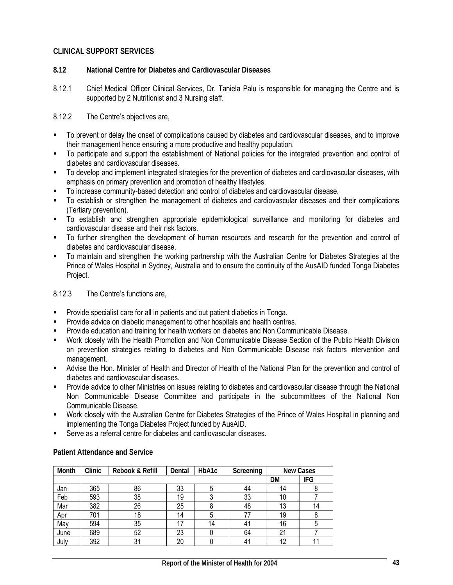### **CLINICAL SUPPORT SERVICES**

- **8.12 National Centre for Diabetes and Cardiovascular Diseases**
- 8.12.1 Chief Medical Officer Clinical Services, Dr. Taniela Palu is responsible for managing the Centre and is supported by 2 Nutritionist and 3 Nursing staff.

8.12.2 The Centre's objectives are,

- To prevent or delay the onset of complications caused by diabetes and cardiovascular diseases, and to improve their management hence ensuring a more productive and healthy population.
- To participate and support the establishment of National policies for the integrated prevention and control of diabetes and cardiovascular diseases.
- To develop and implement integrated strategies for the prevention of diabetes and cardiovascular diseases, with emphasis on primary prevention and promotion of healthy lifestyles.
- To increase community-based detection and control of diabetes and cardiovascular disease.
- To establish or strengthen the management of diabetes and cardiovascular diseases and their complications (Tertiary prevention).
- To establish and strengthen appropriate epidemiological surveillance and monitoring for diabetes and cardiovascular disease and their risk factors.
- To further strengthen the development of human resources and research for the prevention and control of diabetes and cardiovascular disease.
- To maintain and strengthen the working partnership with the Australian Centre for Diabetes Strategies at the Prince of Wales Hospital in Sydney, Australia and to ensure the continuity of the AusAID funded Tonga Diabetes Project.

8.12.3 The Centre's functions are,

- Provide specialist care for all in patients and out patient diabetics in Tonga.
- Provide advice on diabetic management to other hospitals and health centres.
- Provide education and training for health workers on diabetes and Non Communicable Disease.
- Work closely with the Health Promotion and Non Communicable Disease Section of the Public Health Division on prevention strategies relating to diabetes and Non Communicable Disease risk factors intervention and management.
- Advise the Hon. Minister of Health and Director of Health of the National Plan for the prevention and control of diabetes and cardiovascular diseases.
- Provide advice to other Ministries on issues relating to diabetes and cardiovascular disease through the National Non Communicable Disease Committee and participate in the subcommittees of the National Non Communicable Disease.
- Work closely with the Australian Centre for Diabetes Strategies of the Prince of Wales Hospital in planning and implementing the Tonga Diabetes Project funded by AusAID.
- Serve as a referral centre for diabetes and cardiovascular diseases.

| Month | Clinic | Rebook & Refill | Dental | HbA1c | Screening | <b>New Cases</b> |     |
|-------|--------|-----------------|--------|-------|-----------|------------------|-----|
|       |        |                 |        |       |           |                  | IFG |
| Jan   | 365    | 86              | 33     |       | 44        | 14               |     |
| Feb   | 593    | 38              | 19     |       | 33        | 10               |     |
| Mar   | 382    | 26              | 25     |       | 48        | 13               | 14  |
| Apr   | 701    | 18              | 14     | 5     | 77        | 19               | Ō   |
| May   | 594    | 35              | 17     | 14    | 41        | 16               | 5   |
| June  | 689    | 52              | 23     |       | 64        | 21               |     |
| July  | 392    | 31              | 20     |       | 41        | 12               |     |

#### **Patient Attendance and Service**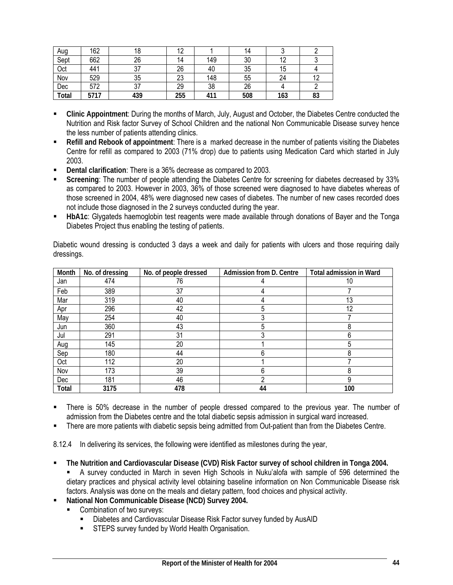| Aug   | 162  | 18  | ١۷  |     | 14  |     |              |
|-------|------|-----|-----|-----|-----|-----|--------------|
| Sept  | 662  | 26  | 14  | 149 | 30  |     |              |
| Oct   | 441  | ິ   | 26  | 40  | 35  | ۱5  |              |
| Nov   | 529  | 35  | 23  | 148 | 55  | 24  | $\sim$<br>ı∠ |
| Dec   | 572  | ، ب | 29  | 38  | 26  |     |              |
| Total | 5717 | 439 | 255 | 411 | 508 | 163 | 83           |

- **Clinic Appointment**: During the months of March, July, August and October, the Diabetes Centre conducted the Nutrition and Risk factor Survey of School Children and the national Non Communicable Disease survey hence the less number of patients attending clinics.
- **Refill and Rebook of appointment**: There is a marked decrease in the number of patients visiting the Diabetes Centre for refill as compared to 2003 (71% drop) due to patients using Medication Card which started in July 2003.
- **Dental clarification**: There is a 36% decrease as compared to 2003.
- **Screening**: The number of people attending the Diabetes Centre for screening for diabetes decreased by 33% as compared to 2003. However in 2003, 36% of those screened were diagnosed to have diabetes whereas of those screened in 2004, 48% were diagnosed new cases of diabetes. The number of new cases recorded does not include those diagnosed in the 2 surveys conducted during the year.
- **HbA1c**: Glygateds haemoglobin test reagents were made available through donations of Bayer and the Tonga Diabetes Project thus enabling the testing of patients.

| Month | No. of dressing | No. of people dressed | Admission from D. Centre | <b>Total admission in Ward</b> |
|-------|-----------------|-----------------------|--------------------------|--------------------------------|
| Jan   | 474             | 76                    |                          | 10                             |
| Feb   | 389             | 37                    |                          |                                |
| Mar   | 319             | 40                    |                          | 13                             |
| Apr   | 296             | 42                    | 5                        | 12                             |
| May   | 254             | 40                    |                          |                                |
| Jun   | 360             | 43                    | 5                        |                                |
| Jul   | 291             | 31                    |                          |                                |
| Aug   | 145             | 20                    |                          |                                |
| Sep   | 180             | 44                    | 6                        |                                |
| Oct   | 112             | 20                    |                          |                                |
| Nov   | 173             | 39                    | 6                        |                                |
| Dec   | 181             | 46                    | ∩                        | 9                              |
| Total | 3175            | 478                   | 44                       | 100                            |

Diabetic wound dressing is conducted 3 days a week and daily for patients with ulcers and those requiring daily dressings.

- There is 50% decrease in the number of people dressed compared to the previous year. The number of admission from the Diabetes centre and the total diabetic sepsis admission in surgical ward increased.
- There are more patients with diabetic sepsis being admitted from Out-patient than from the Diabetes Centre.

8.12.4 In delivering its services, the following were identified as milestones during the year,

- **The Nutrition and Cardiovascular Disease (CVD) Risk Factor survey of school children in Tonga 2004.**  A survey conducted in March in seven High Schools in Nuku'alofa with sample of 596 determined the dietary practices and physical activity level obtaining baseline information on Non Communicable Disease risk factors. Analysis was done on the meals and dietary pattern, food choices and physical activity.
- **National Non Communicable Disease (NCD) Survey 2004.** 
	- **EXECOMBINATION COMBINATION COMBINATION** SURVEYS:
		- Diabetes and Cardiovascular Disease Risk Factor survey funded by AusAID
		- **STEPS survey funded by World Health Organisation.**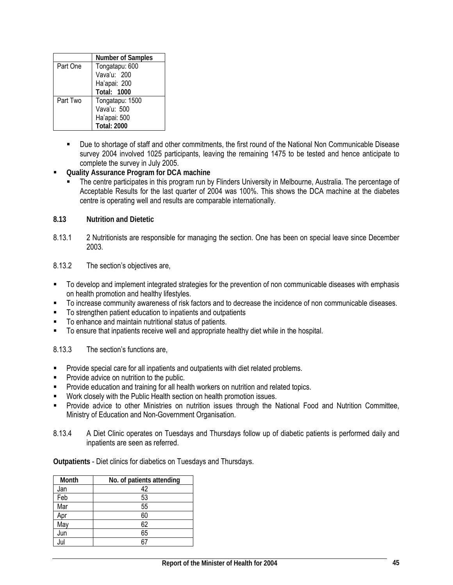|          | <b>Number of Samples</b> |
|----------|--------------------------|
| Part One | Tongatapu: 600           |
|          | Vava'u: 200              |
|          | Ha'apai: 200             |
|          | <b>Total: 1000</b>       |
| Part Two | Tongatapu: 1500          |
|          | Vava'u: 500              |
|          | Ha'apai: 500             |
|          | <b>Total: 2000</b>       |

- Due to shortage of staff and other commitments, the first round of the National Non Communicable Disease survey 2004 involved 1025 participants, leaving the remaining 1475 to be tested and hence anticipate to complete the survey in July 2005.
- **Quality Assurance Program for DCA machine** 
	- The centre participates in this program run by Flinders University in Melbourne, Australia. The percentage of Acceptable Results for the last quarter of 2004 was 100%. This shows the DCA machine at the diabetes centre is operating well and results are comparable internationally.
- **8.13 Nutrition and Dietetic**
- 8.13.1 2 Nutritionists are responsible for managing the section. One has been on special leave since December 2003.
- 8.13.2 The section's objectives are,
- To develop and implement integrated strategies for the prevention of non communicable diseases with emphasis on health promotion and healthy lifestyles.
- To increase community awareness of risk factors and to decrease the incidence of non communicable diseases.
- To strengthen patient education to inpatients and outpatients
- To enhance and maintain nutritional status of patients.
- To ensure that inpatients receive well and appropriate healthy diet while in the hospital.

8.13.3 The section's functions are,

- Provide special care for all inpatients and outpatients with diet related problems.
- **Provide advice on nutrition to the public.**
- **Provide education and training for all health workers on nutrition and related topics.**
- Work closely with the Public Health section on health promotion issues.
- Provide advice to other Ministries on nutrition issues through the National Food and Nutrition Committee, Ministry of Education and Non-Government Organisation.
- 8.13.4 A Diet Clinic operates on Tuesdays and Thursdays follow up of diabetic patients is performed daily and inpatients are seen as referred.

**Outpatients** - Diet clinics for diabetics on Tuesdays and Thursdays.

| Month | No. of patients attending |
|-------|---------------------------|
| Jan   | 42                        |
| Feb   | 53                        |
| Mar   | 55                        |
| Apr   | 60                        |
| May   | 62                        |
| Jun   | 65                        |
| Jul   | 67                        |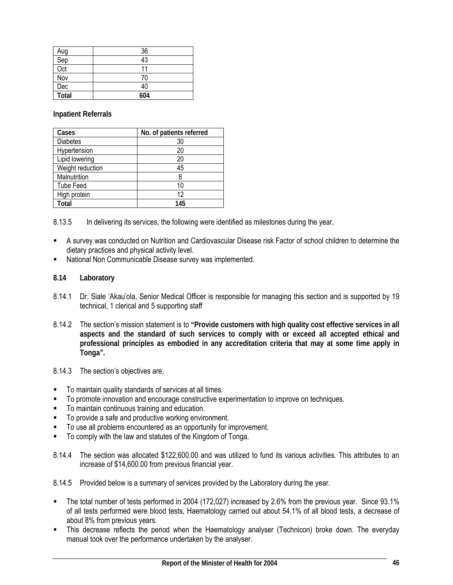| Aug   | 36  |
|-------|-----|
| Sep   | 43  |
| Oct   | 11  |
| Nov   | 70  |
| Dec   | 40  |
| Total | 604 |

**Inpatient Referrals** 

| Cases            | No. of patients referred |
|------------------|--------------------------|
| <b>Diabetes</b>  | 30                       |
| Hypertension     | 20                       |
| Lipid lowering   | 20                       |
| Weight reduction | 45                       |
| Malnutrition     | 8                        |
| <b>Tube Feed</b> | 10                       |
| High protein     | 12                       |
| Total            | 145                      |

8.13.5 In delivering its services, the following were identified as milestones during the year,

- A survey was conducted on Nutrition and Cardiovascular Disease risk Factor of school children to determine the dietary practices and physical activity level.
- National Non Communicable Disease survey was implemented.
- **8.14 Laboratory**
- 8.14.1 Dr. Siale 'Akau'ola, Senior Medical Officer is responsible for managing this section and is supported by 19 technical, 1 clerical and 5 supporting staff
- 8.14.2 The section's mission statement is to **"Provide customers with high quality cost effective services in all aspects and the standard of such services to comply with or exceed all accepted ethical and professional principles as embodied in any accreditation criteria that may at some time apply in Tonga".**
- 8.14.3 The section's objectives are,
- To maintain quality standards of services at all times.
- **To promote innovation and encourage constructive experimentation to improve on techniques.**
- To maintain continuous training and education.
- To provide a safe and productive working environment.
- To use all problems encountered as an opportunity for improvement.
- To comply with the law and statutes of the Kingdom of Tonga.
- 8.14.4 The section was allocated \$122,600.00 and was utilized to fund its various activities. This attributes to an increase of \$14,600.00 from previous financial year.
- 8.14.5 Provided below is a summary of services provided by the Laboratory during the year.
- The total number of tests performed in 2004 (172,027) increased by 2.6% from the previous year. Since 93.1% of all tests performed were blood tests, Haematology carried out about 54.1% of all blood tests, a decrease of about 8% from previous years.
- This decrease reflects the period when the Haematology analyser (Technicon) broke down. The everyday manual took over the performance undertaken by the analyser.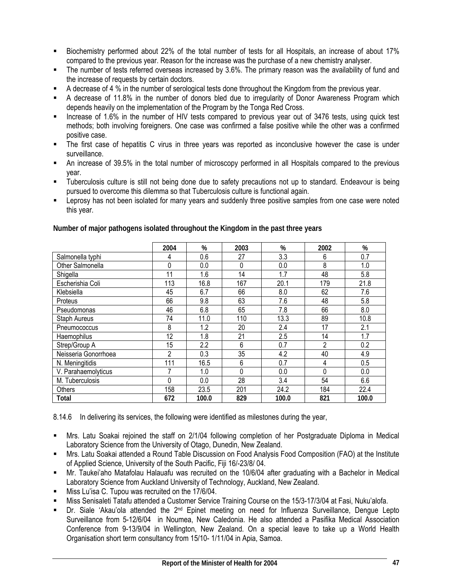- Biochemistry performed about 22% of the total number of tests for all Hospitals, an increase of about 17% compared to the previous year. Reason for the increase was the purchase of a new chemistry analyser.
- The number of tests referred overseas increased by 3.6%. The primary reason was the availability of fund and the increase of requests by certain doctors.
- A decrease of 4 % in the number of serological tests done throughout the Kingdom from the previous year.
- A decrease of 11.8% in the number of donors bled due to irregularity of Donor Awareness Program which depends heavily on the implementation of the Program by the Tonga Red Cross.
- Increase of 1.6% in the number of HIV tests compared to previous year out of 3476 tests, using quick test methods; both involving foreigners. One case was confirmed a false positive while the other was a confirmed positive case.
- The first case of hepatitis C virus in three years was reported as inconclusive however the case is under surveillance.
- An increase of 39.5% in the total number of microscopy performed in all Hospitals compared to the previous year.
- Tuberculosis culture is still not being done due to safety precautions not up to standard. Endeavour is being pursued to overcome this dilemma so that Tuberculosis culture is functional again.
- Leprosy has not been isolated for many years and suddenly three positive samples from one case were noted this year.

|                      | 2004 | %     | 2003 | %     | 2002     | $\%$  |
|----------------------|------|-------|------|-------|----------|-------|
| Salmonella typhi     | 4    | 0.6   | 27   | 3.3   | 6        | 0.7   |
| Other Salmonella     | 0    | 0.0   | 0    | 0.0   | 8        | 1.0   |
| Shigella             | 11   | 1.6   | 14   | 1.7   | 48       | 5.8   |
| Escherishia Coli     | 113  | 16.8  | 167  | 20.1  | 179      | 21.8  |
| Klebsiella           | 45   | 6.7   | 66   | 8.0   | 62       | 7.6   |
| Proteus              | 66   | 9.8   | 63   | 7.6   | 48       | 5.8   |
| Pseudomonas          | 46   | 6.8   | 65   | 7.8   | 66       | 8.0   |
| Staph Aureus         | 74   | 11.0  | 110  | 13.3  | 89       | 10.8  |
| Pneumococcus         | 8    | 1.2   | 20   | 2.4   | 17       | 2.1   |
| Haemophilus          | 12   | 1.8   | 21   | 2.5   | 14       | 1.7   |
| Strep/Group A        | 15   | 2.2   | 6    | 0.7   | 2        | 0.2   |
| Neisseria Gonorrhoea | 2    | 0.3   | 35   | 4.2   | 40       | 4.9   |
| N. Meningitidis      | 111  | 16.5  | 6    | 0.7   | 4        | 0.5   |
| V. Parahaemolyticus  | 7    | 1.0   | 0    | 0.0   | $\Omega$ | 0.0   |
| M. Tuberculosis      | 0    | 0.0   | 28   | 3.4   | 54       | 6.6   |
| Others               | 158  | 23.5  | 201  | 24.2  | 184      | 22.4  |
| Total                | 672  | 100.0 | 829  | 100.0 | 821      | 100.0 |

**Number of major pathogens isolated throughout the Kingdom in the past three years** 

8.14.6 In delivering its services, the following were identified as milestones during the year,

- Mrs. Latu Soakai rejoined the staff on 2/1/04 following completion of her Postgraduate Diploma in Medical Laboratory Science from the University of Otago, Dunedin, New Zealand.
- Mrs. Latu Soakai attended a Round Table Discussion on Food Analysis Food Composition (FAO) at the Institute of Applied Science, University of the South Pacific, Fiji 16/-23/8/ 04.
- Mr. Taukei'aho Matafolau Halauafu was recruited on the 10/6/04 after graduating with a Bachelor in Medical Laboratory Science from Auckland University of Technology, Auckland, New Zealand.
- Miss Lu'isa C. Tupou was recruited on the 17/6/04.
- Miss Senisaleti Tatafu attended a Customer Service Training Course on the 15/3-17/3/04 at Fasi, Nuku'alofa.
- Dr. Siale 'Akau'ola attended the 2<sup>nd</sup> Epinet meeting on need for Influenza Surveillance, Dengue Lepto Surveillance from 5-12/6/04 in Noumea, New Caledonia. He also attended a Pasifika Medical Association Conference from 9-13/9/04 in Wellington, New Zealand. On a special leave to take up a World Health Organisation short term consultancy from 15/10- 1/11/04 in Apia, Samoa.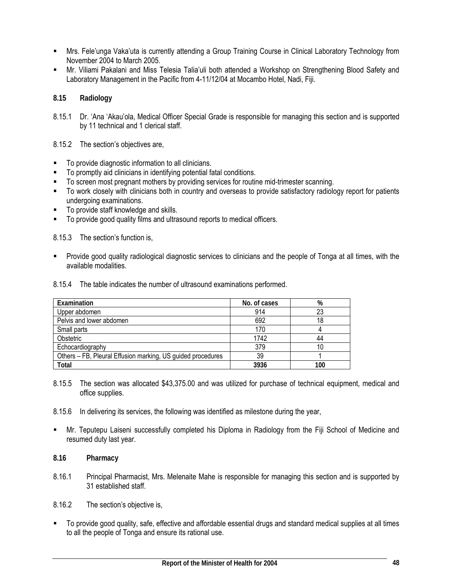- Mrs. Fele'unga Vaka'uta is currently attending a Group Training Course in Clinical Laboratory Technology from November 2004 to March 2005.
- Mr. Viliami Pakalani and Miss Telesia Talia'uli both attended a Workshop on Strengthening Blood Safety and Laboratory Management in the Pacific from 4-11/12/04 at Mocambo Hotel, Nadi, Fiji.

### **8.15 Radiology**

- 8.15.1 Dr. 'Ana 'Akau'ola, Medical Officer Special Grade is responsible for managing this section and is supported by 11 technical and 1 clerical staff.
- 8.15.2 The section's objectives are,
- To provide diagnostic information to all clinicians.
- To promptly aid clinicians in identifying potential fatal conditions.
- To screen most pregnant mothers by providing services for routine mid-trimester scanning.
- To work closely with clinicians both in country and overseas to provide satisfactory radiology report for patients undergoing examinations.
- To provide staff knowledge and skills.
- To provide good quality films and ultrasound reports to medical officers.

8.15.3 The section's function is,

 Provide good quality radiological diagnostic services to clinicians and the people of Tonga at all times, with the available modalities.

|  | 8.15.4 The table indicates the number of ultrasound examinations performed. |
|--|-----------------------------------------------------------------------------|
|  |                                                                             |

| Examination                                                 | No. of cases | %   |
|-------------------------------------------------------------|--------------|-----|
| Upper abdomen                                               | 914          | 23  |
| Pelvis and lower abdomen                                    | 692          | 18  |
| Small parts                                                 | 170          |     |
| Obstetric                                                   | 1742         | 44  |
| Echocardiography                                            | 379          | 10  |
| Others - FB, Pleural Effusion marking, US guided procedures | 39           |     |
| Total                                                       | 3936         | 100 |

- 8.15.5 The section was allocated \$43,375.00 and was utilized for purchase of technical equipment, medical and office supplies.
- 8.15.6 In delivering its services, the following was identified as milestone during the year,
- Mr. Teputepu Laiseni successfully completed his Diploma in Radiology from the Fiji School of Medicine and resumed duty last year.
- **8.16 Pharmacy**
- 8.16.1 Principal Pharmacist, Mrs. Melenaite Mahe is responsible for managing this section and is supported by 31 established staff.
- 8.16.2 The section's objective is,
- To provide good quality, safe, effective and affordable essential drugs and standard medical supplies at all times to all the people of Tonga and ensure its rational use.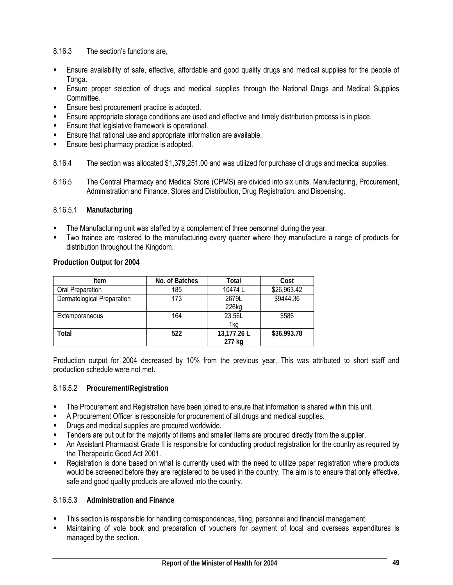# 8.16.3 The section's functions are,

- Ensure availability of safe, effective, affordable and good quality drugs and medical supplies for the people of Tonga.
- Ensure proper selection of drugs and medical supplies through the National Drugs and Medical Supplies Committee.
- **Ensure best procurement practice is adopted.**
- **Ensure appropriate storage conditions are used and effective and timely distribution process is in place.**
- Ensure that legislative framework is operational.
- Ensure that rational use and appropriate information are available.
- Ensure best pharmacy practice is adopted.
- 8.16.4 The section was allocated \$1,379,251.00 and was utilized for purchase of drugs and medical supplies.
- 8.16.5 The Central Pharmacy and Medical Store (CPMS) are divided into six units. Manufacturing, Procurement, Administration and Finance, Stores and Distribution, Drug Registration, and Dispensing.

# 8.16.5.1 **Manufacturing**

- The Manufacturing unit was staffed by a complement of three personnel during the year.
- Two trainee are rostered to the manufacturing every quarter where they manufacture a range of products for distribution throughout the Kingdom.

### **Production Output for 2004**

| ltem                       | No. of Batches | Total       | Cost        |
|----------------------------|----------------|-------------|-------------|
| Oral Preparation           | 185            | 10474 L     |             |
| Dermatological Preparation | 173            | 2679L       | \$9444.36   |
|                            |                | 226kg       |             |
| Extemporaneous             | 164            | 23.56L      | \$586       |
|                            |                | 1kg         |             |
| Total                      | 522            | 13,177.26 L | \$36,993.78 |
|                            |                | 277 kg      |             |

Production output for 2004 decreased by 10% from the previous year. This was attributed to short staff and production schedule were not met.

### 8.16.5.2 **Procurement/Registration**

- The Procurement and Registration have been joined to ensure that information is shared within this unit.
- A Procurement Officer is responsible for procurement of all drugs and medical supplies.
- Drugs and medical supplies are procured worldwide.
- **Tenders are put out for the majority of items and smaller items are procured directly from the supplier.**
- An Assistant Pharmacist Grade II is responsible for conducting product registration for the country as required by the Therapeutic Good Act 2001.
- Registration is done based on what is currently used with the need to utilize paper registration where products would be screened before they are registered to be used in the country. The aim is to ensure that only effective, safe and good quality products are allowed into the country.

### 8.16.5.3 **Administration and Finance**

- This section is responsible for handling correspondences, filing, personnel and financial management.
- Maintaining of vote book and preparation of vouchers for payment of local and overseas expenditures is managed by the section.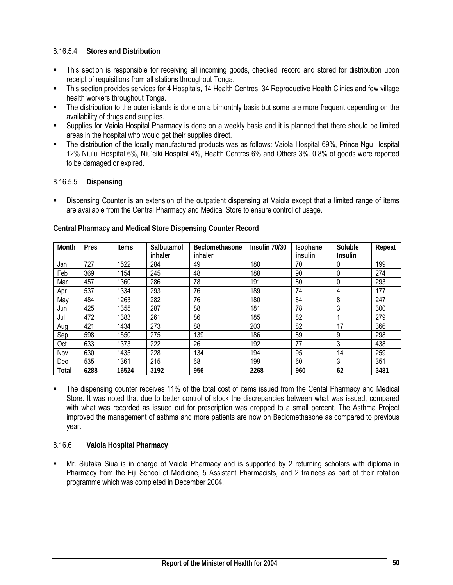# 8.16.5.4 **Stores and Distribution**

- This section is responsible for receiving all incoming goods, checked, record and stored for distribution upon receipt of requisitions from all stations throughout Tonga.
- This section provides services for 4 Hospitals, 14 Health Centres, 34 Reproductive Health Clinics and few village health workers throughout Tonga.
- The distribution to the outer islands is done on a bimonthly basis but some are more frequent depending on the availability of drugs and supplies.
- Supplies for Vaiola Hospital Pharmacy is done on a weekly basis and it is planned that there should be limited areas in the hospital who would get their supplies direct.
- The distribution of the locally manufactured products was as follows: Vaiola Hospital 69%, Prince Ngu Hospital 12% Niu'ui Hospital 6%, Niu'eiki Hospital 4%, Health Centres 6% and Others 3%. 0.8% of goods were reported to be damaged or expired.

### 8.16.5.5 **Dispensing**

 Dispensing Counter is an extension of the outpatient dispensing at Vaiola except that a limited range of items are available from the Central Pharmacy and Medical Store to ensure control of usage.

| Month        | Pres | Items | Salbutamol<br>inhaler | <b>Beclomethasone</b><br>inhaler | Insulin 70/30 | Isophane<br>insulin | Soluble<br><b>Insulin</b> | Repeat |
|--------------|------|-------|-----------------------|----------------------------------|---------------|---------------------|---------------------------|--------|
| Jan          | 727  | 1522  | 284                   | 49                               | 180           | 70                  | 0                         | 199    |
| Feb          | 369  | 1154  | 245                   | 48                               | 188           | 90                  | 0                         | 274    |
| Mar          | 457  | 1360  | 286                   | 78                               | 191           | 80                  | 0                         | 293    |
| Apr          | 537  | 1334  | 293                   | 76                               | 189           | 74                  | 4                         | 177    |
| May          | 484  | 1263  | 282                   | 76                               | 180           | 84                  | 8                         | 247    |
| Jun          | 425  | 1355  | 287                   | 88                               | 181           | 78                  | 3                         | 300    |
| Jul          | 472  | 1383  | 261                   | 86                               | 185           | 82                  |                           | 279    |
| Aug          | 421  | 1434  | 273                   | 88                               | 203           | 82                  | 17                        | 366    |
| Sep          | 598  | 1550  | 275                   | 139                              | 186           | 89                  | 9                         | 298    |
| Oct          | 633  | 1373  | 222                   | 26                               | 192           | 77                  | 3                         | 438    |
| Nov          | 630  | 1435  | 228                   | 134                              | 194           | 95                  | 14                        | 259    |
| Dec          | 535  | 1361  | 215                   | 68                               | 199           | 60                  | 3                         | 351    |
| <b>Total</b> | 6288 | 16524 | 3192                  | 956                              | 2268          | 960                 | 62                        | 3481   |

### **Central Pharmacy and Medical Store Dispensing Counter Record**

 The dispensing counter receives 11% of the total cost of items issued from the Cental Pharmacy and Medical Store. It was noted that due to better control of stock the discrepancies between what was issued, compared with what was recorded as issued out for prescription was dropped to a small percent. The Asthma Project improved the management of asthma and more patients are now on Beclomethasone as compared to previous year.

# 8.16.6 **Vaiola Hospital Pharmacy**

 Mr. Siutaka Siua is in charge of Vaiola Pharmacy and is supported by 2 returning scholars with diploma in Pharmacy from the Fiji School of Medicine, 5 Assistant Pharmacists, and 2 trainees as part of their rotation programme which was completed in December 2004.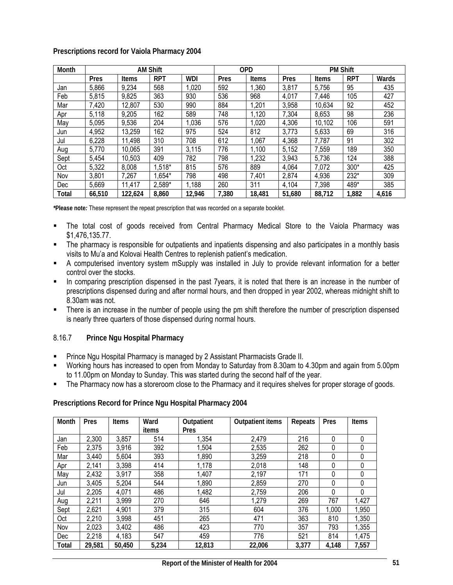| Prescriptions record for Vaiola Pharmacy 2004 |  |
|-----------------------------------------------|--|
|-----------------------------------------------|--|

| Month      |        |         | <b>AM Shift</b> |            |       | <b>OPD</b> |        |              | <b>PM Shift</b> |       |
|------------|--------|---------|-----------------|------------|-------|------------|--------|--------------|-----------------|-------|
|            | Pres   | Items   | <b>RPT</b>      | <b>WDI</b> | Pres  | Items      | Pres   | <b>Items</b> | <b>RPT</b>      | Wards |
| Jan        | 5,866  | 9,234   | 568             | 1,020      | 592   | 1,360      | 3,817  | 5,756        | 95              | 435   |
| Feb        | 5,815  | 9,825   | 363             | 930        | 536   | 968        | 4,017  | 7,446        | 105             | 427   |
| Mar        | 7,420  | 12,807  | 530             | 990        | 884   | 1,201      | 3,958  | 10,634       | 92              | 452   |
| Apr        | 5,118  | 9,205   | 162             | 589        | 748   | 1,120      | 7,304  | 8,653        | 98              | 236   |
| May        | 5,095  | 9,536   | 204             | 1,036      | 576   | 1,020      | 4,306  | 10,102       | 106             | 591   |
| Jun        | 4,952  | 13,259  | 162             | 975        | 524   | 812        | 3,773  | 5,633        | 69              | 316   |
| Jul        | 6,228  | 11,498  | 310             | 708        | 612   | 1,067      | 4,368  | 7,787        | 91              | 302   |
| Aug        | 5.770  | 10,065  | 391             | 3,115      | 776   | 1,100      | 5,152  | 7,559        | 189             | 350   |
| Sept       | 5,454  | 10,503  | 409             | 782        | 798   | 1,232      | 3,943  | 5,736        | 124             | 388   |
| Oct        | 5,322  | 8,008   | 1,518*          | 815        | 576   | 889        | 4,064  | 7,072        | 300*            | 425   |
| Nov        | 3,801  | 7,267   | $1,654*$        | 798        | 498   | 7,401      | 2,874  | 4,936        | 232*            | 309   |
| <b>Dec</b> | 5,669  | 11,417  | 2,589*          | 1,188      | 260   | 311        | 4,104  | 7,398        | 489*            | 385   |
| Total      | 66,510 | 122,624 | 8.860           | 12.946     | 7,380 | 18,481     | 51.680 | 88.712       | 1,882           | 4.616 |

*\****Please note***:* These represent the repeat prescription that was recorded on a separate booklet.

- The total cost of goods received from Central Pharmacy Medical Store to the Vaiola Pharmacy was \$1,476,135.77.
- The pharmacy is responsible for outpatients and inpatients dispensing and also participates in a monthly basis visits to Mu'a and Kolovai Health Centres to replenish patient's medication.
- A computerised inventory system mSupply was installed in July to provide relevant information for a better control over the stocks.
- In comparing prescription dispensed in the past 7years, it is noted that there is an increase in the number of prescriptions dispensed during and after normal hours, and then dropped in year 2002, whereas midnight shift to 8.30am was not.
- There is an increase in the number of people using the pm shift therefore the number of prescription dispensed is nearly three quarters of those dispensed during normal hours.

### 8.16.7 **Prince Ngu Hospital Pharmacy**

- Prince Ngu Hospital Pharmacy is managed by 2 Assistant Pharmacists Grade II.
- Working hours has increased to open from Monday to Saturday from 8.30am to 4.30pm and again from 5.00pm to 11.00pm on Monday to Sunday. This was started during the second half of the year.
- The Pharmacy now has a storeroom close to the Pharmacy and it requires shelves for proper storage of goods.

| Prescriptions Record for Prince Ngu Hospital Pharmacy 2004 |  |  |  |
|------------------------------------------------------------|--|--|--|
|                                                            |  |  |  |

| Month | Pres   | <b>Items</b> | Ward  | Outpatient | <b>Outpatient items</b> | Repeats | Pres  | <b>Items</b> |
|-------|--------|--------------|-------|------------|-------------------------|---------|-------|--------------|
|       |        |              | items | Pres       |                         |         |       |              |
| Jan   | 2,300  | 3,857        | 514   | 1,354      | 2,479                   | 216     | 0     | $\Omega$     |
| Feb   | 2,375  | 3,916        | 392   | 1,504      | 2,535                   | 262     | 0     | 0            |
| Mar   | 3,440  | 5,604        | 393   | 1,890      | 3,259                   | 218     | 0     | 0            |
| Apr   | 2,141  | 3,398        | 414   | 1,178      | 2,018                   | 148     | 0     | 0            |
| May   | 2,432  | 3,917        | 358   | 1,407      | 2,197                   | 171     | 0     | 0            |
| Jun   | 3,405  | 5,204        | 544   | 1,890      | 2,859                   | 270     | 0     | 0            |
| Jul   | 2,205  | 4,071        | 486   | 1,482      | 2,759                   | 206     | 0     | 0            |
| Aug   | 2,211  | 3,999        | 270   | 646        | 1,279                   | 269     | 767   | 1,427        |
| Sept  | 2,621  | 4,901        | 379   | 315        | 604                     | 376     | 1,000 | 1,950        |
| Oct   | 2,210  | 3,998        | 451   | 265        | 471                     | 363     | 810   | 1,350        |
| Nov   | 2,023  | 3,402        | 486   | 423        | 770                     | 357     | 793   | 1,355        |
| Dec   | 2,218  | 4,183        | 547   | 459        | 776                     | 521     | 814   | 1,475        |
| Total | 29,581 | 50,450       | 5,234 | 12,813     | 22,006                  | 3,377   | 4,148 | 7,557        |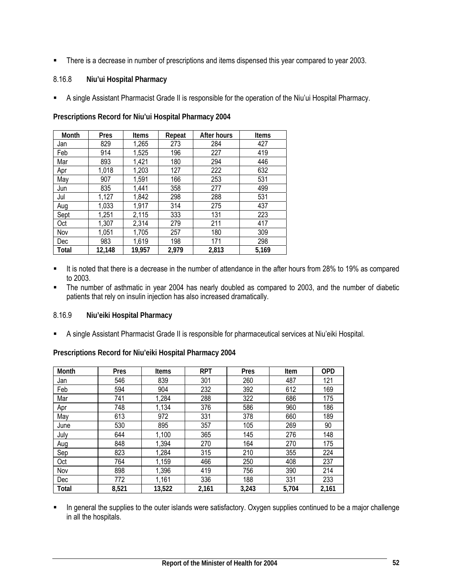**There is a decrease in number of prescriptions and items dispensed this year compared to year 2003.** 

### 8.16.8 **Niu'ui Hospital Pharmacy**

A single Assistant Pharmacist Grade II is responsible for the operation of the Niu'ui Hospital Pharmacy.

**Prescriptions Record for Niu'ui Hospital Pharmacy 2004** 

| Month | Pres   | <b>Items</b> | Repeat | <b>After hours</b> | <b>Items</b> |
|-------|--------|--------------|--------|--------------------|--------------|
| Jan   | 829    | 1,265        | 273    | 284                | 427          |
| Feb   | 914    | 1,525        | 196    | 227                | 419          |
| Mar   | 893    | 1,421        | 180    | 294                | 446          |
| Apr   | 1,018  | 1,203        | 127    | 222                | 632          |
| May   | 907    | 1,591        | 166    | 253                | 531          |
| Jun   | 835    | 1,441        | 358    | 277                | 499          |
| Jul   | 1,127  | 1,842        | 298    | 288                | 531          |
| Aug   | 1,033  | 1,917        | 314    | 275                | 437          |
| Sept  | 1,251  | 2,115        | 333    | 131                | 223          |
| Oct   | 1,307  | 2,314        | 279    | 211                | 417          |
| Nov   | 1,051  | 1,705        | 257    | 180                | 309          |
| Dec   | 983    | 1,619        | 198    | 171                | 298          |
| Total | 12,148 | 19,957       | 2,979  | 2,813              | 5,169        |

- It is noted that there is a decrease in the number of attendance in the after hours from 28% to 19% as compared to 2003.
- The number of asthmatic in year 2004 has nearly doubled as compared to 2003, and the number of diabetic patients that rely on insulin injection has also increased dramatically.

#### 8.16.9 **Niu'eiki Hospital Pharmacy**

A single Assistant Pharmacist Grade II is responsible for pharmaceutical services at Niu'eiki Hospital.

**Prescriptions Record for Niu'eiki Hospital Pharmacy 2004** 

| Month | Pres  | Items  | <b>RPT</b> | Pres  | Item  | <b>OPD</b> |
|-------|-------|--------|------------|-------|-------|------------|
| Jan   | 546   | 839    | 301        | 260   | 487   | 121        |
| Feb   | 594   | 904    | 232        | 392   | 612   | 169        |
| Mar   | 741   | 1,284  | 288        | 322   | 686   | 175        |
| Apr   | 748   | 1,134  | 376        | 586   | 960   | 186        |
| May   | 613   | 972    | 331        | 378   | 660   | 189        |
| June  | 530   | 895    | 357        | 105   | 269   | 90         |
| July  | 644   | 1,100  | 365        | 145   | 276   | 148        |
| Aug   | 848   | 1,394  | 270        | 164   | 270   | 175        |
| Sep   | 823   | 1,284  | 315        | 210   | 355   | 224        |
| Oct   | 764   | 1,159  | 466        | 250   | 408   | 237        |
| Nov   | 898   | 1,396  | 419        | 756   | 390   | 214        |
| Dec   | 772   | 1,161  | 336        | 188   | 331   | 233        |
| Total | 8,521 | 13,522 | 2.161      | 3,243 | 5.704 | 2,161      |

In general the supplies to the outer islands were satisfactory. Oxygen supplies continued to be a major challenge in all the hospitals.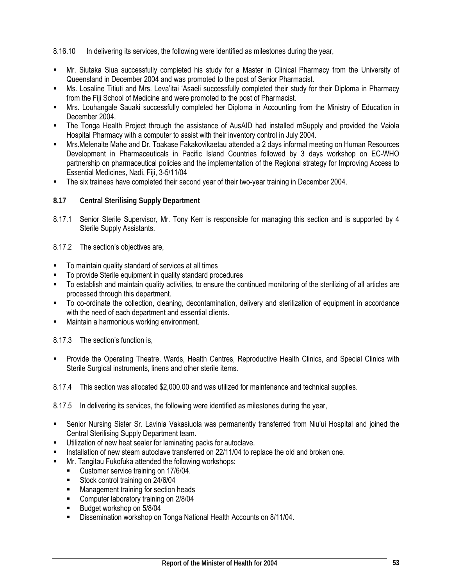8.16.10 In delivering its services, the following were identified as milestones during the year,

- Mr. Siutaka Siua successfully completed his study for a Master in Clinical Pharmacy from the University of Queensland in December 2004 and was promoted to the post of Senior Pharmacist.
- Ms. Losaline Titiuti and Mrs. Leva'itai 'Asaeli successfully completed their study for their Diploma in Pharmacy from the Fiji School of Medicine and were promoted to the post of Pharmacist.
- Mrs. Louhangale Sauaki successfully completed her Diploma in Accounting from the Ministry of Education in December 2004.
- The Tonga Health Project through the assistance of AusAID had installed mSupply and provided the Vaiola Hospital Pharmacy with a computer to assist with their inventory control in July 2004.
- Mrs.Melenaite Mahe and Dr. Toakase Fakakovikaetau attended a 2 days informal meeting on Human Resources Development in Pharmaceuticals in Pacific Island Countries followed by 3 days workshop on EC-WHO partnership on pharmaceutical policies and the implementation of the Regional strategy for Improving Access to Essential Medicines, Nadi, Fiji, 3-5/11/04
- The six trainees have completed their second year of their two-year training in December 2004.
- **8.17 Central Sterilising Supply Department**
- 8.17.1 Senior Sterile Supervisor, Mr. Tony Kerr is responsible for managing this section and is supported by 4 Sterile Supply Assistants.

8.17.2 The section's objectives are,

- To maintain quality standard of services at all times
- To provide Sterile equipment in quality standard procedures
- To establish and maintain quality activities, to ensure the continued monitoring of the sterilizing of all articles are processed through this department.
- To co-ordinate the collection, cleaning, decontamination, delivery and sterilization of equipment in accordance with the need of each department and essential clients.
- **Maintain a harmonious working environment.**

8.17.3 The section's function is,

 Provide the Operating Theatre, Wards, Health Centres, Reproductive Health Clinics, and Special Clinics with Sterile Surgical instruments, linens and other sterile items.

8.17.4 This section was allocated \$2,000.00 and was utilized for maintenance and technical supplies.

8.17.5 In delivering its services, the following were identified as milestones during the year,

- Senior Nursing Sister Sr. Lavinia Vakasiuola was permanently transferred from Niu'ui Hospital and joined the Central Sterilising Supply Department team.
- Utilization of new heat sealer for laminating packs for autoclave.
- Installation of new steam autoclave transferred on 22/11/04 to replace the old and broken one.
- **Mr. Tangitau Fukofuka attended the following workshops:** 
	- Customer service training on 17/6/04.
	- Stock control training on 24/6/04
	- **Management training for section heads**
	- **Computer laboratory training on 2/8/04**
	- Budget workshop on 5/8/04
	- Dissemination workshop on Tonga National Health Accounts on 8/11/04.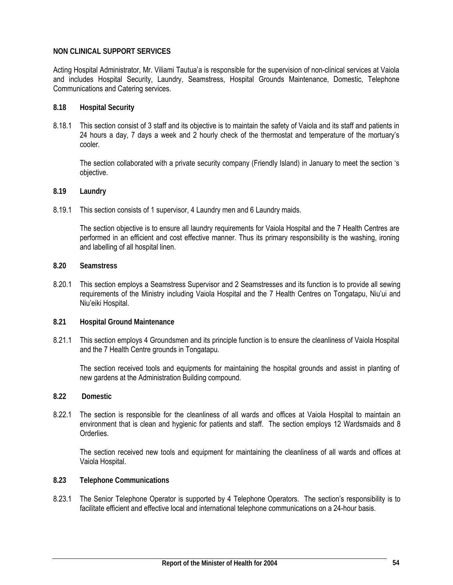#### **NON CLINICAL SUPPORT SERVICES**

Acting Hospital Administrator, Mr. Viliami Tautua'a is responsible for the supervision of non-clinical services at Vaiola and includes Hospital Security, Laundry, Seamstress, Hospital Grounds Maintenance, Domestic, Telephone Communications and Catering services.

#### **8.18 Hospital Security**

8.18.1 This section consist of 3 staff and its objective is to maintain the safety of Vaiola and its staff and patients in 24 hours a day, 7 days a week and 2 hourly check of the thermostat and temperature of the mortuary's cooler.

The section collaborated with a private security company (Friendly Island) in January to meet the section 's objective.

#### **8.19 Laundry**

8.19.1 This section consists of 1 supervisor, 4 Laundry men and 6 Laundry maids.

The section objective is to ensure all laundry requirements for Vaiola Hospital and the 7 Health Centres are performed in an efficient and cost effective manner. Thus its primary responsibility is the washing, ironing and labelling of all hospital linen.

- **8.20 Seamstress**
- 8.20.1 This section employs a Seamstress Supervisor and 2 Seamstresses and its function is to provide all sewing requirements of the Ministry including Vaiola Hospital and the 7 Health Centres on Tongatapu, Niu'ui and Niu'eiki Hospital.
- **8.21 Hospital Ground Maintenance**
- 8.21.1 This section employs 4 Groundsmen and its principle function is to ensure the cleanliness of Vaiola Hospital and the 7 Health Centre grounds in Tongatapu.

The section received tools and equipments for maintaining the hospital grounds and assist in planting of new gardens at the Administration Building compound.

- **8.22 Domestic**
- 8.22.1 The section is responsible for the cleanliness of all wards and offices at Vaiola Hospital to maintain an environment that is clean and hygienic for patients and staff. The section employs 12 Wardsmaids and 8 **Orderlies**

The section received new tools and equipment for maintaining the cleanliness of all wards and offices at Vaiola Hospital.

- **8.23 Telephone Communications**
- 8.23.1 The Senior Telephone Operator is supported by 4 Telephone Operators. The section's responsibility is to facilitate efficient and effective local and international telephone communications on a 24-hour basis.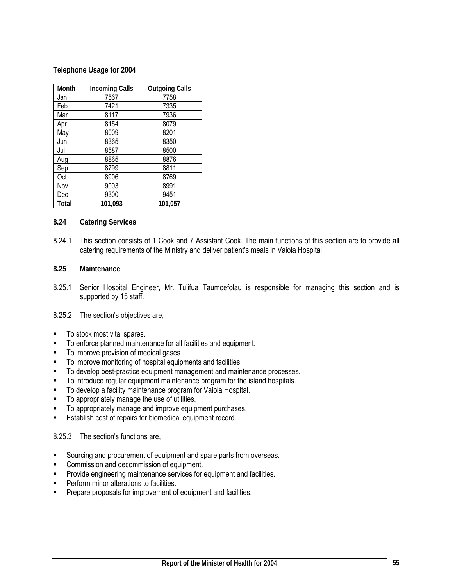#### **Telephone Usage for 2004**

| Month | <b>Incoming Calls</b> | <b>Outgoing Calls</b> |
|-------|-----------------------|-----------------------|
| Jan   | 7567                  | 7758                  |
| Feb   | 7421                  | 7335                  |
| Mar   | 8117                  | 7936                  |
| Apr   | 8154                  | 8079                  |
| May   | 8009                  | 8201                  |
| Jun   | 8365                  | 8350                  |
| Jul   | 8587                  | 8500                  |
| Aug   | 8865                  | 8876                  |
| Sep   | 8799                  | 8811                  |
| Oct   | 8906                  | 8769                  |
| Nov   | 9003                  | 8991                  |
| Dec   | 9300                  | 9451                  |
| Total | 101,093               | 101.057               |

#### **8.24 Catering Services**

8.24.1 This section consists of 1 Cook and 7 Assistant Cook. The main functions of this section are to provide all catering requirements of the Ministry and deliver patient's meals in Vaiola Hospital.

#### **8.25 Maintenance**

8.25.1 Senior Hospital Engineer, Mr. Tu'ifua Taumoefolau is responsible for managing this section and is supported by 15 staff.

#### 8.25.2 The section's objectives are,

- To stock most vital spares.
- To enforce planned maintenance for all facilities and equipment.
- To improve provision of medical gases
- To improve monitoring of hospital equipments and facilities.
- To develop best-practice equipment management and maintenance processes.
- To introduce regular equipment maintenance program for the island hospitals.
- **To develop a facility maintenance program for Vaiola Hospital.**
- $\blacksquare$  To appropriately manage the use of utilities.
- **To appropriately manage and improve equipment purchases.**
- **Establish cost of repairs for biomedical equipment record.**

#### 8.25.3 The section's functions are,

- Sourcing and procurement of equipment and spare parts from overseas.
- **EXECOMMISSION AND COMMISSION COMMISSION COMMISSION**
- **Provide engineering maintenance services for equipment and facilities.**
- **Perform minor alterations to facilities.**
- **Prepare proposals for improvement of equipment and facilities.**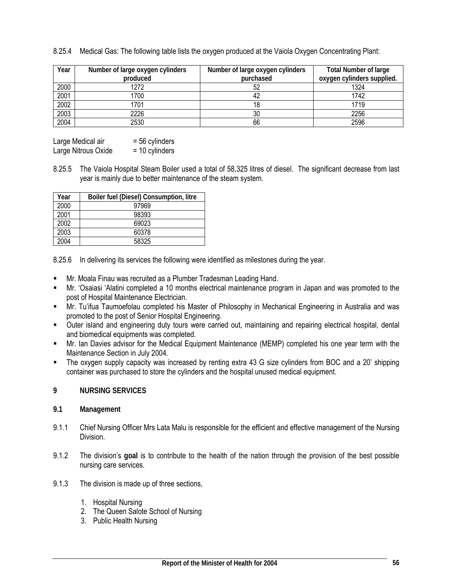8.25.4 Medical Gas: The following table lists the oxygen produced at the Vaiola Oxygen Concentrating Plant:

| Year              | Number of large oxygen cylinders | Number of large oxygen cylinders | <b>Total Number of large</b> |
|-------------------|----------------------------------|----------------------------------|------------------------------|
|                   | produced                         | purchased                        | oxygen cylinders supplied.   |
| 2000              | 1272                             |                                  | 1324                         |
| 2001              | 1700                             |                                  | 1742                         |
| 2002              | 1701                             |                                  | 1719                         |
| $\overline{2003}$ | 2226                             | 30                               | 2256                         |
| 2004              | 2530                             | 66                               | 2596                         |

| Large Medical air   | $= 56$ cylinders |
|---------------------|------------------|
| Large Nitrous Oxide | $= 10$ cylinders |

8.25.5 The Vaiola Hospital Steam Boiler used a total of 58,325 litres of diesel. The significant decrease from last year is mainly due to better maintenance of the steam system.

| Year | Boiler fuel (Diesel) Consumption, litre |
|------|-----------------------------------------|
| 2000 | 97969                                   |
| 2001 | 98393                                   |
| 2002 | 69023                                   |
| 2003 | 60378                                   |
| 2004 | 58325                                   |

8.25.6 In delivering its services the following were identified as milestones during the year.

- Mr. Moala Finau was recruited as a Plumber Tradesman Leading Hand.
- Mr. 'Osaiasi 'Alatini completed a 10 months electrical maintenance program in Japan and was promoted to the post of Hospital Maintenance Electrician.
- Mr. Tu'ifua Taumoefolau completed his Master of Philosophy in Mechanical Engineering in Australia and was promoted to the post of Senior Hospital Engineering.
- Outer island and engineering duty tours were carried out, maintaining and repairing electrical hospital, dental and biomedical equipments was completed.
- Mr. Ian Davies advisor for the Medical Equipment Maintenance (MEMP) completed his one year term with the Maintenance Section in July 2004.
- The oxygen supply capacity was increased by renting extra 43 G size cylinders from BOC and a 20' shipping container was purchased to store the cylinders and the hospital unused medical equipment.

#### **9 NURSING SERVICES**

#### **9.1 Management**

- 9.1.1 Chief Nursing Officer Mrs Lata Malu is responsible for the efficient and effective management of the Nursing Division.
- 9.1.2 The division's **goal** is to contribute to the health of the nation through the provision of the best possible nursing care services.
- 9.1.3 The division is made up of three sections,
	- 1. Hospital Nursing
	- 2. The Queen Salote School of Nursing
	- 3. Public Health Nursing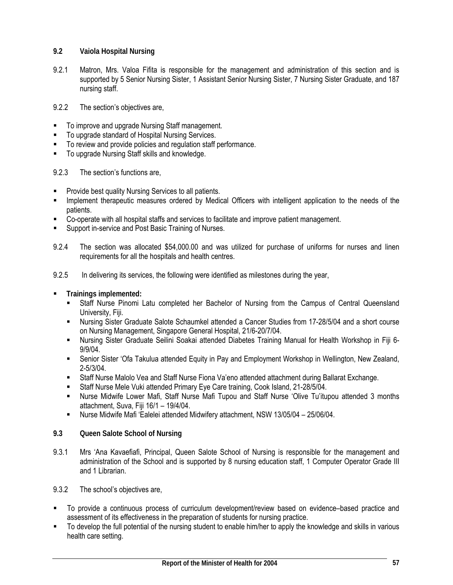- **9.2 Vaiola Hospital Nursing**
- 9.2.1 Matron, Mrs. Valoa Fifita is responsible for the management and administration of this section and is supported by 5 Senior Nursing Sister, 1 Assistant Senior Nursing Sister, 7 Nursing Sister Graduate, and 187 nursing staff.
- 9.2.2 The section's objectives are,
- To improve and upgrade Nursing Staff management.
- To upgrade standard of Hospital Nursing Services.
- To review and provide policies and regulation staff performance.
- To upgrade Nursing Staff skills and knowledge.

9.2.3 The section's functions are,

- Provide best quality Nursing Services to all patients.
- Implement therapeutic measures ordered by Medical Officers with intelligent application to the needs of the patients.
- Co-operate with all hospital staffs and services to facilitate and improve patient management.
- Support in-service and Post Basic Training of Nurses.
- 9.2.4 The section was allocated \$54,000.00 and was utilized for purchase of uniforms for nurses and linen requirements for all the hospitals and health centres.
- 9.2.5 In delivering its services, the following were identified as milestones during the year,
- **Trainings implemented:** 
	- Staff Nurse Pinomi Latu completed her Bachelor of Nursing from the Campus of Central Queensland University, Fiji.
	- Nursing Sister Graduate Salote Schaumkel attended a Cancer Studies from 17-28/5/04 and a short course on Nursing Management, Singapore General Hospital, 21/6-20/7/04.
	- Nursing Sister Graduate Seilini Soakai attended Diabetes Training Manual for Health Workshop in Fiji 6- 9/9/04.
	- Senior Sister 'Ofa Takulua attended Equity in Pay and Employment Workshop in Wellington, New Zealand, 2-5/3/04.
	- Staff Nurse Malolo Vea and Staff Nurse Fiona Va'eno attended attachment during Ballarat Exchange.
	- Staff Nurse Mele Vuki attended Primary Eye Care training, Cook Island, 21-28/5/04.
	- Nurse Midwife Lower Mafi, Staff Nurse Mafi Tupou and Staff Nurse 'Olive Tu'itupou attended 3 months attachment, Suva, Fiji 16/1 – 19/4/04.
	- Nurse Midwife Mafi 'Ealelei attended Midwifery attachment, NSW 13/05/04 25/06/04.
- **9.3 Queen Salote School of Nursing**
- 9.3.1 Mrs 'Ana Kavaefiafi, Principal, Queen Salote School of Nursing is responsible for the management and administration of the School and is supported by 8 nursing education staff, 1 Computer Operator Grade III and 1 Librarian.
- 9.3.2 The school's objectives are,
- To provide a continuous process of curriculum development/review based on evidence–based practice and assessment of its effectiveness in the preparation of students for nursing practice.
- To develop the full potential of the nursing student to enable him/her to apply the knowledge and skills in various health care setting.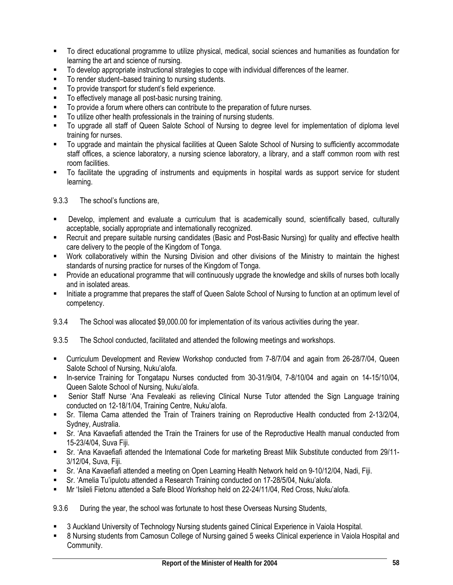- To direct educational programme to utilize physical, medical, social sciences and humanities as foundation for learning the art and science of nursing.
- To develop appropriate instructional strategies to cope with individual differences of the learner.
- To render student–based training to nursing students.
- To provide transport for student's field experience.
- To effectively manage all post-basic nursing training.
- To provide a forum where others can contribute to the preparation of future nurses.
- To utilize other health professionals in the training of nursing students.
- To upgrade all staff of Queen Salote School of Nursing to degree level for implementation of diploma level training for nurses.
- To upgrade and maintain the physical facilities at Queen Salote School of Nursing to sufficiently accommodate staff offices, a science laboratory, a nursing science laboratory, a library, and a staff common room with rest room facilities.
- To facilitate the upgrading of instruments and equipments in hospital wards as support service for student learning.

9.3.3 The school's functions are,

- Develop, implement and evaluate a curriculum that is academically sound, scientifically based, culturally acceptable, socially appropriate and internationally recognized.
- Recruit and prepare suitable nursing candidates (Basic and Post-Basic Nursing) for quality and effective health care delivery to the people of the Kingdom of Tonga.
- Work collaboratively within the Nursing Division and other divisions of the Ministry to maintain the highest standards of nursing practice for nurses of the Kingdom of Tonga.
- Provide an educational programme that will continuously upgrade the knowledge and skills of nurses both locally and in isolated areas.
- Initiate a programme that prepares the staff of Queen Salote School of Nursing to function at an optimum level of competency.
- 9.3.4 The School was allocated \$9,000.00 for implementation of its various activities during the year.
- 9.3.5 The School conducted, facilitated and attended the following meetings and workshops.
- Curriculum Development and Review Workshop conducted from 7-8/7/04 and again from 26-28/7/04, Queen Salote School of Nursing, Nuku'alofa.
- In-service Training for Tongatapu Nurses conducted from 30-31/9/04, 7-8/10/04 and again on 14-15/10/04, Queen Salote School of Nursing, Nuku'alofa.
- Senior Staff Nurse 'Ana Fevaleaki as relieving Clinical Nurse Tutor attended the Sign Language training conducted on 12-18/1/04, Training Centre, Nuku'alofa.
- Sr. Tilema Cama attended the Train of Trainers training on Reproductive Health conducted from 2-13/2/04, Sydney, Australia.
- Sr. 'Ana Kavaefiafi attended the Train the Trainers for use of the Reproductive Health manual conducted from 15-23/4/04, Suva Fiji.
- Sr. 'Ana Kavaefiafi attended the International Code for marketing Breast Milk Substitute conducted from 29/11- 3/12/04, Suva, Fiji.
- Sr. 'Ana Kavaefiafi attended a meeting on Open Learning Health Network held on 9-10/12/04, Nadi, Fiji.
- Sr. 'Amelia Tu'ipulotu attended a Research Training conducted on 17-28/5/04, Nuku'alofa.
- Mr 'Isileli Fietonu attended a Safe Blood Workshop held on 22-24/11/04, Red Cross, Nuku'alofa.

9.3.6 During the year, the school was fortunate to host these Overseas Nursing Students,

- 3 Auckland University of Technology Nursing students gained Clinical Experience in Vaiola Hospital.
- 8 Nursing students from Camosun College of Nursing gained 5 weeks Clinical experience in Vaiola Hospital and Community.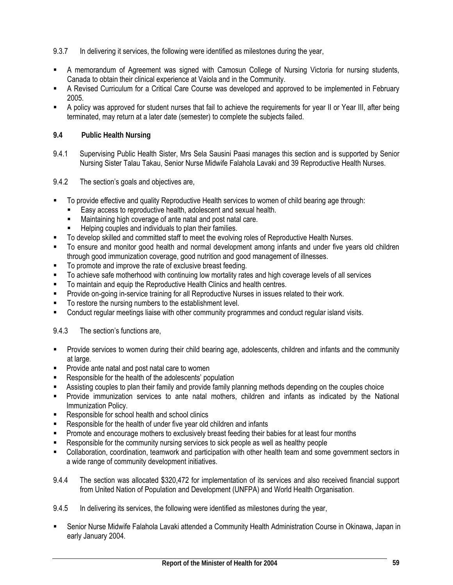9.3.7 In delivering it services, the following were identified as milestones during the year,

- A memorandum of Agreement was signed with Camosun College of Nursing Victoria for nursing students, Canada to obtain their clinical experience at Vaiola and in the Community.
- A Revised Curriculum for a Critical Care Course was developed and approved to be implemented in February 2005.
- A policy was approved for student nurses that fail to achieve the requirements for year II or Year III, after being terminated, may return at a later date (semester) to complete the subjects failed.

### **9.4 Public Health Nursing**

- 9.4.1 Supervising Public Health Sister, Mrs Sela Sausini Paasi manages this section and is supported by Senior Nursing Sister Talau Takau, Senior Nurse Midwife Falahola Lavaki and 39 Reproductive Health Nurses.
- 9.4.2 The section's goals and objectives are,
- To provide effective and quality Reproductive Health services to women of child bearing age through:
	- Easy access to reproductive health, adolescent and sexual health.
	- Maintaining high coverage of ante natal and post natal care.
	- Helping couples and individuals to plan their families.
- To develop skilled and committed staff to meet the evolving roles of Reproductive Health Nurses.
- To ensure and monitor good health and normal development among infants and under five years old children through good immunization coverage, good nutrition and good management of illnesses.
- To promote and improve the rate of exclusive breast feeding.
- To achieve safe motherhood with continuing low mortality rates and high coverage levels of all services
- To maintain and equip the Reproductive Health Clinics and health centres.
- Provide on-going in-service training for all Reproductive Nurses in issues related to their work.
- To restore the nursing numbers to the establishment level.
- Conduct regular meetings liaise with other community programmes and conduct regular island visits.

#### 9.4.3 The section's functions are,

- Provide services to women during their child bearing age, adolescents, children and infants and the community at large.
- **Provide ante natal and post natal care to women**
- **Responsible for the health of the adolescents' population**
- Assisting couples to plan their family and provide family planning methods depending on the couples choice
- Provide immunization services to ante natal mothers, children and infants as indicated by the National Immunization Policy.
- Responsible for school health and school clinics
- Responsible for the health of under five year old children and infants
- Promote and encourage mothers to exclusively breast feeding their babies for at least four months
- **Responsible for the community nursing services to sick people as well as healthy people**
- Collaboration, coordination, teamwork and participation with other health team and some government sectors in a wide range of community development initiatives.
- 9.4.4 The section was allocated \$320,472 for implementation of its services and also received financial support from United Nation of Population and Development (UNFPA) and World Health Organisation.
- 9.4.5 In delivering its services, the following were identified as milestones during the year,
- Senior Nurse Midwife Falahola Lavaki attended a Community Health Administration Course in Okinawa, Japan in early January 2004.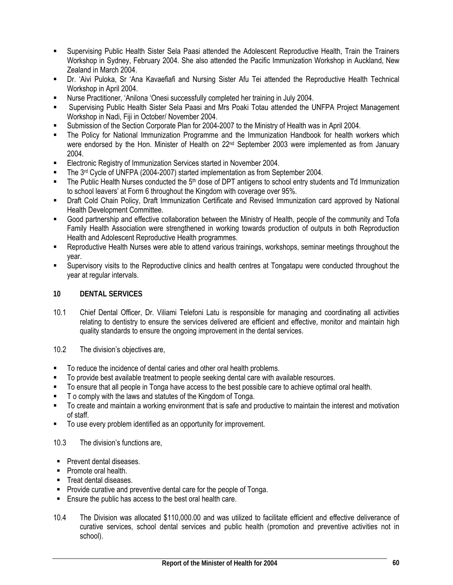- Supervising Public Health Sister Sela Paasi attended the Adolescent Reproductive Health, Train the Trainers Workshop in Sydney, February 2004. She also attended the Pacific Immunization Workshop in Auckland, New Zealand in March 2004.
- Dr. 'Aivi Puloka, Sr 'Ana Kavaefiafi and Nursing Sister Afu Tei attended the Reproductive Health Technical Workshop in April 2004.
- Nurse Practitioner, 'Anilona 'Onesi successfully completed her training in July 2004.
- Supervising Public Health Sister Sela Paasi and Mrs Poaki Totau attended the UNFPA Project Management Workshop in Nadi, Fiji in October/ November 2004.
- Submission of the Section Corporate Plan for 2004-2007 to the Ministry of Health was in April 2004.
- The Policy for National Immunization Programme and the Immunization Handbook for health workers which were endorsed by the Hon. Minister of Health on 22<sup>nd</sup> September 2003 were implemented as from January 2004.
- **Electronic Registry of Immunization Services started in November 2004.**
- The 3rd Cycle of UNFPA (2004-2007) started implementation as from September 2004.
- The Public Health Nurses conducted the 5<sup>th</sup> dose of DPT antigens to school entry students and Td Immunization to school leavers' at Form 6 throughout the Kingdom with coverage over 95%.
- Draft Cold Chain Policy, Draft Immunization Certificate and Revised Immunization card approved by National Health Development Committee.
- Good partnership and effective collaboration between the Ministry of Health, people of the community and Tofa Family Health Association were strengthened in working towards production of outputs in both Reproduction Health and Adolescent Reproductive Health programmes.
- Reproductive Health Nurses were able to attend various trainings, workshops, seminar meetings throughout the year.
- Supervisory visits to the Reproductive clinics and health centres at Tongatapu were conducted throughout the year at regular intervals.

### **10 DENTAL SERVICES**

- 10.1 Chief Dental Officer, Dr. Viliami Telefoni Latu is responsible for managing and coordinating all activities relating to dentistry to ensure the services delivered are efficient and effective, monitor and maintain high quality standards to ensure the ongoing improvement in the dental services.
- 10.2 The division's objectives are,
- To reduce the incidence of dental caries and other oral health problems.
- **To provide best available treatment to people seeking dental care with available resources.**
- To ensure that all people in Tonga have access to the best possible care to achieve optimal oral health.
- T o comply with the laws and statutes of the Kingdom of Tonga.
- To create and maintain a working environment that is safe and productive to maintain the interest and motivation of staff.
- To use every problem identified as an opportunity for improvement.

### 10.3 The division's functions are,

- **Prevent dental diseases.**
- **Promote oral health.**
- **Treat dental diseases.**
- **Provide curative and preventive dental care for the people of Tonga.**
- Ensure the public has access to the best oral health care.
- 10.4 The Division was allocated \$110,000.00 and was utilized to facilitate efficient and effective deliverance of curative services, school dental services and public health (promotion and preventive activities not in school).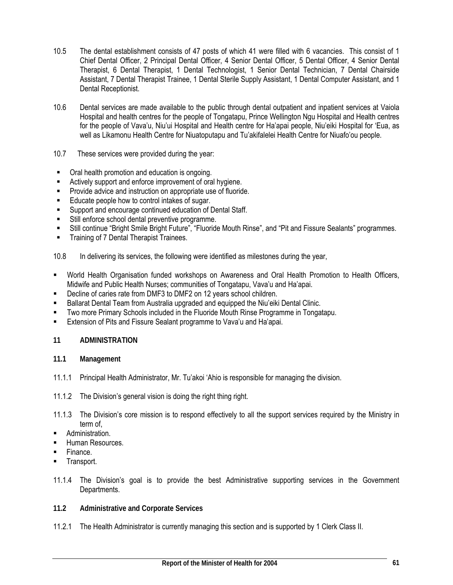- 10.5 The dental establishment consists of 47 posts of which 41 were filled with 6 vacancies. This consist of 1 Chief Dental Officer, 2 Principal Dental Officer, 4 Senior Dental Officer, 5 Dental Officer, 4 Senior Dental Therapist, 6 Dental Therapist, 1 Dental Technologist, 1 Senior Dental Technician, 7 Dental Chairside Assistant, 7 Dental Therapist Trainee, 1 Dental Sterile Supply Assistant, 1 Dental Computer Assistant, and 1 Dental Receptionist.
- 10.6 Dental services are made available to the public through dental outpatient and inpatient services at Vaiola Hospital and health centres for the people of Tongatapu, Prince Wellington Ngu Hospital and Health centres for the people of Vava'u, Niu'ui Hospital and Health centre for Ha'apai people, Niu'eiki Hospital for 'Eua, as well as Likamonu Health Centre for Niuatoputapu and Tu'akifalelei Health Centre for Niuafo'ou people.
- 10.7 These services were provided during the year:
- **•** Oral health promotion and education is ongoing.
- **EXECT** Actively support and enforce improvement of oral hygiene.
- **Provide advice and instruction on appropriate use of fluoride.**
- Educate people how to control intakes of sugar.
- **Support and encourage continued education of Dental Staff.**
- **Still enforce school dental preventive programme.**
- Still continue "Bright Smile Bright Future", "Fluoride Mouth Rinse", and "Pit and Fissure Sealants" programmes.
- **Training of 7 Dental Therapist Trainees.**
- 10.8 In delivering its services, the following were identified as milestones during the year,
- World Health Organisation funded workshops on Awareness and Oral Health Promotion to Health Officers, Midwife and Public Health Nurses; communities of Tongatapu, Vava'u and Ha'apai.
- Decline of caries rate from DMF3 to DMF2 on 12 years school children.
- **Ballarat Dental Team from Australia upgraded and equipped the Niu'eiki Dental Clinic.**
- Two more Primary Schools included in the Fluoride Mouth Rinse Programme in Tongatapu.
- **Extension of Pits and Fissure Sealant programme to Vava'u and Ha'apai.**

#### **11 ADMINISTRATION**

- **11.1 Management**
- 11.1.1 Principal Health Administrator, Mr. Tu'akoi 'Ahio is responsible for managing the division.
- 11.1.2 The Division's general vision is doing the right thing right.
- 11.1.3 The Division's core mission is to respond effectively to all the support services required by the Ministry in term of,
- Administration.
- **Human Resources**
- **Finance.**
- Transport.
- 11.1.4 The Division's goal is to provide the best Administrative supporting services in the Government Departments.
- **11.2 Administrative and Corporate Services**
- 11.2.1 The Health Administrator is currently managing this section and is supported by 1 Clerk Class II.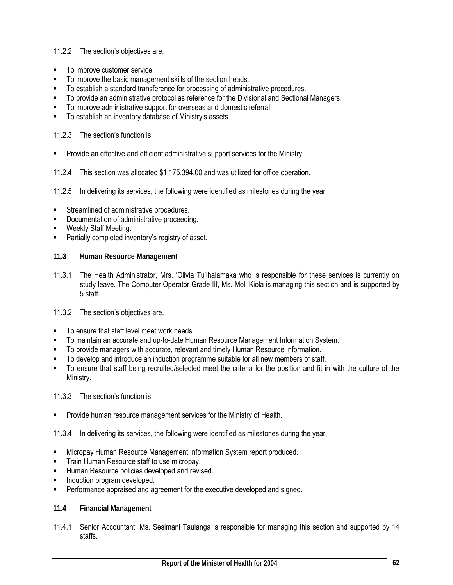### 11.2.2 The section's objectives are,

- To improve customer service.
- To improve the basic management skills of the section heads.
- To establish a standard transference for processing of administrative procedures.
- To provide an administrative protocol as reference for the Divisional and Sectional Managers.
- To improve administrative support for overseas and domestic referral.
- **To establish an inventory database of Ministry's assets.**

11.2.3 The section's function is,

- **Provide an effective and efficient administrative support services for the Ministry.**
- 11.2.4 This section was allocated \$1,175,394.00 and was utilized for office operation.
- 11.2.5 In delivering its services, the following were identified as milestones during the year
- **Streamlined of administrative procedures.**
- Documentation of administrative proceeding.
- Weekly Staff Meeting.
- **Partially completed inventory's registry of asset.**
- **11.3 Human Resource Management**
- 11.3.1 The Health Administrator, Mrs. 'Olivia Tu'ihalamaka who is responsible for these services is currently on study leave. The Computer Operator Grade III, Ms. Moli Kiola is managing this section and is supported by 5 staff.
- 11.3.2 The section's objectives are,
- To ensure that staff level meet work needs.
- To maintain an accurate and up-to-date Human Resource Management Information System.
- **To provide managers with accurate, relevant and timely Human Resource Information.**
- To develop and introduce an induction programme suitable for all new members of staff.
- To ensure that staff being recruited/selected meet the criteria for the position and fit in with the culture of the Ministry.

11.3.3 The section's function is,

- **Provide human resource management services for the Ministry of Health.**
- 11.3.4 In delivering its services, the following were identified as milestones during the year,
- **EXECT** Micropay Human Resource Management Information System report produced.
- **Train Human Resource staff to use micropay.**
- Human Resource policies developed and revised.
- Induction program developed.
- **Performance appraised and agreement for the executive developed and signed.**
- **11.4 Financial Management**
- 11.4.1 Senior Accountant, Ms. Sesimani Taulanga is responsible for managing this section and supported by 14 staffs.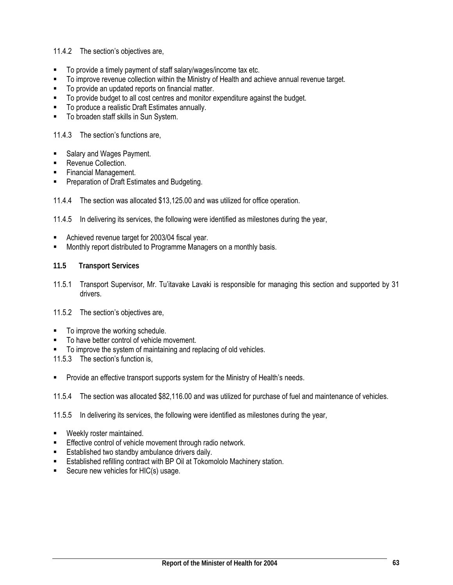11.4.2 The section's objectives are,

- To provide a timely payment of staff salary/wages/income tax etc.
- To improve revenue collection within the Ministry of Health and achieve annual revenue target.
- To provide an updated reports on financial matter.
- To provide budget to all cost centres and monitor expenditure against the budget.
- To produce a realistic Draft Estimates annually.
- **To broaden staff skills in Sun System.**

11.4.3 The section's functions are,

- Salary and Wages Payment.
- **Revenue Collection.**
- Financial Management.
- Preparation of Draft Estimates and Budgeting.

11.4.4 The section was allocated \$13,125.00 and was utilized for office operation.

11.4.5 In delivering its services, the following were identified as milestones during the year,

- Achieved revenue target for 2003/04 fiscal year.
- Monthly report distributed to Programme Managers on a monthly basis.
- **11.5 Transport Services**
- 11.5.1 Transport Supervisor, Mr. Tu'itavake Lavaki is responsible for managing this section and supported by 31 drivers.
- 11.5.2 The section's objectives are,
- To improve the working schedule.
- To have better control of vehicle movement.
- $\blacksquare$  To improve the system of maintaining and replacing of old vehicles.

11.5.3 The section's function is,

**Provide an effective transport supports system for the Ministry of Health's needs.** 

11.5.4 The section was allocated \$82,116.00 and was utilized for purchase of fuel and maintenance of vehicles.

11.5.5 In delivering its services, the following were identified as milestones during the year,

- Weekly roster maintained.
- Effective control of vehicle movement through radio network.
- **Established two standby ambulance drivers daily.**
- Established refilling contract with BP Oil at Tokomololo Machinery station.
- Secure new vehicles for HIC(s) usage.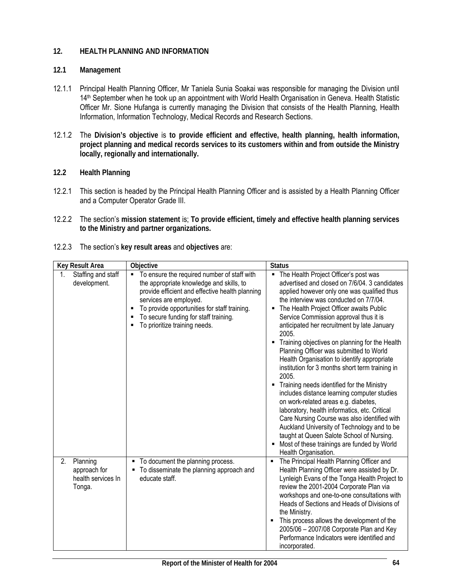### **12. HEALTH PLANNING AND INFORMATION**

#### **12.1 Management**

- 12.1.1 Principal Health Planning Officer, Mr Taniela Sunia Soakai was responsible for managing the Division until 14th September when he took up an appointment with World Health Organisation in Geneva. Health Statistic Officer Mr. Sione Hufanga is currently managing the Division that consists of the Health Planning, Health Information, Information Technology, Medical Records and Research Sections.
- 12.1.2 The **Division's objective** is **to provide efficient and effective, health planning, health information, project planning and medical records services to its customers within and from outside the Ministry locally, regionally and internationally.**
- **12.2 Health Planning**
- 12.2.1 This section is headed by the Principal Health Planning Officer and is assisted by a Health Planning Officer and a Computer Operator Grade III.
- 12.2.2 The section's **mission statement** is; **To provide efficient, timely and effective health planning services to the Ministry and partner organizations.**

| Key Result Area                                                | Objective                                                                                                                                                                                                                                                                                                     | <b>Status</b>                                                                                                                                                                                                                                                                                                                                                                                                                                                                                                                                                                                                                                                                                                                                                                                                                                                                                                                                                |
|----------------------------------------------------------------|---------------------------------------------------------------------------------------------------------------------------------------------------------------------------------------------------------------------------------------------------------------------------------------------------------------|--------------------------------------------------------------------------------------------------------------------------------------------------------------------------------------------------------------------------------------------------------------------------------------------------------------------------------------------------------------------------------------------------------------------------------------------------------------------------------------------------------------------------------------------------------------------------------------------------------------------------------------------------------------------------------------------------------------------------------------------------------------------------------------------------------------------------------------------------------------------------------------------------------------------------------------------------------------|
| Staffing and staff<br>1.<br>development.                       | To ensure the required number of staff with<br>٠<br>the appropriate knowledge and skills, to<br>provide efficient and effective health planning<br>services are employed.<br>To provide opportunities for staff training.<br>٠<br>To secure funding for staff training.<br>п<br>To prioritize training needs. | • The Health Project Officer's post was<br>advertised and closed on 7/6/04, 3 candidates<br>applied however only one was qualified thus<br>the interview was conducted on 7/7/04.<br>The Health Project Officer awaits Public<br>п<br>Service Commission approval thus it is<br>anticipated her recruitment by late January<br>2005.<br>• Training objectives on planning for the Health<br>Planning Officer was submitted to World<br>Health Organisation to identify appropriate<br>institution for 3 months short term training in<br>2005.<br>Training needs identified for the Ministry<br>includes distance learning computer studies<br>on work-related areas e.g. diabetes,<br>laboratory, health informatics, etc. Critical<br>Care Nursing Course was also identified with<br>Auckland University of Technology and to be<br>taught at Queen Salote School of Nursing.<br>Most of these trainings are funded by World<br>٠<br>Health Organisation. |
| Planning<br>2.<br>approach for<br>health services In<br>Tonga. | To document the planning process.<br>To disseminate the planning approach and<br>educate staff.                                                                                                                                                                                                               | The Principal Health Planning Officer and<br>Health Planning Officer were assisted by Dr.<br>Lynleigh Evans of the Tonga Health Project to<br>review the 2001-2004 Corporate Plan via<br>workshops and one-to-one consultations with<br>Heads of Sections and Heads of Divisions of<br>the Ministry.<br>This process allows the development of the<br>٠<br>2005/06 - 2007/08 Corporate Plan and Key<br>Performance Indicators were identified and<br>incorporated.                                                                                                                                                                                                                                                                                                                                                                                                                                                                                           |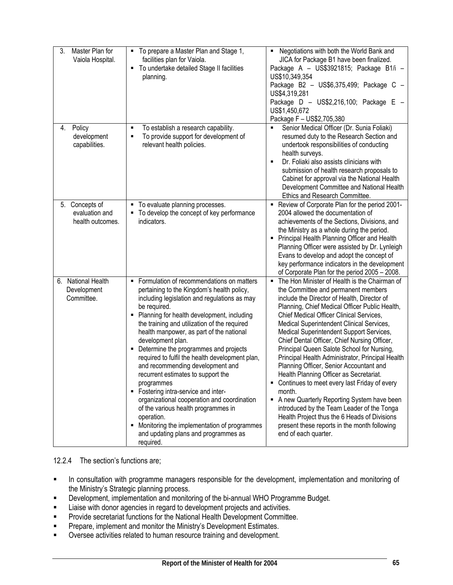| 3.<br>Master Plan for<br>Vaiola Hospital.               | " To prepare a Master Plan and Stage 1,<br>facilities plan for Vaiola.<br>" To undertake detailed Stage II facilities<br>planning.                                                                                                                                                                                                                                                                                                                                                                                                                                                                                                                                                                                                                                   | Negotiations with both the World Bank and<br>٠<br>JICA for Package B1 have been finalized.<br>Package A - US\$3921815; Package B1/i -<br>US\$10,349,354<br>Package B2 - US\$6,375,499; Package C -<br>US\$4,319,281<br>Package D - US\$2,216,100; Package E -<br>US\$1,450,672<br>Package F - US\$2,705,380                                                                                                                                                                                                                                                                                                                                                                                                                                                                                                                                                 |
|---------------------------------------------------------|----------------------------------------------------------------------------------------------------------------------------------------------------------------------------------------------------------------------------------------------------------------------------------------------------------------------------------------------------------------------------------------------------------------------------------------------------------------------------------------------------------------------------------------------------------------------------------------------------------------------------------------------------------------------------------------------------------------------------------------------------------------------|-------------------------------------------------------------------------------------------------------------------------------------------------------------------------------------------------------------------------------------------------------------------------------------------------------------------------------------------------------------------------------------------------------------------------------------------------------------------------------------------------------------------------------------------------------------------------------------------------------------------------------------------------------------------------------------------------------------------------------------------------------------------------------------------------------------------------------------------------------------|
| 4. Policy<br>development<br>capabilities.               | To establish a research capability.<br>п<br>To provide support for development of<br>relevant health policies.                                                                                                                                                                                                                                                                                                                                                                                                                                                                                                                                                                                                                                                       | Senior Medical Officer (Dr. Sunia Foliaki)<br>resumed duty to the Research Section and<br>undertook responsibilities of conducting<br>health surveys.<br>Dr. Foliaki also assists clinicians with<br>٠<br>submission of health research proposals to<br>Cabinet for approval via the National Health<br>Development Committee and National Health<br>Ethics and Research Committee.                                                                                                                                                                                                                                                                                                                                                                                                                                                                         |
| Concepts of<br>5.<br>evaluation and<br>health outcomes. | To evaluate planning processes.<br>٠<br>• To develop the concept of key performance<br>indicators.                                                                                                                                                                                                                                                                                                                                                                                                                                                                                                                                                                                                                                                                   | Review of Corporate Plan for the period 2001-<br>2004 allowed the documentation of<br>achievements of the Sections, Divisions, and<br>the Ministry as a whole during the period.<br>Principal Health Planning Officer and Health<br>Planning Officer were assisted by Dr. Lynleigh<br>Evans to develop and adopt the concept of<br>key performance indicators in the development<br>of Corporate Plan for the period 2005 - 2008.                                                                                                                                                                                                                                                                                                                                                                                                                           |
| 6. National Health<br>Development<br>Committee.         | Formulation of recommendations on matters<br>٠<br>pertaining to the Kingdom's health policy,<br>including legislation and regulations as may<br>be required.<br>Planning for health development, including<br>п<br>the training and utilization of the required<br>health manpower, as part of the national<br>development plan.<br>Determine the programmes and projects<br>required to fulfil the health development plan,<br>and recommending development and<br>recurrent estimates to support the<br>programmes<br>• Fostering intra-service and inter-<br>organizational cooperation and coordination<br>of the various health programmes in<br>operation.<br>Monitoring the implementation of programmes<br>and updating plans and programmes as<br>required. | The Hon Minister of Health is the Chairman of<br>٠.<br>the Committee and permanent members<br>include the Director of Health, Director of<br>Planning, Chief Medical Officer Public Health,<br>Chief Medical Officer Clinical Services,<br>Medical Superintendent Clinical Services,<br>Medical Superintendent Support Services,<br>Chief Dental Officer, Chief Nursing Officer,<br>Principal Queen Salote School for Nursing,<br>Principal Health Administrator, Principal Health<br>Planning Officer, Senior Accountant and<br>Health Planning Officer as Secretariat.<br>Continues to meet every last Friday of every<br>٠<br>month.<br>A new Quarterly Reporting System have been<br>introduced by the Team Leader of the Tonga<br>Health Project thus the 6 Heads of Divisions<br>present these reports in the month following<br>end of each quarter. |

### 12.2.4 The section's functions are;

- **In consultation with programme managers responsible for the development, implementation and monitoring of** the Ministry's Strategic planning process.
- Development, implementation and monitoring of the bi-annual WHO Programme Budget.
- Liaise with donor agencies in regard to development projects and activities.
- **Provide secretariat functions for the National Health Development Committee.**
- **Prepare, implement and monitor the Ministry's Development Estimates.**
- **•** Oversee activities related to human resource training and development.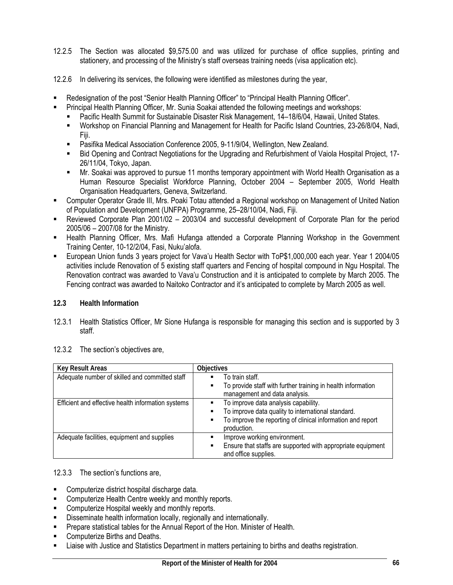- 12.2.5 The Section was allocated \$9,575.00 and was utilized for purchase of office supplies, printing and stationery, and processing of the Ministry's staff overseas training needs (visa application etc).
- 12.2.6 In delivering its services, the following were identified as milestones during the year,
- Redesignation of the post "Senior Health Planning Officer" to "Principal Health Planning Officer".
	- Principal Health Planning Officer, Mr. Sunia Soakai attended the following meetings and workshops:
	- Pacific Health Summit for Sustainable Disaster Risk Management, 14–18/6/04, Hawaii, United States.
	- Workshop on Financial Planning and Management for Health for Pacific Island Countries, 23-26/8/04, Nadi, Fiji.
	- Pasifika Medical Association Conference 2005, 9-11/9/04, Wellington, New Zealand.
	- Bid Opening and Contract Negotiations for the Upgrading and Refurbishment of Vaiola Hospital Project, 17- 26/11/04, Tokyo, Japan.
	- Mr. Soakai was approved to pursue 11 months temporary appointment with World Health Organisation as a Human Resource Specialist Workforce Planning, October 2004 – September 2005, World Health Organisation Headquarters, Geneva, Switzerland.
- Computer Operator Grade III, Mrs. Poaki Totau attended a Regional workshop on Management of United Nation of Population and Development (UNFPA) Programme, 25–28/10/04, Nadi, Fiji.
- Reviewed Corporate Plan 2001/02 2003/04 and successful development of Corporate Plan for the period 2005/06 – 2007/08 for the Ministry.
- Health Planning Officer, Mrs. Mafi Hufanga attended a Corporate Planning Workshop in the Government Training Center, 10-12/2/04, Fasi, Nuku'alofa.
- European Union funds 3 years project for Vava'u Health Sector with ToP\$1,000,000 each year. Year 1 2004/05 activities include Renovation of 5 existing staff quarters and Fencing of hospital compound in Ngu Hospital. The Renovation contract was awarded to Vava'u Construction and it is anticipated to complete by March 2005. The Fencing contract was awarded to Naitoko Contractor and it's anticipated to complete by March 2005 as well.

#### **12.3 Health Information**

12.3.1 Health Statistics Officer, Mr Sione Hufanga is responsible for managing this section and is supported by 3 staff.

| <b>Key Result Areas</b>                            | <b>Objectives</b>                                                                                                                                                             |
|----------------------------------------------------|-------------------------------------------------------------------------------------------------------------------------------------------------------------------------------|
| Adequate number of skilled and committed staff     | To train staff.<br>٠<br>To provide staff with further training in health information<br>٠<br>management and data analysis.                                                    |
| Efficient and effective health information systems | To improve data analysis capability.<br>To improve data quality to international standard.<br>To improve the reporting of clinical information and report<br>٠<br>production. |
| Adequate facilities, equipment and supplies        | Improve working environment.<br>Ensure that staffs are supported with appropriate equipment<br>and office supplies.                                                           |

12.3.2 The section's objectives are,

#### 12.3.3 The section's functions are,

- Computerize district hospital discharge data.
- **EXECOMPUTER CHEALTE COMPUTER 1** Computerize Health Centre weekly and monthly reports.
- **EXECOMPUTER COMPUTER HOSPITAL WEEKLY AND MONTHLY FEDOTS.**
- Disseminate health information locally, regionally and internationally.
- Prepare statistical tables for the Annual Report of the Hon. Minister of Health.
- **EXECOMPUTER COMPUTER S** Enths and Deaths.
- **EXECT** Liaise with Justice and Statistics Department in matters pertaining to births and deaths registration.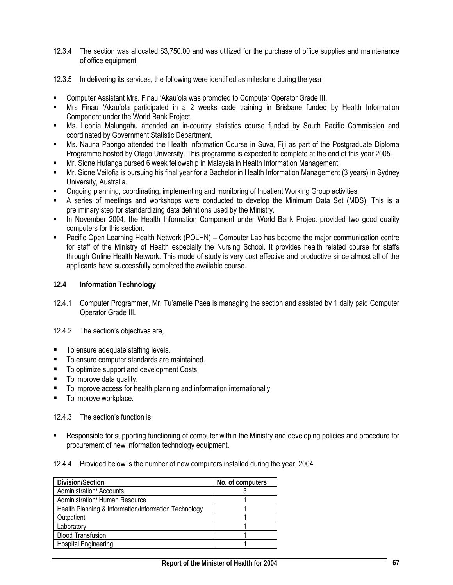- 12.3.4 The section was allocated \$3,750.00 and was utilized for the purchase of office supplies and maintenance of office equipment.
- 12.3.5 In delivering its services, the following were identified as milestone during the year,
- Computer Assistant Mrs. Finau 'Akau'ola was promoted to Computer Operator Grade III.
- Mrs Finau 'Akau'ola participated in a 2 weeks code training in Brisbane funded by Health Information Component under the World Bank Project.
- Ms. Leonia Malungahu attended an in-country statistics course funded by South Pacific Commission and coordinated by Government Statistic Department.
- Ms. Nauna Paongo attended the Health Information Course in Suva, Fiji as part of the Postgraduate Diploma Programme hosted by Otago University. This programme is expected to complete at the end of this year 2005.
- Mr. Sione Hufanga pursed 6 week fellowship in Malaysia in Health Information Management.
- Mr. Sione Veilofia is pursuing his final year for a Bachelor in Health Information Management (3 years) in Sydney University, Australia.
- Ongoing planning, coordinating, implementing and monitoring of Inpatient Working Group activities.
- A series of meetings and workshops were conducted to develop the Minimum Data Set (MDS). This is a preliminary step for standardizing data definitions used by the Ministry.
- In November 2004, the Health Information Component under World Bank Project provided two good quality computers for this section.
- **Pacific Open Learning Health Network (POLHN) Computer Lab has become the major communication centre** for staff of the Ministry of Health especially the Nursing School. It provides health related course for staffs through Online Health Network. This mode of study is very cost effective and productive since almost all of the applicants have successfully completed the available course.

#### **12.4 Information Technology**

- 12.4.1 Computer Programmer, Mr. Tu'amelie Paea is managing the section and assisted by 1 daily paid Computer Operator Grade III.
- 12.4.2 The section's objectives are,
- To ensure adequate staffing levels.
- To ensure computer standards are maintained.
- To optimize support and development Costs.
- To improve data quality.
- To improve access for health planning and information internationally.
- To improve workplace.

#### 12.4.3 The section's function is,

- Responsible for supporting functioning of computer within the Ministry and developing policies and procedure for procurement of new information technology equipment.
- 12.4.4 Provided below is the number of new computers installed during the year, 2004

| Division/Section                                     | No. of computers |
|------------------------------------------------------|------------------|
| <b>Administration/ Accounts</b>                      |                  |
| Administration/ Human Resource                       |                  |
| Health Planning & Information/Information Technology |                  |
| Outpatient                                           |                  |
| Laboratory                                           |                  |
| <b>Blood Transfusion</b>                             |                  |
| <b>Hospital Engineering</b>                          |                  |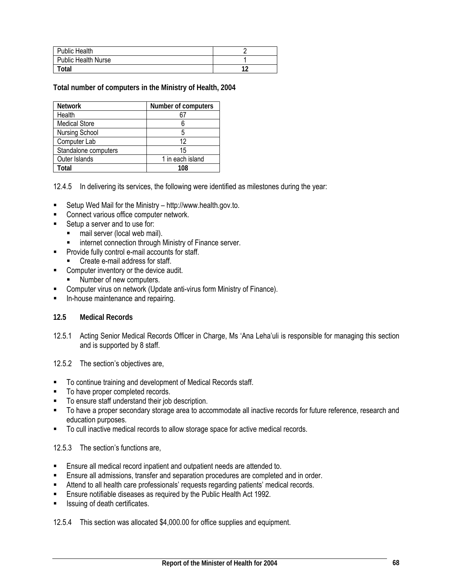| <b>Public Health</b>       |    |
|----------------------------|----|
| <b>Public Health Nurse</b> |    |
| <b>Total</b>               | 10 |

**Total number of computers in the Ministry of Health, 2004** 

| <b>Network</b>        | Number of computers |
|-----------------------|---------------------|
| Health                |                     |
| <b>Medical Store</b>  |                     |
| <b>Nursing School</b> |                     |
| Computer Lab          | 12                  |
| Standalone computers  | 15                  |
| Outer Islands         | 1 in each island    |
| Total                 | 108                 |

12.4.5 In delivering its services, the following were identified as milestones during the year:

- Setup Wed Mail for the Ministry http://www.health.gov.to.
- Connect various office computer network.
- Setup a server and to use for:
	- mail server (local web mail).
	- **EXECT** internet connection through Ministry of Finance server.
- **Provide fully control e-mail accounts for staff.** 
	- Create e-mail address for staff.
- **EXECOMPUTER COMPUTER INCOCO EXECUTE:** Computer inventory or the device audit.
	- Number of new computers.
- Computer virus on network (Update anti-virus form Ministry of Finance).
- In-house maintenance and repairing.

#### **12.5 Medical Records**

12.5.1 Acting Senior Medical Records Officer in Charge, Ms 'Ana Leha'uli is responsible for managing this section and is supported by 8 staff.

12.5.2 The section's objectives are,

- To continue training and development of Medical Records staff.
- To have proper completed records.
- To ensure staff understand their job description.
- To have a proper secondary storage area to accommodate all inactive records for future reference, research and education purposes.
- To cull inactive medical records to allow storage space for active medical records.

#### 12.5.3 The section's functions are,

- **Ensure all medical record inpatient and outpatient needs are attended to.**
- Ensure all admissions, transfer and separation procedures are completed and in order.
- Attend to all health care professionals' requests regarding patients' medical records.
- Ensure notifiable diseases as required by the Public Health Act 1992.
- Issuing of death certificates.

12.5.4 This section was allocated \$4,000.00 for office supplies and equipment.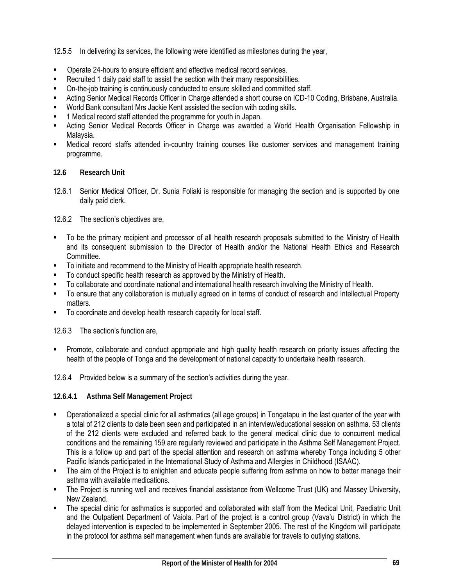12.5.5 In delivering its services, the following were identified as milestones during the year,

- Operate 24-hours to ensure efficient and effective medical record services.
- Recruited 1 daily paid staff to assist the section with their many responsibilities.
- On-the-job training is continuously conducted to ensure skilled and committed staff.
- Acting Senior Medical Records Officer in Charge attended a short course on ICD-10 Coding, Brisbane, Australia.
- World Bank consultant Mrs Jackie Kent assisted the section with coding skills.
- 1 Medical record staff attended the programme for youth in Japan.
- Acting Senior Medical Records Officer in Charge was awarded a World Health Organisation Fellowship in Malaysia.
- Medical record staffs attended in-country training courses like customer services and management training programme.

### **12.6 Research Unit**

12.6.1 Senior Medical Officer, Dr. Sunia Foliaki is responsible for managing the section and is supported by one daily paid clerk.

12.6.2 The section's objectives are,

- To be the primary recipient and processor of all health research proposals submitted to the Ministry of Health and its consequent submission to the Director of Health and/or the National Health Ethics and Research Committee.
- To initiate and recommend to the Ministry of Health appropriate health research.
- To conduct specific health research as approved by the Ministry of Health.
- To collaborate and coordinate national and international health research involving the Ministry of Health.
- To ensure that any collaboration is mutually agreed on in terms of conduct of research and Intellectual Property matters.
- $\blacksquare$  To coordinate and develop health research capacity for local staff.

12.6.3 The section's function are,

- **Promote, collaborate and conduct appropriate and high quality health research on priority issues affecting the** health of the people of Tonga and the development of national capacity to undertake health research.
- 12.6.4 Provided below is a summary of the section's activities during the year.

### **12.6.4.1 Asthma Self Management Project**

- Operationalized a special clinic for all asthmatics (all age groups) in Tongatapu in the last quarter of the year with a total of 212 clients to date been seen and participated in an interview/educational session on asthma. 53 clients of the 212 clients were excluded and referred back to the general medical clinic due to concurrent medical conditions and the remaining 159 are regularly reviewed and participate in the Asthma Self Management Project. This is a follow up and part of the special attention and research on asthma whereby Tonga including 5 other Pacific Islands participated in the International Study of Asthma and Allergies in Childhood (ISAAC).
- The aim of the Project is to enlighten and educate people suffering from asthma on how to better manage their asthma with available medications.
- The Project is running well and receives financial assistance from Wellcome Trust (UK) and Massey University, New Zealand.
- The special clinic for asthmatics is supported and collaborated with staff from the Medical Unit, Paediatric Unit and the Outpatient Department of Vaiola. Part of the project is a control group (Vava'u District) in which the delayed intervention is expected to be implemented in September 2005. The rest of the Kingdom will participate in the protocol for asthma self management when funds are available for travels to outlying stations.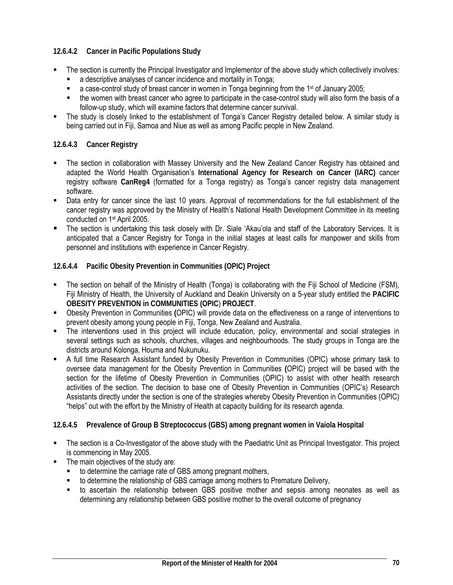# **12.6.4.2 Cancer in Pacific Populations Study**

- The section is currently the Principal Investigator and Implementor of the above study which collectively involves:
	- a descriptive analyses of cancer incidence and mortality in Tonga;
	- a case-control study of breast cancer in women in Tonga beginning from the 1st of January 2005;
	- the women with breast cancer who agree to participate in the case-control study will also form the basis of a follow-up study, which will examine factors that determine cancer survival.
- The study is closely linked to the establishment of Tonga's Cancer Registry detailed below. A similar study is being carried out in Fiji, Samoa and Niue as well as among Pacific people in New Zealand.

### **12.6.4.3 Cancer Registry**

- The section in collaboration with Massey University and the New Zealand Cancer Registry has obtained and adapted the World Health Organisation's **International Agency for Research on Cancer (IARC)** cancer registry software **CanReg4** (formatted for a Tonga registry) as Tonga's cancer registry data management software.
- Data entry for cancer since the last 10 years. Approval of recommendations for the full establishment of the cancer registry was approved by the Ministry of Health's National Health Development Committee in its meeting conducted on 1st April 2005.
- The section is undertaking this task closely with Dr. Siale 'Akau'ola and staff of the Laboratory Services. It is anticipated that a Cancer Registry for Tonga in the initial stages at least calls for manpower and skills from personnel and institutions with experience in Cancer Registry.

### **12.6.4.4 Pacific Obesity Prevention in Communities (OPIC) Project**

- The section on behalf of the Ministry of Health (Tonga) is collaborating with the Fiji School of Medicine (FSM), Fiji Ministry of Health, the University of Auckland and Deakin University on a 5-year study entitled the **PACIFIC OBESITY PREVENTION in COMMUNITIES (OPIC**) **PROJECT**.
- Obesity Prevention in Communities **(**OPIC) will provide data on the effectiveness on a range of interventions to prevent obesity among young people in Fiji, Tonga, New Zealand and Australia.
- The interventions used in this project will include education, policy, environmental and social strategies in several settings such as schools, churches, villages and neighbourhoods. The study groups in Tonga are the districts around Kolonga, Houma and Nukunuku.
- A full time Research Assistant funded by Obesity Prevention in Communities (OPIC) whose primary task to oversee data management for the Obesity Prevention in Communities **(**OPIC) project will be based with the section for the lifetime of Obesity Prevention in Communities (OPIC) to assist with other health research activities of the section. The decision to base one of Obesity Prevention in Communities (OPIC's) Research Assistants directly under the section is one of the strategies whereby Obesity Prevention in Communities (OPIC) "helps" out with the effort by the Ministry of Health at capacity building for its research agenda.

### **12.6.4.5 Prevalence of Group B Streptococcus (GBS) among pregnant women in Vaiola Hospital**

- The section is a Co-Investigator of the above study with the Paediatric Unit as Principal Investigator. This project is commencing in May 2005.
- The main objectives of the study are:
	- to determine the carriage rate of GBS among pregnant mothers,
	- to determine the relationship of GBS carriage among mothers to Premature Delivery,
	- to ascertain the relationship between GBS positive mother and sepsis among neonates as well as determining any relationship between GBS positive mother to the overall outcome of pregnancy